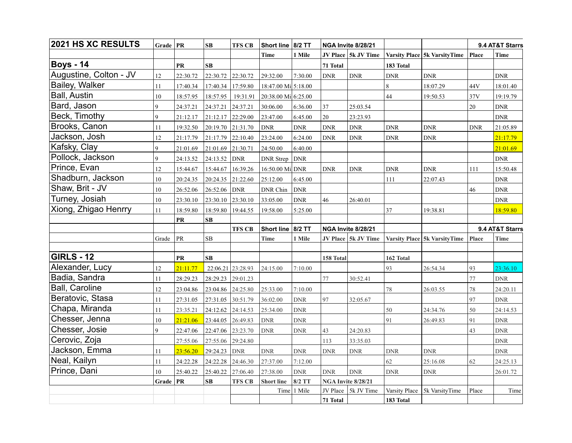| <b>2021 HS XC RESULTS</b> | $Grade$ PR |            | SB                     | <b>TFS CB</b>       | Short line 8/2 TT           |            | NGA Invite 8/28/21 |                       |                             |                               |            | 9.4 AT&T Starrs             |
|---------------------------|------------|------------|------------------------|---------------------|-----------------------------|------------|--------------------|-----------------------|-----------------------------|-------------------------------|------------|-----------------------------|
|                           |            |            |                        |                     | Time                        | 1 Mile     |                    | JV Place 5k JV Time   |                             | Varsity Place 5k VarsityTime  | Place      | Time                        |
| <b>Boys - 14</b>          |            | <b>PR</b>  | SB                     |                     |                             |            | 71 Total           |                       | 183 Total                   |                               |            |                             |
| Augustine, Colton - JV    | 12         | 22:30.72   | 22:30.72               | 22:30.72            | 29:32.00                    | 7:30.00    | <b>DNR</b>         | <b>DNR</b>            | $\mathop{\rm DNR}\nolimits$ | $\mathop{\rm DNR}\nolimits$   |            | <b>DNR</b>                  |
| Bailey, Walker            | 11         | 17:40.34   | 17:40.34               | 17:59.80            | 18:47.00 Mi 5:18.00         |            |                    |                       | $\overline{8}$              | 18:07.29                      | 44V        | 18:01.40                    |
| <b>Ball, Austin</b>       | 10         | 18:57.95   | 18:57.95               | 19:31.91            | 20:38.00 Mi 6:25.00         |            |                    |                       | 44                          | 19:50.53                      | 37V        | 19:19.79                    |
| Bard, Jason               | <b>9</b>   | 24:37.21   | 24:37.21 24:37.21      |                     | 30:06.00                    | 6:36.00    | 37                 | 25:03.54              |                             |                               | $20\,$     | <b>DNR</b>                  |
| Beck, Timothy             | 9          | 21:12.17   | 21:12.17 22:29.00      |                     | 23:47.00                    | 6:45.00    | $20\,$             | 23:23.93              |                             |                               |            | <b>DNR</b>                  |
| Brooks, Canon             | 11         | 19:32.50   |                        | 20:19.70 21:31.70   | <b>DNR</b>                  | <b>DNR</b> | <b>DNR</b>         | <b>DNR</b>            | <b>DNR</b>                  | <b>DNR</b>                    | <b>DNR</b> | 21:05.89                    |
| Jackson, Josh             | 12         | 21:17.79   | 21:17.79 22:10.40      |                     | 23:24.00                    | 6:24.00    | <b>DNR</b>         | <b>DNR</b>            | <b>DNR</b>                  | <b>DNR</b>                    |            | 21:17.79                    |
| Kafsky, Clay              | 9          | 21:01.69   | 21:01.69 21:30.71      |                     | 24:50.00                    | 6:40.00    |                    |                       |                             |                               |            | 21:01.69                    |
| Pollock, Jackson          | 9          | 24:13.52   | 24:13.52 DNR           |                     | DNR Strep DNR               |            |                    |                       |                             |                               |            | <b>DNR</b>                  |
| Prince, Evan              | 12         | 15:44.67   | 15:44.67               | 16:39.26            | 16:50.00 Mi DNR             |            | <b>DNR</b>         | <b>DNR</b>            | <b>DNR</b>                  | $\mathop{\rm DNR}\nolimits$   | $111\,$    | 15:50.48                    |
| Shadburn, Jackson         | 10         | 20:24.35   | 20:24.35 21:22.60      |                     | 25:12.00                    | 6:45.00    |                    |                       | 111                         | 22:07.43                      |            | <b>DNR</b>                  |
| Shaw, Brit - JV           | $10\,$     | 26:52.06   | 26:52.06 DNR           |                     | DNR Chin                    | DNR        |                    |                       |                             |                               | 46         | $\mathop{\rm DNR}\nolimits$ |
| Turney, Josiah            | 10         | 23:30.10   | 23:30.10 23:30.10      |                     | 33:05.00                    | <b>DNR</b> | 46                 | 26:40.01              |                             |                               |            | <b>DNR</b>                  |
| Xiong, Zhigao Henrry      | 11         | 18:59.80   |                        | 18:59.80   19:44.55 | 19:58.00                    | 5:25.00    |                    |                       | 37                          | 19:38.81                      |            | 18:59.80                    |
|                           |            | ${\bf PR}$ | SB                     |                     |                             |            |                    |                       |                             |                               |            |                             |
|                           |            |            |                        | <b>TFS CB</b>       | Short line 8/2 TT           |            |                    | NGA Invite 8/28/21    |                             |                               |            | 9.4 AT&T Starrs             |
|                           | Grade      | PR         | $\rm SB$               |                     | Time                        | 1 Mile     |                    | JV Place 5k JV Time   |                             | Varsity Place 5k VarsityTime  | Place      | <b>Time</b>                 |
| <b>GIRLS - 12</b>         |            | ${\bf PR}$ | SB                     |                     |                             |            | 158 Total          |                       | 162 Total                   |                               |            |                             |
| Alexander, Lucy           | 12         | 21:11.77   |                        | 22:06.21 23:28.93   | 24:15.00                    | 7:10.00    |                    |                       | 93                          | 26:54.34                      | 93         | 23:36.10                    |
| Badia, Sandra             | 11         | 28:29.23   | 28:29.23 29:01.23      |                     |                             |            | 77                 | 30:52.41              |                             |                               | 77         | $\mathop{\rm DNR}\nolimits$ |
| Ball, Caroline            | 12         | 23:04.86   |                        | 23:04.86 24:25.80   | 25:33.00                    | 7:10.00    |                    |                       | 78                          | 26:03.55                      | $78\,$     | 24:20.11                    |
| Beratovic, Stasa          | 11         | 27:31.05   | 27:31.05 30:51.79      |                     | 36:02.00                    | DNR        | 97                 | 32:05.67              |                             |                               | 97         | <b>DNR</b>                  |
| Chapa, Miranda            | 11         | 23:35.21   | 24:12.62 24:14.53      |                     | 25:34.00                    | <b>DNR</b> |                    |                       | 50                          | 24:34.76                      | 50         | 24:14.53                    |
| Chesser, Jenna            | 10         | 21:21.06   | 23:44.05 26:49.83      |                     | <b>DNR</b>                  | <b>DNR</b> |                    |                       | 91                          | 26:49.83                      | 91         | <b>DNR</b>                  |
| Chesser, Josie            | 9          | 22:47.06   | 22:47.06 23:23.70      |                     | $\mathop{\rm DNR}\nolimits$ | <b>DNR</b> | 43                 | 24:20.83              |                             |                               | 43         | <b>DNR</b>                  |
| Cerovic, Zoja             |            | 27:55.06   | 27:55.06 29:24.80      |                     |                             |            | 113                | 33:35.03              |                             |                               |            | <b>DNR</b>                  |
| Jackson, Emma             | 11         | 23:56.20   | 29:24.23 DNR           |                     | <b>DNR</b>                  | <b>DNR</b> | <b>DNR</b>         | <b>DNR</b>            | <b>DNR</b>                  | <b>DNR</b>                    |            | $\mathop{\rm DNR}\nolimits$ |
| Neal, Kailyn              | 11         | 24:22.28   | 24:22.28 24:46.30      |                     | 27:37.00                    | 7:12.00    |                    |                       | 62                          | 25:16.08                      | 62         | 24:25.13                    |
| Prince, Dani              | 10         | 25:40.22   | 25:40.22 27:06.40      |                     | 27:38.00                    | <b>DNR</b> | <b>DNR</b>         | <b>DNR</b>            | $\mathop{\rm DNR}\nolimits$ | $\mathop{\rm DNR}\nolimits$   |            | 26:01.72                    |
|                           | Grade   PR |            | $\mathbf{S}\mathbf{B}$ | <b>TFS CB</b>       | <b>Short line</b>           | 8/2 TT     | NGA Invite 8/28/21 |                       |                             |                               |            |                             |
|                           |            |            |                        |                     | Time                        | 1 Mile     |                    | JV Place   5k JV Time |                             | Varsity Place 5k Varsity Time | Place      | Time                        |
|                           |            |            |                        |                     |                             |            | 71 Total           |                       | 183 Total                   |                               |            |                             |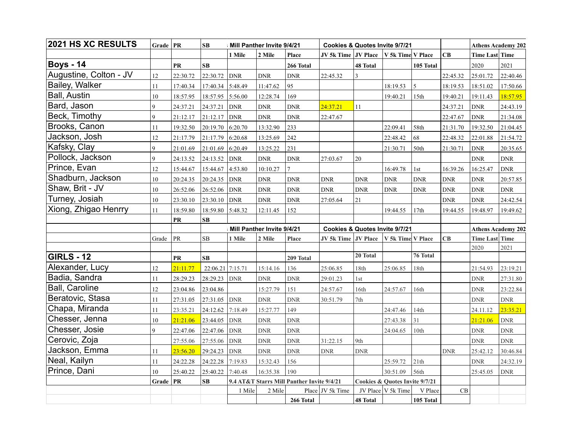| <b>2021 HS XC RESULTS</b> | Grade   PR  |           | SB               | Mill Panther Invite 9/4/21                 |                             |                             | Cookies & Quotes Invite 9/7/21 |                             |                      |            | <b>Athens Academy 202</b>   |                             |                             |
|---------------------------|-------------|-----------|------------------|--------------------------------------------|-----------------------------|-----------------------------|--------------------------------|-----------------------------|----------------------|------------|-----------------------------|-----------------------------|-----------------------------|
|                           |             |           |                  | 1 Mile                                     | 2 Mile                      | Place                       | JV 5k Time   JV Place          |                             | V 5k Time V Place    |            | CB                          | <b>Time Last Time</b>       |                             |
| <b>Boys - 14</b>          |             | PR        | SB               |                                            |                             | 266 Total                   |                                | 48 Total                    |                      | 105 Total  |                             | 2020                        | 2021                        |
| Augustine, Colton - JV    | 12          | 22:30.72  | 22:30.72         | DNR                                        | <b>DNR</b>                  | <b>DNR</b>                  | 22:45.32                       | 3                           |                      |            | 22:45.32                    | 25:01.72                    | 22:40.46                    |
| Bailey, Walker            | 11          | 17:40.34  | 17:40.34 5:48.49 |                                            | 11:47.62                    | 95                          |                                |                             | 18:19.53             | 5          | 18:19.53                    | 18:51.02                    | 17:50.66                    |
| <b>Ball, Austin</b>       | 10          | 18:57.95  | 18:57.95 5:56.00 |                                            | 12:28.74                    | 169                         |                                |                             | 19:40.21             | 15th       | 19:40.21                    | 19:11.43                    | 18:57.95                    |
| Bard, Jason               | 9           | 24:37.21  | 24:37.21 DNR     |                                            | <b>DNR</b>                  | <b>DNR</b>                  | 24:37.21                       | 11                          |                      |            | 24:37.21                    | <b>DNR</b>                  | 24:43.19                    |
| Beck, Timothy             | 9           | 21:12.17  | $21:12.17$ DNR   |                                            | $\mathop{\rm DNR}\nolimits$ | <b>DNR</b>                  | 22:47.67                       |                             |                      |            | 22:47.67                    | <b>DNR</b>                  | 21:34.08                    |
| Brooks, Canon             | 11          | 19:32.50  | 20:19.70 6:20.70 |                                            | 13:32.90                    | 233                         |                                |                             | 22:09.41             | 58th       | 21:31.70                    | 19:32.50                    | 21:04.45                    |
| Jackson, Josh             | 12          | 21:17.79  | 21:17.79         | 6:20.68                                    | 13:25.69                    | 242                         |                                |                             | 22:48.42             | 68         | 22:48.32                    | 22:01.88                    | 21:54.72                    |
| Kafsky, Clay              | 9           | 21:01.69  | 21:01.69 6:20.49 |                                            | 13:25.22                    | 231                         |                                |                             | 21:30.71             | 50th       | 21:30.71                    | <b>DNR</b>                  | 20:35.65                    |
| Pollock, Jackson          | 9           | 24:13.52  | 24:13.52 DNR     |                                            | <b>DNR</b>                  | <b>DNR</b>                  | 27:03.67                       | 20                          |                      |            |                             | <b>DNR</b>                  | $\mathop{\rm DNR}\nolimits$ |
| Prince, Evan              | 12          | 15:44.67  | 15:44.67 4:53.80 |                                            | 10:10.27                    | $\overline{7}$              |                                |                             | 16:49.78             | $1st$      | 16:39.26                    | 16:25.47                    | <b>DNR</b>                  |
| Shadburn, Jackson         | $10\,$      | 20:24.35  | 20:24.35         | DNR                                        | <b>DNR</b>                  | <b>DNR</b>                  | <b>DNR</b>                     | <b>DNR</b>                  | <b>DNR</b>           | <b>DNR</b> | <b>DNR</b>                  | <b>DNR</b>                  | 20:57.85                    |
| Shaw, Brit - JV           | 10          | 26:52.06  | 26:52.06         | DNR                                        | $\mathop{\rm DNR}\nolimits$ | <b>DNR</b>                  | <b>DNR</b>                     | $\mathop{\rm DNR}\nolimits$ | ${\rm DNR}$          | <b>DNR</b> | $\mathop{\rm DNR}\nolimits$ | $\mathop{\rm DNR}\nolimits$ | $\mathop{\rm DNR}\nolimits$ |
| Turney, Josiah            | 10          | 23:30.10  | 23:30.10         | DNR                                        | <b>DNR</b>                  | <b>DNR</b>                  | 27:05.64                       | 21                          |                      |            | <b>DNR</b>                  | <b>DNR</b>                  | 24:42.54                    |
| Xiong, Zhigao Henrry      | 11          | 18:59.80  | 18:59.80 5:48.32 |                                            | 12:11.45                    | 152                         |                                |                             | 19:44.55             | 17th       | 19:44.55                    | 19:48.97                    | 19:49.62                    |
|                           |             | <b>PR</b> | SB               |                                            |                             |                             |                                |                             |                      |            |                             |                             |                             |
|                           |             |           |                  |                                            | Mill Panther Invite 9/4/21  |                             | Cookies & Quotes Invite 9/7/21 |                             |                      |            |                             | <b>Athens Academy 202</b>   |                             |
|                           | Grade       | PR        | $\rm SB$         | 1 Mile                                     | 2 Mile                      | Place                       | <b>JV 5k Time   JV Place</b>   |                             | V 5k Time V Place    |            | CB                          | Time Last Time              |                             |
|                           |             |           |                  |                                            |                             |                             |                                |                             |                      |            |                             | 2020                        | 2021                        |
| <b>GIRLS - 12</b>         |             | PR        | SB               |                                            |                             | 209 Total                   |                                | 20 Total                    |                      | 76 Total   |                             |                             |                             |
| Alexander, Lucy           | 12          | 21:11.77  | 22:06.21 7:15.71 |                                            | 15:14.16                    | 136                         | 25:06.85                       | 18th                        | 25:06.85             | 18th       |                             | 21:54.93                    | 23:19.21                    |
| Badia, Sandra             | $1\,1$      | 28:29.23  | 28:29.23 DNR     |                                            | $\mathop{\rm DNR}\nolimits$ | <b>DNR</b>                  | 29:01.23                       | 1st                         |                      |            |                             | <b>DNR</b>                  | 27:31.80                    |
| <b>Ball, Caroline</b>     | 12          | 23:04.86  | 23:04.86         |                                            | 15:27.79                    | 151                         | 24:57.67                       | 16th                        | 24:57.67             | 16th       |                             | <b>DNR</b>                  | 23:22.84                    |
| Beratovic, Stasa          | $1\,1$      | 27:31.05  | 27:31.05 DNR     |                                            | <b>DNR</b>                  | $\mathop{\rm DNR}\nolimits$ | 30:51.79                       | 7th                         |                      |            |                             | <b>DNR</b>                  | <b>DNR</b>                  |
| Chapa, Miranda            | $11\,$      | 23:35.21  | 24:12.62 7:18.49 |                                            | 15:27.77                    | 149                         |                                |                             | 24:47.46             | 14th       |                             | 24.11.12                    | 23:35.21                    |
| Chesser, Jenna            | $10\,$      | 21:21.06  | 23:44.05         | <b>DNR</b>                                 | ${\rm DNR}$                 | <b>DNR</b>                  |                                |                             | 27:43.38             | 31         |                             | 21:21.06                    | $\mathop{\rm DNR}\nolimits$ |
| Chesser, Josie            | 9           | 22:47.06  | 22:47.06         | <b>DNR</b>                                 | $\mathop{\rm DNR}\nolimits$ | <b>DNR</b>                  |                                |                             | 24:04.65             | 10th       |                             | $\mathop{\rm DNR}\nolimits$ | <b>DNR</b>                  |
| Cerovic, Zoja             |             | 27:55.06  | 27:55.06         | <b>DNR</b>                                 | $\mathop{\rm DNR}\nolimits$ | <b>DNR</b>                  | 31:22.15                       | 9th                         |                      |            |                             | <b>DNR</b>                  | <b>DNR</b>                  |
| Jackson, Emma             | $11\,$      | 23:56.20  | 29:24.23         | <b>DNR</b>                                 | $\mathop{\rm DNR}\nolimits$ | <b>DNR</b>                  | <b>DNR</b>                     | <b>DNR</b>                  |                      |            | <b>DNR</b>                  | 25:42.12                    | 30:46.84                    |
| Neal, Kailyn              | 11          | 24:22.28  | 24:22.28         | 7:19.83                                    | 15:32.43                    | 156                         |                                |                             | 25:59.72             | 21th       |                             | $\mathop{\rm DNR}\nolimits$ | 24:32.19                    |
| Prince, Dani              | 10          | 25:40.22  | 25:40.22         | 7:40.48                                    | 16:35.38                    | 190                         |                                |                             | 30:51.09             | 56th       |                             | 25:45.05                    | $\mathop{\rm DNR}\nolimits$ |
|                           | Grade $ PR$ |           | SB               | 9.4 AT&T Starrs Mill Panther Invite 9/4/21 |                             |                             | Cookies & Quotes Invite 9/7/21 |                             |                      |            |                             |                             |                             |
|                           |             |           |                  | 1 Mile                                     | 2 Mile                      |                             | Place JV 5k Time               |                             | JV Place $V$ 5k Time | V Place    | CB                          |                             |                             |
|                           |             |           |                  |                                            |                             | 266 Total                   |                                | 48 Total                    |                      | 105 Total  |                             |                             |                             |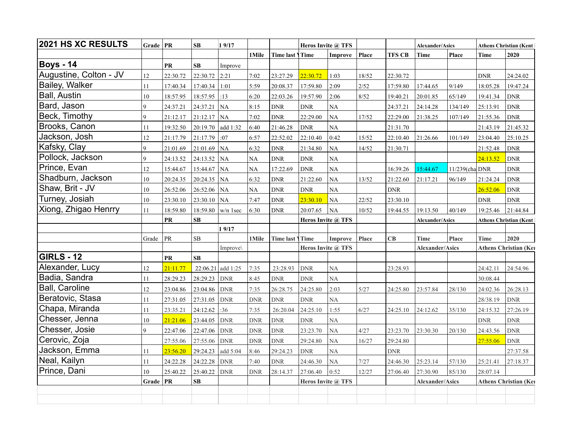| 2021 HS XC RESULTS                 | Grade   PR       |           | SB                     | 19/17               |            |                                         | Heros Invite @ TFS          |                       |                 |                      | <b>Alexander/Asics</b> |                  |                      | <b>Athens Christian (Kent)</b> |
|------------------------------------|------------------|-----------|------------------------|---------------------|------------|-----------------------------------------|-----------------------------|-----------------------|-----------------|----------------------|------------------------|------------------|----------------------|--------------------------------|
|                                    |                  |           |                        |                     | 1Mile      | Time last Y Time                        |                             | Improve               | Place           | <b>TFS CB</b>        | Time                   | Place            | Time                 | 2020                           |
| <b>Boys - 14</b>                   |                  | <b>PR</b> | $\mathbf{S}\mathbf{B}$ | Improve             |            |                                         |                             |                       |                 |                      |                        |                  |                      |                                |
| Augustine, Colton - JV             | 12               | 22:30.72  | 22:30.72 2:21          |                     | 7:02       | 23:27.29                                | 22:30.72                    | 1:03                  | 18/52           | 22:30.72             |                        |                  | <b>DNR</b>           | 24:24.02                       |
| Bailey, Walker                     | 11               | 17:40.34  | $17:40.34$ 1:01        |                     | 5:59       | 20:08.37                                | 17:59.80                    | 2:09                  | 2/52            | 17:59.80             | 17:44.65               | 9/149            | 18:05.28             | 19:47.24                       |
| <b>Ball, Austin</b>                | 10 <sup>10</sup> | 18:57.95  | $18:57.95$ :13         |                     | 6:20       | 22:03.26                                | 19:57.90                    | 2:06                  | 8/52            | 19:40.21             | 20:01.85               | 65/149           | 19:41.34             | <b>DNR</b>                     |
| Bard, Jason                        | $\mathbf{Q}$     | 24:37.21  | $24:37.21$ NA          |                     | 8:15       | <b>DNR</b>                              | <b>DNR</b>                  | NA                    |                 | 24:37.21             | 24:14.28               | 134/149          | 25:13.91             | DNR                            |
| Beck, Timothy                      | 9                | 21:12.17  | $21:12.17$ NA          |                     | 7:02       | <b>DNR</b>                              | 22:29.00                    | NA                    | 17/52           | 22:29.00             | 21:38.25               | 107/149          | 21:55.36             | <b>DNR</b>                     |
| Brooks, Canon                      | 11               | 19:32.50  | 20:19.70 add 1:32      |                     | 6:40       | 21:46.28                                | <b>DNR</b>                  | NA                    |                 | 21:31.70             |                        |                  | 21:43.19             | 21:45.32                       |
| Jackson, Josh                      | 12               | 21:17.79  | $21:17.79$ :07         |                     | 6:57       | 22:52.02                                | 22:10.40                    | 0:42                  | 15/52           | 22:10.40             | 21:26.66               | 101/149          | 23:04.40             | 25:10.25                       |
| Kafsky, Clay                       | 9                | 21:01.69  | $21:01.69$ NA          |                     | 6:32       | <b>DNR</b>                              | 21:34.80                    | NA                    | 14/52           | 21:30.71             |                        |                  | 21:52.48             | <b>DNR</b>                     |
| Pollock, Jackson                   | 9                | 24:13.52  | $24:13.52$ NA          |                     | NA         | <b>DNR</b>                              | <b>DNR</b>                  | NA                    |                 |                      |                        |                  | 24:13.52             | <b>DNR</b>                     |
| Prince, Evan                       | 12               | 15:44.67  | $15:44.67$ NA          |                     | $\rm NA$   | 17:22.69                                | DNR                         | $\rm NA$              |                 | 16:39.26             | 15:44.67               | 11/239(cha DNR   |                      | <b>DNR</b>                     |
| Shadburn, Jackson                  | 10               | 20:24.35  | 20:24.35 NA            |                     | 6:32       | <b>DNR</b>                              | 21:22.60                    | $\rm NA$              | 13/52           | 21:22.60             | 21:17.21               | 96/149           | 21:24.24             | <b>DNR</b>                     |
| Shaw, Brit - JV                    | 10 <sup>10</sup> | 26:52.06  | 26:52.06 NA            |                     | $\rm NA$   | <b>DNR</b>                              | <b>DNR</b>                  | <b>NA</b>             |                 | <b>DNR</b>           |                        |                  | 26:52.06             | DNR                            |
| Turney, Josiah                     | 10               | 23:30.10  | 23:30.10 NA            |                     | 7:47       | <b>DNR</b>                              | 23:30.10                    | <b>NA</b>             | 22/52           | 23:30.10             |                        |                  | <b>DNR</b>           | <b>DNR</b>                     |
| Xiong, Zhigao Henrry               | 11               | 18:59.80  | 18:59.80   w/n 1sec    |                     | 6:30       | <b>DNR</b>                              | 20:07.65                    | <b>NA</b>             | 10/52           | 19:44.55             | 19:13.50               | 40/149           |                      | 19:25.46 21:44.84              |
|                                    |                  | <b>PR</b> | SB                     |                     |            |                                         | Heros Invite @ TFS          |                       |                 |                      | <b>Alexander/Asics</b> |                  |                      | <b>Athens Christian (Kent)</b> |
|                                    |                  |           |                        | 1 9/17              |            |                                         |                             |                       |                 |                      |                        |                  |                      |                                |
|                                    | Grade            | PR)       | SB                     |                     | 1Mile      | Time last Y Time                        |                             | Improve               | Place           | CB                   | Time                   | Place            | Time                 | 2020                           |
|                                    |                  |           |                        | Improve             |            |                                         | Heros Invite @ TFS          |                       |                 |                      | <b>Alexander/Asics</b> |                  |                      | <b>Athens Christian (Kei</b>   |
| <b>GIRLS - 12</b>                  |                  | PR        | SB                     |                     |            |                                         |                             |                       |                 |                      |                        |                  |                      |                                |
| Alexander, Lucy                    | 12               | 21:11.77  |                        | $22:06.21$ add 1:25 | 7:35       | 23:28.93                                | <b>DNR</b>                  | NA                    |                 | 23:28.93             |                        |                  |                      | 24:42.11 24:54.96              |
| Badia, Sandra                      | 11               | 28:29.23  | 28:29.23 DNR           |                     | 8:45       | $\mathop{\rm DNR}\nolimits$             | $\mathop{\rm DNR}\nolimits$ | NA                    |                 |                      |                        |                  | 30:08.44             |                                |
| <b>Ball, Caroline</b>              | 12               | 23:04.86  | 23:04.86 DNR           |                     | 7:35       | 26:28.75                                | 24:25.80                    | 2:03                  | 5/27            | 24:25.80             | 23:57.84               | 28/130           | 24:02.36             | 26:28.13                       |
| Beratovic, Stasa<br>Chapa, Miranda | 11               | 27:31.05  | 27:31.05 DNR           |                     | <b>DNR</b> | $\mathop{\rm DNR}\nolimits$             | <b>DNR</b>                  | $\rm NA$              |                 |                      |                        |                  | 28/38.19             | $\mathop{\rm DNR}\nolimits$    |
| Chesser, Jenna                     | 11               | 23:35.21  | $24:12.62$ :36         |                     | 7:35       | 26:20.04                                | 24:25.10                    | 1:55                  | 6/27            | 24:25.10             | 24:12.62               | 35/130           | 24:15.32             | 27:26.19                       |
| Chesser, Josie                     | 10               | 21:21.06  | 23:44.05 DNR           |                     | <b>DNR</b> | $\mathop{\rm DNR}\nolimits$             | <b>DNR</b>                  | NA                    |                 |                      |                        |                  | <b>DNR</b>           | <b>DNR</b>                     |
| Cerovic, Zoja                      | 9                | 22:47.06  | 22:47.06 DNR           |                     | <b>DNR</b> | <b>DNR</b>                              | 23:23.70                    | NA                    | 4/27            | 23:23.70             | 23:30.30               | 20/130           | 24:43.56             | <b>DNR</b>                     |
| Jackson, Emma                      |                  | 27:55.06  | 27:55.06 DNR           |                     | <b>DNR</b> | $\mathop{\rm DNR}\nolimits$             | 29:24.80                    | $\rm NA$              | 16/27           | 29:24.80             |                        |                  | 27:55.06             | <b>DNR</b>                     |
| Neal, Kailyn                       | 11               | 23:56.20  | 29:24.23 add 5:04      |                     | 8:46       | 29:24.23                                | <b>DNR</b>                  | NA                    |                 | <b>DNR</b>           |                        |                  |                      | 27:37.58                       |
|                                    | 11               | 24:22.28  | 24:22.28 DNR           |                     | 7:40       | $\mathop{\rm DNR}\nolimits$<br>28:14.37 | 24:46.30<br>27:06.40        | $\mathrm{NA}$<br>0:52 | $7/27$<br>12/27 | 24:46.30<br>27:06.40 | 25:23.14<br>27:30.90   | 57/130<br>85/130 | 25:21.41<br>28:07.14 | 27:18.37                       |
| Prince, Dani                       | 10               | 25:40.22  | 25:40.22 DNR           |                     | <b>DNR</b> |                                         |                             |                       |                 |                      |                        |                  |                      |                                |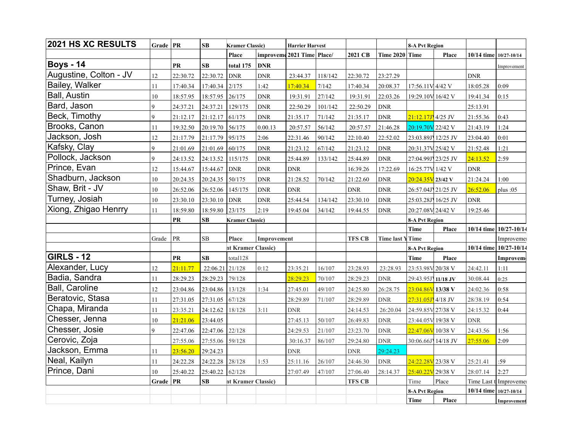| <b>2021 HS XC RESULTS</b> | Grade   PR  |                                                | SB<br><b>Kramer Classic)</b> |                        | <b>Harrier Harvest</b>      |                             |         | 8-A Pvt Region |                             |                             |       |                             |                        |
|---------------------------|-------------|------------------------------------------------|------------------------------|------------------------|-----------------------------|-----------------------------|---------|----------------|-----------------------------|-----------------------------|-------|-----------------------------|------------------------|
|                           |             |                                                |                              | Place                  |                             | improveme 2021 Time Place/  |         | 2021 CB        | Time 2020 Time              |                             | Place | 10/14 time 10/27-10/14      |                        |
| <b>Boys - 14</b>          |             | ${\bf PR}$                                     | $\mathbf{S}\mathbf{B}$       | total 175              | <b>DNR</b>                  |                             |         |                |                             |                             |       |                             | Improvement            |
| Augustine, Colton - JV    | 12          | 22:30.72                                       | 22:30.72                     | <b>DNR</b>             | <b>DNR</b>                  | 23:44.37                    | 118/142 | 22:30.72       | 23:27.29                    |                             |       | <b>DNR</b>                  |                        |
| Bailey, Walker            | 11          | 17:40.34                                       | 17:40.34                     | 2/175                  | 1:42                        | 17:40.34                    | 7/142   | 17:40.34       | 20:08.37                    | $17:56.11\,\text{V}$ 4/42 V |       | 18:05.28                    | 0:09                   |
| <b>Ball, Austin</b>       | 10          | 18:57.95                                       | 18:57.95                     | 26/175                 | <b>DNR</b>                  | 19:31.91                    | 27/142  | 19:31.91       | 22:03.26                    | 19:29.10V 16/42 V           |       | 19:41.34                    | 0:15                   |
| Bard, Jason               | 9           | 24:37.21                                       | 24:37.21                     | 129/175                | <b>DNR</b>                  | 22:50.29                    | 101/142 | 22:50.29       | <b>DNR</b>                  |                             |       | 25:13.91                    |                        |
| Beck, Timothy             | 9           | 21:12.17                                       | 21:12.17                     | 61/175                 | $\mathop{\rm DNR}\nolimits$ | 21:35.17                    | 71/142  | 21:35.17       | $\mathop{\rm DNR}\nolimits$ | $21:12.17J$ 4/25 JV         |       | 21:55.36                    | 0:43                   |
| Brooks, Canon             | 11          | 19:32.50                                       | 20:19.70                     | 56/175                 | 0.00.13                     | 20:57.57                    | 56/142  | 20:57.57       | 21:46.28                    | 20:19.70V 22/42 V           |       | 21:43.19                    | 1:24                   |
| Jackson, Josh             | 12          | 21:17.79                                       | 21:17.79                     | 95/175                 | 2:06                        | 22:31.46                    | 90/142  | 22:10.40       | 22:52.02                    | 23:03.89J 12/25 JV          |       | 23:04.40                    | 0:01                   |
| Kafsky, Clay              | 9           | 21:01.69                                       | 21:01.69                     | 60/175                 | <b>DNR</b>                  | 21:23.12                    | 67/142  | 21:23.12       | <b>DNR</b>                  | 20:31.37V 25/42 V           |       | 21:52.48                    | 1:21                   |
| Pollock, Jackson          | 9           | 24:13.52                                       | 24:13.52                     | 115/175                | <b>DNR</b>                  | 25:44.89                    | 133/142 | 25:44.89       | <b>DNR</b>                  | 27:04.99J 23/25 JV          |       | 24:13.52                    | 2:59                   |
| Prince, Evan              | 12          | 15:44.67                                       | 15:44.67                     | DNR                    | <b>DNR</b>                  | $\mathop{\rm DNR}\nolimits$ |         | 16:39.26       | 17:22.69                    | 16:25.77V 1/42 V            |       | $\mathop{\rm DNR}\nolimits$ |                        |
| Shadburn, Jackson         | 10          | 20:24.35                                       | 20:24.35                     | 50/175                 | <b>DNR</b>                  | 21:28.52                    | 70/142  | 21:22.60       | <b>DNR</b>                  | $20:24.35\sqrt{23/42}$ V    |       | 21:24.24                    | 1:00                   |
| Shaw, Brit - JV           | 10          | 26:52.06                                       | 26:52.06 145/175             |                        | <b>DNR</b>                  | <b>DNR</b>                  |         | <b>DNR</b>     | <b>DNR</b>                  | 26:57.04J 21/25 JV          |       | 26:52.06                    | plus $:05$             |
| Turney, Josiah            | $10\,$      | 23:30.10                                       | 23:30.10                     | DNR                    | <b>DNR</b>                  | 25:44.54                    | 134/142 | 23:30.10       | <b>DNR</b>                  | 25:03.28J 16/25 JV          |       | <b>DNR</b>                  |                        |
| Xiong, Zhigao Henrry      | 11          | 18:59.80                                       | 18:59.80                     | 23/175                 | 2:19                        | 19:45.04                    | 34/142  | 19:44.55       | <b>DNR</b>                  | 20:27.08V 24/42 V           |       | 19:25.46                    |                        |
|                           |             | PR                                             | $\mathbf{S}\mathbf{B}$       | <b>Kramer Classic)</b> |                             |                             |         |                |                             | 8-A Pvt Region              |       |                             |                        |
|                           |             |                                                |                              |                        |                             |                             |         |                |                             | Time                        | Place |                             | 10/14 time 10/27-10/14 |
|                           | Grade       | $\ensuremath{\mathop{\text{\rm PR}}\nolimits}$ | SB                           | Place                  | Improvement                 |                             |         | <b>TFS CB</b>  | Time last Y                 | <b>Time</b>                 |       |                             | Improveme              |
|                           |             |                                                |                              | nt Kramer Classic)     |                             |                             |         |                |                             | 8-A Pvt Region              |       |                             | 10/14 time 10/27-10/14 |
| GIRLS - 12                |             | ${\bf PR}$                                     | $\mathbf{S}\mathbf{B}$       | total128               |                             |                             |         |                |                             | Time                        | Place |                             | Improvem               |
| Alexander, Lucy           | 12          | 21:11.77                                       | 22:06.21 21/128              |                        | 0:12                        | 23:35.21                    | 16/107  | 23:28.93       | 23:28.93                    | 23:53.98V 20/38 V           |       | 24:42.11                    | 1:11                   |
| Badia, Sandra             | 11          | 28:29.23                                       | 28:29.23                     | 79/128                 |                             | 28:29.23                    | 70/107  | 28:29.23       | $\mathop{\rm DNR}\nolimits$ | 29:43.95J 11/18 JV          |       | 30:08.44                    | 0:25                   |
| Ball, Caroline            | 12          | 23:04.86                                       | 23:04.86                     | 13/128                 | 1:34                        | 27:45.01                    | 49/107  | 24:25.80       | 26:28.75                    | 23:04.86V 13/38 V           |       | 24:02.36                    | 0:58                   |
| Beratovic, Stasa          | 11          | 27:31.05                                       | 27:31.05                     | 67/128                 |                             | 28:29.89                    | 71/107  | 28:29.89       | <b>DNR</b>                  | $27:31.05J$ 4/18 JV         |       | 28/38.19                    | 0:54                   |
| Chapa, Miranda            | 11          | 23:35.21                                       | 24:12.62 18/128              |                        | 3:11                        | <b>DNR</b>                  |         | 24:14.53       | 26:20.04                    | 24:59.85V 27/38 V           |       | 24:15.32                    | 0:44                   |
| Chesser, Jenna            | 10          | 21:21.06                                       | 23:44.05                     |                        |                             | 27:45.13                    | 50/107  | 26:49.83       | <b>DNR</b>                  | 23:44.05V 19/38 V           |       | <b>DNR</b>                  |                        |
| Chesser, Josie            | 9           | 22:47.06                                       | 22:47.06 22/128              |                        |                             | 24:29.53                    | 21/107  | 23:23.70       | $\mathop{\rm DNR}\nolimits$ | 22:47.06V 10/38 V           |       | 24:43.56                    | 1:56                   |
| Cerovic, Zoja             |             | 27:55.06                                       | 27:55.06 59/128              |                        |                             | 30:16.37                    | 86/107  | 29:24.80       | $\mathop{\rm DNR}\nolimits$ | 30:06.66J 14/18 JV          |       | 27:55.06                    | 2:09                   |
| Jackson, Emma             | 11          | 23:56.20                                       | 29:24.23                     |                        |                             | <b>DNR</b>                  |         | <b>DNR</b>     | 29:24.23                    |                             |       |                             |                        |
| Neal, Kailyn              | 11          | 24:22.28                                       | 24:22.28 28/128              |                        | 1:53                        | 25:11.16                    | 26/107  | 24:46.30       | <b>DNR</b>                  | 24:22.28V 23/38 V           |       | 25:21.41                    | :59                    |
| Prince, Dani              | 10          | 25:40.22                                       | 25:40.22                     | 62/128                 |                             | 27:07.49                    | 47/107  | 27:06.40       | 28:14.37                    | 25:40.22V 29/38 V           |       | 28:07.14                    | 2:27                   |
|                           | Grade $ PR$ |                                                | SB                           | nt Kramer Classic)     |                             |                             |         | <b>TFS CB</b>  |                             | Time                        | Place |                             | Time Last t Improveme  |
|                           |             |                                                |                              |                        |                             |                             |         |                |                             | 8-A Pvt Region              |       | 10/14 time 10/27-10/14      |                        |
|                           |             |                                                |                              |                        |                             |                             |         |                |                             | <b>Time</b>                 | Place |                             | Improvement            |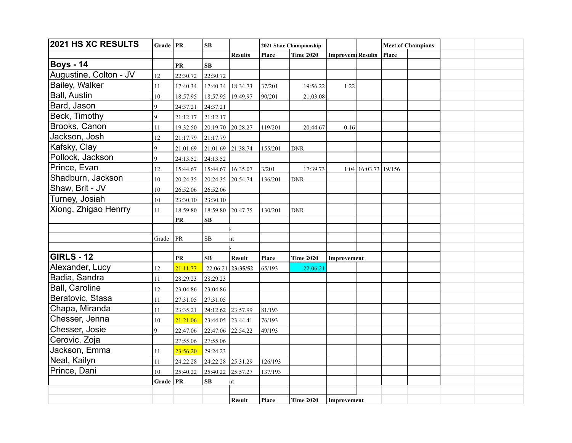|    |                                                                      | SB                                                                                                                                                                                |                                                                                                        | 2021 State Championship                                                                                                                                                                              |                                                                     |                              |  |                                                |                        |                          |  |
|----|----------------------------------------------------------------------|-----------------------------------------------------------------------------------------------------------------------------------------------------------------------------------|--------------------------------------------------------------------------------------------------------|------------------------------------------------------------------------------------------------------------------------------------------------------------------------------------------------------|---------------------------------------------------------------------|------------------------------|--|------------------------------------------------|------------------------|--------------------------|--|
|    |                                                                      |                                                                                                                                                                                   | <b>Results</b>                                                                                         | Place                                                                                                                                                                                                | <b>Time 2020</b>                                                    |                              |  | Place                                          |                        |                          |  |
|    | PR                                                                   | <b>SB</b>                                                                                                                                                                         |                                                                                                        |                                                                                                                                                                                                      |                                                                     |                              |  |                                                |                        |                          |  |
| 12 | 22:30.72                                                             | 22:30.72                                                                                                                                                                          |                                                                                                        |                                                                                                                                                                                                      |                                                                     |                              |  |                                                |                        |                          |  |
| 11 | 17:40.34                                                             | 17:40.34                                                                                                                                                                          | 18:34.73                                                                                               | 37/201                                                                                                                                                                                               | 19:56.22                                                            | 1:22                         |  |                                                |                        |                          |  |
| 10 | 18:57.95                                                             | 18:57.95                                                                                                                                                                          | 19:49.97                                                                                               | 90/201                                                                                                                                                                                               | 21:03.08                                                            |                              |  |                                                |                        |                          |  |
| 9  | 24:37.21                                                             | 24:37.21                                                                                                                                                                          |                                                                                                        |                                                                                                                                                                                                      |                                                                     |                              |  |                                                |                        |                          |  |
| 9  | 21:12.17                                                             | 21:12.17                                                                                                                                                                          |                                                                                                        |                                                                                                                                                                                                      |                                                                     |                              |  |                                                |                        |                          |  |
| 11 | 19:32.50                                                             | 20:19.70                                                                                                                                                                          | 20:28.27                                                                                               | 119/201                                                                                                                                                                                              | 20:44.67                                                            | 0:16                         |  |                                                |                        |                          |  |
| 12 | 21:17.79                                                             | 21:17.79                                                                                                                                                                          |                                                                                                        |                                                                                                                                                                                                      |                                                                     |                              |  |                                                |                        |                          |  |
| 9  | 21:01.69                                                             | 21:01.69                                                                                                                                                                          |                                                                                                        | 155/201                                                                                                                                                                                              | <b>DNR</b>                                                          |                              |  |                                                |                        |                          |  |
| 9  | 24:13.52                                                             | 24:13.52                                                                                                                                                                          |                                                                                                        |                                                                                                                                                                                                      |                                                                     |                              |  |                                                |                        |                          |  |
| 12 | 15:44.67                                                             | 15:44.67                                                                                                                                                                          | 16:35.07                                                                                               | 3/201                                                                                                                                                                                                | 17:39.73                                                            |                              |  |                                                |                        |                          |  |
| 10 | 20:24.35                                                             | 20:24.35                                                                                                                                                                          |                                                                                                        | 136/201                                                                                                                                                                                              | <b>DNR</b>                                                          |                              |  |                                                |                        |                          |  |
| 10 | 26:52.06                                                             | 26:52.06                                                                                                                                                                          |                                                                                                        |                                                                                                                                                                                                      |                                                                     |                              |  |                                                |                        |                          |  |
| 10 | 23:30.10                                                             | 23:30.10                                                                                                                                                                          |                                                                                                        |                                                                                                                                                                                                      |                                                                     |                              |  |                                                |                        |                          |  |
| 11 | 18:59.80                                                             |                                                                                                                                                                                   |                                                                                                        | 130/201                                                                                                                                                                                              | <b>DNR</b>                                                          |                              |  |                                                |                        |                          |  |
|    | <b>PR</b>                                                            | SB                                                                                                                                                                                |                                                                                                        |                                                                                                                                                                                                      |                                                                     |                              |  |                                                |                        |                          |  |
|    |                                                                      |                                                                                                                                                                                   |                                                                                                        |                                                                                                                                                                                                      |                                                                     |                              |  |                                                |                        |                          |  |
|    |                                                                      |                                                                                                                                                                                   |                                                                                                        |                                                                                                                                                                                                      |                                                                     |                              |  |                                                |                        |                          |  |
|    |                                                                      |                                                                                                                                                                                   |                                                                                                        |                                                                                                                                                                                                      |                                                                     |                              |  |                                                |                        |                          |  |
|    |                                                                      |                                                                                                                                                                                   |                                                                                                        |                                                                                                                                                                                                      |                                                                     |                              |  |                                                |                        |                          |  |
|    |                                                                      |                                                                                                                                                                                   |                                                                                                        |                                                                                                                                                                                                      |                                                                     |                              |  |                                                |                        |                          |  |
|    |                                                                      |                                                                                                                                                                                   |                                                                                                        |                                                                                                                                                                                                      |                                                                     |                              |  |                                                |                        |                          |  |
|    |                                                                      |                                                                                                                                                                                   |                                                                                                        |                                                                                                                                                                                                      |                                                                     |                              |  |                                                |                        |                          |  |
|    |                                                                      |                                                                                                                                                                                   |                                                                                                        |                                                                                                                                                                                                      |                                                                     |                              |  |                                                |                        |                          |  |
|    |                                                                      |                                                                                                                                                                                   |                                                                                                        |                                                                                                                                                                                                      |                                                                     |                              |  |                                                |                        |                          |  |
|    |                                                                      |                                                                                                                                                                                   |                                                                                                        |                                                                                                                                                                                                      |                                                                     |                              |  |                                                |                        |                          |  |
|    |                                                                      |                                                                                                                                                                                   |                                                                                                        |                                                                                                                                                                                                      |                                                                     |                              |  |                                                |                        |                          |  |
|    |                                                                      |                                                                                                                                                                                   |                                                                                                        |                                                                                                                                                                                                      |                                                                     |                              |  |                                                |                        |                          |  |
|    |                                                                      |                                                                                                                                                                                   |                                                                                                        |                                                                                                                                                                                                      |                                                                     |                              |  |                                                |                        |                          |  |
|    |                                                                      |                                                                                                                                                                                   |                                                                                                        |                                                                                                                                                                                                      |                                                                     |                              |  |                                                |                        |                          |  |
|    |                                                                      |                                                                                                                                                                                   |                                                                                                        |                                                                                                                                                                                                      |                                                                     |                              |  |                                                |                        |                          |  |
|    |                                                                      |                                                                                                                                                                                   |                                                                                                        |                                                                                                                                                                                                      |                                                                     |                              |  |                                                |                        |                          |  |
|    |                                                                      |                                                                                                                                                                                   | <b>Result</b>                                                                                          | Place                                                                                                                                                                                                | <b>Time 2020</b>                                                    |                              |  |                                                |                        |                          |  |
|    | Grade<br>$12\,$<br>11<br>12<br>11<br>11<br>10<br>9<br>11<br>11<br>10 | Grade $ PR$<br>PR<br>${\bf PR}$<br>21:11.77<br>28:29.23<br>23:04.86<br>27:31.05<br>23:35.21<br>21:21.06<br>22:47.06<br>27:55.06<br>23:56.20<br>24:22.28<br>25:40.22<br>Grade   PR | SB<br>$\mathbf{S}\mathbf{B}$<br>28:29.23<br>23:04.86<br>27:31.05<br>27:55.06<br>29:24.23<br>${\bf SB}$ | 21:38.74<br>20:54.74<br>18:59.80 20:47.75<br>nt<br><b>Result</b><br>22:06.21 23:35/52<br>24:12.62 23:57.99<br>23:44.05 23:44.41<br>22:47.06 22:54.22<br>24:22.28 25:31.29<br>25:40.22 25:57.27<br>nt | Place<br>65/193<br>81/193<br>76/193<br>49/193<br>126/193<br>137/193 | <b>Time 2020</b><br>22:06.21 |  | Improvem Results<br>Improvement<br>Improvement | $1:04$ 16:03.73 19/156 | <b>Meet of Champions</b> |  |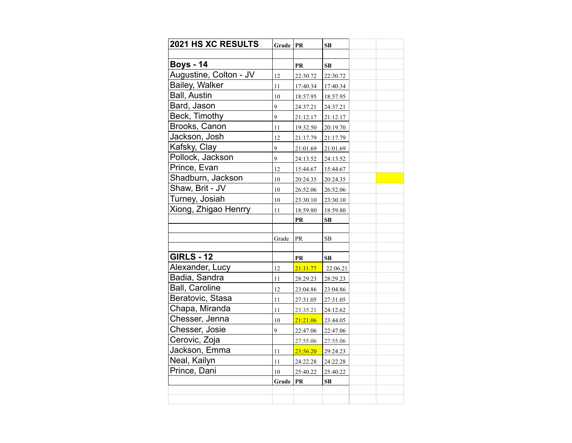| 2021 HS XC RESULTS     | Grade   PR |           | SB        |  |
|------------------------|------------|-----------|-----------|--|
|                        |            |           |           |  |
| <b>Boys - 14</b>       |            | PR        | SB        |  |
| Augustine, Colton - JV | 12         | 22:30.72  | 22:30.72  |  |
| Bailey, Walker         | 11         | 17:40.34  | 17:40.34  |  |
| Ball, Austin           | $10\,$     | 18:57.95  | 18:57.95  |  |
| Bard, Jason            | 9          | 24:37.21  | 24:37.21  |  |
| Beck, Timothy          | 9          | 21:12.17  | 21:12.17  |  |
| Brooks, Canon          | 11         | 19:32.50  | 20:19.70  |  |
| Jackson, Josh          | 12         | 21:17.79  | 21:17.79  |  |
| Kafsky, Clay           | 9          | 21:01.69  | 21:01.69  |  |
| Pollock, Jackson       | 9          | 24:13.52  | 24:13.52  |  |
| Prince, Evan           | 12         | 15:44.67  | 15:44.67  |  |
| Shadburn, Jackson      | $10\,$     | 20:24.35  | 20:24.35  |  |
| Shaw, Brit - JV        | 10         | 26:52.06  | 26:52.06  |  |
| Turney, Josiah         | $10\,$     | 23:30.10  | 23:30.10  |  |
| Xiong, Zhigao Henrry   | 11         | 18:59.80  | 18:59.80  |  |
|                        |            | PR        | SВ        |  |
|                        |            |           |           |  |
|                        | Grade      | <b>PR</b> | <b>SB</b> |  |
|                        |            |           |           |  |
| <b>GIRLS - 12</b>      |            | PR        | SB        |  |
| Alexander, Lucy        | 12         | 21:11.77  | 22:06.21  |  |
| Badia, Sandra          | 11         | 28:29.23  | 28:29.23  |  |
| <b>Ball, Caroline</b>  | 12         | 23:04.86  | 23:04.86  |  |
| Beratovic, Stasa       | $1\,1$     | 27:31.05  | 27:31.05  |  |
| Chapa, Miranda         | 11         | 23:35.21  | 24:12.62  |  |
| Chesser, Jenna         | $10\,$     | 21:21.06  | 23:44.05  |  |
| Chesser, Josie         | 9          | 22:47.06  | 22:47.06  |  |
| Cerovic, Zoja          |            | 27:55.06  | 27:55.06  |  |
| Jackson, Emma          | 11         | 23:56.20  | 29:24.23  |  |
| Neal, Kailyn           | 11         | 24:22.28  | 24:22.28  |  |
| Prince, Dani           | $10\,$     | 25:40.22  | 25:40.22  |  |
|                        | Grade      | PR        | SB        |  |
|                        |            |           |           |  |
|                        |            |           |           |  |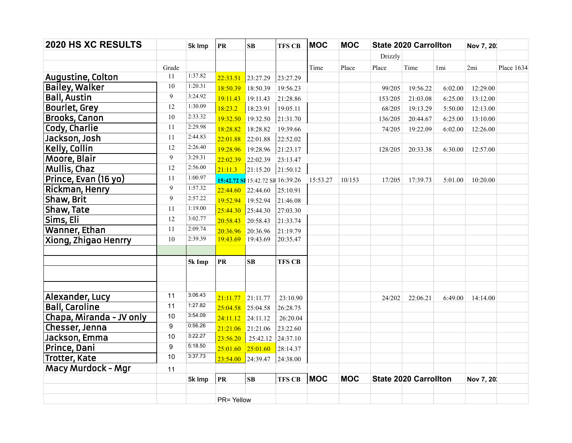| 2020 HS XC RESULTS       |                | 5k Imp  | <b>PR</b>         | $\mathbf{S}\mathbf{B}$           | <b>TFS CB</b> | <b>MOC</b> | <b>MOC</b> | <b>State 2020 Carrollton</b> |                              |                 | Nov 7, 20  |                   |
|--------------------------|----------------|---------|-------------------|----------------------------------|---------------|------------|------------|------------------------------|------------------------------|-----------------|------------|-------------------|
|                          |                |         |                   |                                  |               |            |            | <b>Drizzly</b>               |                              |                 |            |                   |
|                          | Grade          |         |                   |                                  |               | Time       | Place      | Place                        | Time                         | 1 <sub>mi</sub> | 2mi        | <b>Place 1634</b> |
| Augustine, Colton        | 11             | 1:37.82 |                   | 22:33.51 23:27.29                | 23:27.29      |            |            |                              |                              |                 |            |                   |
| <b>Bailey, Walker</b>    | 10             | 1:20.31 | 18:50.39          | 18:50.39                         | 19:56.23      |            |            | 99/205                       | 19:56.22                     | 6:02.00         | 12:29.00   |                   |
| <b>Ball, Austin</b>      | $\overline{9}$ | 3:24.92 | 19:11.43          | 19:11.43                         | 21:28.86      |            |            | 153/205                      | 21:03.08                     | 6:25.00         | 13:12.00   |                   |
| <b>Bourlet, Grey</b>     | 12             | 1:30.09 | 18:23.2           | 18:23.91                         | 19:05.11      |            |            | 68/205                       | 19:13.29                     | 5:50.00         | 12:13.00   |                   |
| <b>Brooks, Canon</b>     | 10             | 2:33.32 | 19:32.50          | 19:32.50                         | 21:31.70      |            |            | 136/205                      | 20:44.67                     | 6:25.00         | 13:10.00   |                   |
| Cody, Charlie            | 11             | 2:29.98 | 18:28.82          | 18:28.82                         | 19:39.66      |            |            | 74/205                       | 19:22.09                     | 6:02.00         | 12:26.00   |                   |
| Jackson, Josh            | 11             | 2:44.83 | 22:01.88          | 22:01.88                         | 22:52.02      |            |            |                              |                              |                 |            |                   |
| Kelly, Collin            | 12             | 2:26.40 | 19:28.96          | 19:28.96                         | 21:23.17      |            |            | 128/205                      | 20:33.38                     | 6:30.00         | 12:57.00   |                   |
| Moore, Blair             | 9              | 3:29.31 | 22:02.39          | 22:02.39                         | 23:13.47      |            |            |                              |                              |                 |            |                   |
| Mullis, Chaz             | 12             | 2:56.00 | 21:11.3           | 21:15.20                         | 21:50.12      |            |            |                              |                              |                 |            |                   |
| Prince, Evan (16 yo)     | 11             | 1:00.97 |                   | 15:42.72 SI 15:42.72 SR 16:39.26 |               | 15:53.27   | 10/153     | 17/205                       | 17:39.73                     | 5:01.00         | 10:20.00   |                   |
| Rickman, Henry           | 9              | 1:57.32 | 22:44.60          | 22:44.60                         | 25:10.91      |            |            |                              |                              |                 |            |                   |
| Shaw, Brit               | 9              | 2:57.22 | 19:52.94          | 19:52.94                         | 21:46.08      |            |            |                              |                              |                 |            |                   |
| Shaw, Tate               | 11             | 1:19.00 | 25:44.30          | 25:44.30                         | 27:03.30      |            |            |                              |                              |                 |            |                   |
| Sims, Eli                | 12             | 3:02.77 | 20:58.43          | 20:58.43                         | 21:33.74      |            |            |                              |                              |                 |            |                   |
| Wanner, Ethan            | 11             | 2:09.74 | 20:36.96          | 20:36.96                         | 21:19.79      |            |            |                              |                              |                 |            |                   |
| Xiong, Zhigao Henrry     | 10             | 2:39.39 | 19:43.69          | 19:43.69                         | 20:35.47      |            |            |                              |                              |                 |            |                   |
|                          |                |         |                   |                                  |               |            |            |                              |                              |                 |            |                   |
|                          |                | 5k Imp  | PR                | SB                               | <b>TFS CB</b> |            |            |                              |                              |                 |            |                   |
|                          |                |         |                   |                                  |               |            |            |                              |                              |                 |            |                   |
|                          |                |         |                   |                                  |               |            |            |                              |                              |                 |            |                   |
| Alexander, Lucy          | 11             | 3:06.43 | 21:11.77          | 21:11.77                         | 23:10.90      |            |            | 24/202                       | 22:06.21                     | 6:49.00         | 14:14.00   |                   |
| <b>Ball, Caroline</b>    | 11             | 1:27.82 | 25:04.58          | 25:04.58                         | 26:28.75      |            |            |                              |                              |                 |            |                   |
| Chapa, Miranda - JV only | 10             | 3:54.09 | 24:11.12          | 24:11.12                         | 26:20.04      |            |            |                              |                              |                 |            |                   |
| Chesser, Jenna           | 9              | 0:56.26 | 21:21.06          | 21:21.06                         | 23:22.60      |            |            |                              |                              |                 |            |                   |
| Jackson, Emma            | 10             | 3:22.27 | 23:56.20          | 25:42.12                         | 24:37.10      |            |            |                              |                              |                 |            |                   |
| Prince, Dani             | 9              | 5:18.50 |                   | $25:01.60$ $25:01.60$            | 28:14.37      |            |            |                              |                              |                 |            |                   |
| <b>Trotter, Kate</b>     | 10             | 3:37.73 |                   | $23:54.00$ 24:39.47              | 24:38.00      |            |            |                              |                              |                 |            |                   |
| Macy Murdock - Mgr       | 11             |         |                   |                                  |               |            |            |                              |                              |                 |            |                   |
|                          |                | 5k Imp  | PR                | SB                               | <b>TFS CB</b> | <b>MOC</b> | <b>MOC</b> |                              | <b>State 2020 Carrollton</b> |                 | Nov 7, 20: |                   |
|                          |                |         |                   |                                  |               |            |            |                              |                              |                 |            |                   |
|                          |                |         | <b>PR= Yellow</b> |                                  |               |            |            |                              |                              |                 |            |                   |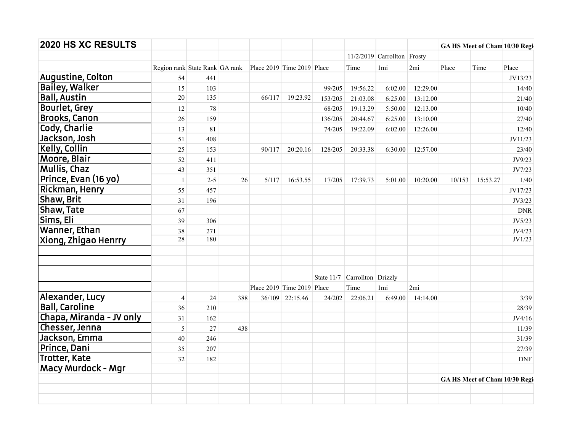| 2020 HS XC RESULTS       |                                                           |         |     |        |                                |         |                                       |                               |          |        |          | GA HS Meet of Cham 10/30 Regi- |
|--------------------------|-----------------------------------------------------------|---------|-----|--------|--------------------------------|---------|---------------------------------------|-------------------------------|----------|--------|----------|--------------------------------|
|                          |                                                           |         |     |        |                                |         |                                       | $11/2/2019$ Carrollton Frosty |          |        |          |                                |
|                          | Region rank State Rank GA rank Place 2019 Time 2019 Place |         |     |        |                                |         | Time                                  | 1mi                           | 2mi      | Place  | Time     | Place                          |
| Augustine, Colton        | 54                                                        | 441     |     |        |                                |         |                                       |                               |          |        |          | JV13/23                        |
| <b>Bailey, Walker</b>    | 15                                                        | 103     |     |        |                                | 99/205  | 19:56.22                              | 6:02.00                       | 12:29.00 |        |          | 14/40                          |
| <b>Ball, Austin</b>      | 20                                                        | 135     |     | 66/117 | 19:23.92                       | 153/205 | 21:03.08                              | 6:25.00                       | 13:12.00 |        |          | 21/40                          |
| Bourlet, Grey            | 12                                                        | 78      |     |        |                                | 68/205  | 19:13.29                              | 5:50.00                       | 12:13.00 |        |          | 10/40                          |
| Brooks, Canon            | 26                                                        | 159     |     |        |                                | 136/205 | 20:44.67                              | 6:25.00                       | 13:10.00 |        |          | 27/40                          |
| Cody, Charlie            | 13                                                        | 81      |     |        |                                | 74/205  | 19:22.09                              | 6:02.00                       | 12:26.00 |        |          | 12/40                          |
| Jackson, Josh            | 51                                                        | 408     |     |        |                                |         |                                       |                               |          |        |          | JV11/23                        |
| Kelly, Collin            | 25                                                        | 153     |     | 90/117 | 20:20.16                       | 128/205 | 20:33.38                              | 6:30.00                       | 12:57.00 |        |          | 23/40                          |
| Moore, Blair             | 52                                                        | 411     |     |        |                                |         |                                       |                               |          |        |          | JV9/23                         |
| Mullis, Chaz             | 43                                                        | 351     |     |        |                                |         |                                       |                               |          |        |          | JV7/23                         |
| Prince, Evan (16 yo)     | $\mathbf{1}$                                              | $2 - 5$ | 26  | 5/117  | 16:53.55                       | 17/205  | 17:39.73                              | 5:01.00                       | 10:20.00 | 10/153 | 15:53.27 | 1/40                           |
| Rickman, Henry           | 55                                                        | 457     |     |        |                                |         |                                       |                               |          |        |          | JV17/23                        |
| Shaw, Brit               | 31                                                        | 196     |     |        |                                |         |                                       |                               |          |        |          | JV3/23                         |
| Shaw, Tate               | 67                                                        |         |     |        |                                |         |                                       |                               |          |        |          | <b>DNR</b>                     |
| Sims, Eli                | 39                                                        | 306     |     |        |                                |         |                                       |                               |          |        |          | JV5/23                         |
| <b>Wanner, Ethan</b>     | 38                                                        | 271     |     |        |                                |         |                                       |                               |          |        |          | JV4/23                         |
| Xiong, Zhigao Henrry     | 28                                                        | 180     |     |        |                                |         |                                       |                               |          |        |          | JV1/23                         |
|                          |                                                           |         |     |        |                                |         |                                       |                               |          |        |          |                                |
|                          |                                                           |         |     |        |                                |         |                                       |                               |          |        |          |                                |
|                          |                                                           |         |     |        |                                |         |                                       |                               |          |        |          |                                |
|                          |                                                           |         |     |        | Place $2019$ Time $2019$ Place |         | State 11/7 Carrollton Drizzly<br>Time | 1mi                           | 2mi      |        |          |                                |
| Alexander, Lucy          | $\overline{4}$                                            | 24      | 388 |        | 36/109 22:15.46                | 24/202  | 22:06.21                              | 6:49.00                       | 14:14.00 |        |          | 3/39                           |
| <b>Ball, Caroline</b>    | 36                                                        | 210     |     |        |                                |         |                                       |                               |          |        |          | 28/39                          |
| Chapa, Miranda - JV only | 31                                                        | 162     |     |        |                                |         |                                       |                               |          |        |          | JV4/16                         |
| Chesser, Jenna           | 5                                                         | 27      | 438 |        |                                |         |                                       |                               |          |        |          | 11/39                          |
| Jackson, Emma            | 40                                                        | 246     |     |        |                                |         |                                       |                               |          |        |          | 31/39                          |
| Prince, Dani             | 35                                                        | 207     |     |        |                                |         |                                       |                               |          |        |          | 27/39                          |
| Trotter, Kate            | 32                                                        | 182     |     |        |                                |         |                                       |                               |          |        |          | <b>DNF</b>                     |
| Macy Murdock - Mgr       |                                                           |         |     |        |                                |         |                                       |                               |          |        |          |                                |
|                          |                                                           |         |     |        |                                |         |                                       |                               |          |        |          | GA HS Meet of Cham 10/30 Regi  |
|                          |                                                           |         |     |        |                                |         |                                       |                               |          |        |          |                                |
|                          |                                                           |         |     |        |                                |         |                                       |                               |          |        |          |                                |
|                          |                                                           |         |     |        |                                |         |                                       |                               |          |        |          |                                |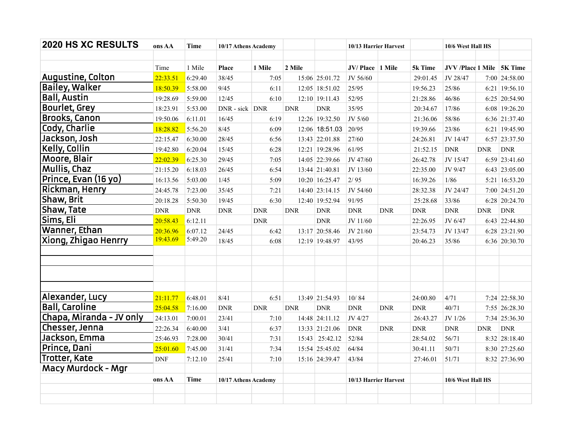| 2020 HS XC RESULTS       | ons AA     | Time       | 10/17 Athens Academy |            |            |                             | 10/13 Harrier Harvest |            |            | 10/6 West Hall HS        |            |                 |
|--------------------------|------------|------------|----------------------|------------|------------|-----------------------------|-----------------------|------------|------------|--------------------------|------------|-----------------|
|                          |            |            |                      |            |            |                             |                       |            |            |                          |            |                 |
|                          | Time       | 1 Mile     | Place                | 1 Mile     | 2 Mile     |                             | JV/Place 1 Mile       |            | 5k Time    | JVV/Place 1 Mile 5K Time |            |                 |
| Augustine, Colton        | 22:33.51   | 6:29.40    | 38/45                | 7:05       |            | 15:06 25:01.72              | JV 56/60              |            | 29:01.45   | JV 28/47                 |            | 7:00 24:58.00   |
| <b>Bailey, Walker</b>    | 18:50.39   | 5:58.00    | 9/45                 | 6:11       |            | 12:05 18:51.02              | 25/95                 |            | 19:56.23   | 25/86                    |            | $6:21$ 19:56.10 |
| <b>Ball, Austin</b>      | 19:28.69   | 5:59.00    | 12/45                | 6:10       |            | 12:10 19:11.43              | 52/95                 |            | 21:28.86   | 46/86                    |            | $6:25$ 20:54.90 |
| Bourlet, Grey            | 18:23.91   | 5:53.00    | DNR - sick DNR       |            | <b>DNR</b> | $\mathop{\rm DNR}\nolimits$ | 35/95                 |            | 20:34.67   | 17/86                    |            | 6:08 19:26.20   |
| Brooks, Canon            | 19:50.06   | 6:11.01    | 16/45                | 6:19       |            | 12:26 19:32.50              | JV 5/60               |            | 21:36.06   | 58/86                    |            | 6:36 21:37.40   |
| Cody, Charlie            | 18:28.82   | 5:56.20    | 8/45                 | 6:09       |            | 12:06 18:51.03              | 20/95                 |            | 19:39.66   | 23/86                    |            | 6:21   19:45.90 |
| Jackson, Josh            | 22:15.47   | 6:30.00    | 28/45                | 6:56       |            | 13:43 22:01.88              | 27/60                 |            | 24:26.81   | JV 14/47                 |            | $6:57$ 23:37.50 |
| Kelly, Collin            | 19:42.80   | 6:20.04    | 15/45                | 6:28       |            | 12:21 19:28.96              | 61/95                 |            | 21:52.15   | <b>DNR</b>               | <b>DNR</b> | <b>DNR</b>      |
| Moore, Blair             | 22:02.39   | 6:25.30    | 29/45                | 7:05       |            | 14:05 22:39.66              | JV 47/60              |            | 26:42.78   | JV 15/47                 |            | $6:59$ 23:41.60 |
| Mullis, Chaz             | 21:15.20   | 6:18.03    | 26/45                | 6:54       |            | 13:44 21:40.81              | JV 13/60              |            | 22:35.00   | JV 9/47                  |            | $6:43$ 23:05.00 |
| Prince, Evan (16 yo)     | 16:13.56   | 5:03.00    | 1/45                 | 5:09       |            | 10:20 16:25.47              | 2/95                  |            | 16:39.26   | 1/86                     |            | 5:21 16:53.20   |
| Rickman, Henry           | 24:45.78   | 7:23.00    | 35/45                | 7:21       |            | 14:40 23:14.15              | JV 54/60              |            | 28:32.38   | JV 24/47                 |            | $7:00$ 24:51.20 |
| Shaw, Brit               | 20:18.28   | 5:50.30    | 19/45                | 6:30       |            | 12:40 19:52.94              | 91/95                 |            | 25:28.68   | 33/86                    |            | $6:28$ 20:24.70 |
| Shaw, Tate               | <b>DNR</b> | <b>DNR</b> | <b>DNR</b>           | <b>DNR</b> | <b>DNR</b> | <b>DNR</b>                  | <b>DNR</b>            | <b>DNR</b> | <b>DNR</b> | <b>DNR</b>               | <b>DNR</b> | <b>DNR</b>      |
| Sims, Eli                | 20:58.43   | 6:12.11    |                      | <b>DNR</b> |            | <b>DNR</b>                  | JV 11/60              |            | 22:26.95   | JV 6/47                  |            | $6:43$ 22:44.80 |
| <b>Wanner, Ethan</b>     | 20:36.96   | 6:07.12    | 24/45                | 6:42       |            | 13:17 20:58.46              | JV 21/60              |            | 23:54.73   | JV 13/47                 |            | $6:28$ 23:21.90 |
| Xiong, Zhigao Henrry     | 19:43.69   | 5:49.20    | 18/45                | 6:08       |            | 12:19 19:48.97              | 43/95                 |            | 20:46.23   | 35/86                    |            | 6:36 20:30.70   |
|                          |            |            |                      |            |            |                             |                       |            |            |                          |            |                 |
|                          |            |            |                      |            |            |                             |                       |            |            |                          |            |                 |
|                          |            |            |                      |            |            |                             |                       |            |            |                          |            |                 |
|                          |            |            |                      |            |            |                             |                       |            |            |                          |            |                 |
|                          |            |            |                      |            |            |                             |                       |            |            |                          |            |                 |
| Alexander, Lucy          | 21:11.77   | 6:48.01    | 8/41                 | 6:51       |            | 13:49 21:54.93              | 10/84                 |            | 24:00.80   | 4/71                     |            | 7:24 22:58.30   |
| <b>Ball, Caroline</b>    | 25:04.58   | 7:16.00    | <b>DNR</b>           | <b>DNR</b> | <b>DNR</b> | <b>DNR</b>                  | <b>DNR</b>            | <b>DNR</b> | <b>DNR</b> | 40/71                    |            | 7:55 26:28.30   |
| Chapa, Miranda - JV only | 24:13.01   | 7:00.01    | 23/41                | 7:10       |            | 14:48 24:11.12              | JV 4/27               |            | 26:43.27   | JV 1/26                  |            | 7:34 25:36.30   |
| Chesser, Jenna           | 22:26.34   | 6:40.00    | 3/41                 | 6:37       |            | 13:33 21:21.06              | <b>DNR</b>            | <b>DNR</b> | <b>DNR</b> | <b>DNR</b>               | <b>DNR</b> | <b>DNR</b>      |
| Jackson, Emma            | 25:46.93   | 7:28.00    | 30/41                | 7:31       |            | 15:43 25:42.12              | 52/84                 |            | 28:54.02   | 56/71                    |            | $8:32$ 28:18.40 |
| Prince, Dani             | 25:01.60   | 7:45.00    | 31/41                | 7:34       |            | 15:54 25:45.02              | 64/84                 |            | 30:41.11   | 50/71                    |            | 8:30 27:25.60   |
| Trotter, Kate            | <b>DNF</b> | 7:12.10    | 25/41                | 7:10       |            | 15:16 24:39.47              | 43/84                 |            | 27:46.01   | 51/71                    |            | 8:32 27:36.90   |
| Macy Murdock - Mgr       |            |            |                      |            |            |                             |                       |            |            |                          |            |                 |
|                          | ons AA     | Time       | 10/17 Athens Academy |            |            |                             | 10/13 Harrier Harvest |            |            | 10/6 West Hall HS        |            |                 |
|                          |            |            |                      |            |            |                             |                       |            |            |                          |            |                 |
|                          |            |            |                      |            |            |                             |                       |            |            |                          |            |                 |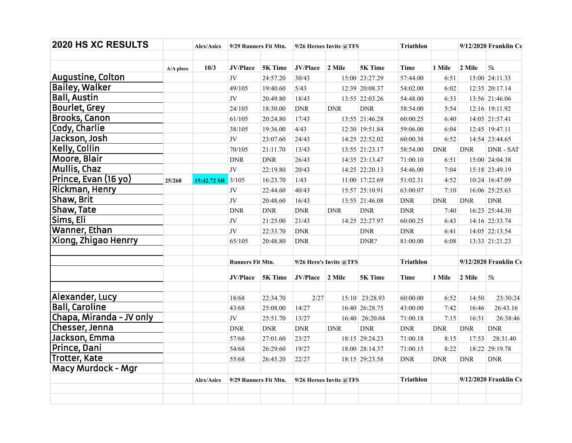| 2020 HS XC RESULTS        |             | <b>Alex/Asics</b> | 9/29 Runners Fit Mtn.   |            | 9/26 Heroes Invite @TFS     |                         |                | <b>Triathlon</b> |            |            | 9/12/2020 Franklin Co |
|---------------------------|-------------|-------------------|-------------------------|------------|-----------------------------|-------------------------|----------------|------------------|------------|------------|-----------------------|
|                           | $A/A$ place | 10/3              | <b>JV/Place</b>         | 5K Time    | JV/Place                    | 2 Mile                  | 5K Time        | Time             | 1 Mile     | 2 Mile     | 5k                    |
| Augustine, Colton         |             |                   | JV                      | 24:57.20   | 30/43                       |                         | 15:00 23:27.29 | 57:44.00         | 6:51       |            | 15:00 24:11.33        |
| <b>Bailey, Walker</b>     |             |                   | 49/105                  | 19:40.60   | 5/43                        |                         | 12:39 20:08.37 | 54:02.00         | 6:02       |            | 12:35 20:17.14        |
| <b>Ball, Austin</b>       |             |                   | JV                      | 20:49.80   | 18/43                       |                         | 13:55 22:03.26 | 54:48.00         | 6:33       |            | 13:56 21:46.06        |
| <b>Bourlet, Grey</b>      |             |                   | 24/105                  | 18:30.00   | <b>DNR</b>                  | <b>DNR</b>              | <b>DNR</b>     | 58:54.00         | 5:54       |            | 12:16 19:11.92        |
| <b>Brooks, Canon</b>      |             |                   | 61/105                  | 20:24.80   | 17/43                       |                         | 13:55 21:46.28 | 60:00.25         | 6:40       |            | 14:05 21:57.41        |
| Cody, Charlie             |             |                   | 38/105                  | 19:36.00   | 4/43                        |                         | 12:30 19:51.84 | 59:06.00         | 6:04       |            | 12:45 19:47.11        |
| Jackson, Josh             |             |                   | JV                      | 23:07.60   | 24/43                       |                         | 14:25 22:52.02 | 60:00.38         | 6:52       |            | 14:54 23:44.65        |
| Kelly, Collin             |             |                   | 70/105                  | 21:11.70   | 13/43                       |                         | 13:55 21:23.17 | 58:54.00         | <b>DNR</b> | <b>DNR</b> | DNR - SAT             |
| Moore, Blair              |             |                   | <b>DNR</b>              | <b>DNR</b> | 26/43                       |                         | 14:35 23:13.47 | 71:00.10         | 6:51       |            | 15:00 24:04.38        |
| Mullis, Chaz              |             |                   | JV                      | 22:19.80   | 20/43                       |                         | 14:25 22:20.13 | 54:46.00         | 7:04       |            | 15:18 23:49.19        |
| Prince, Evan (16 yo)      | 25/268      | 15:42.72 SR 3/105 |                         | 16:23.70   | 1/43                        |                         | 11:00 17:22.69 | 51:02.31         | 4:52       |            | 10:24 16:47.09        |
| Rickman, Henry            |             |                   | JV                      | 22:44.60   | 40/43                       |                         | 15:57 25:10.91 | 63:00.07         | 7:10       |            | 16:06 25:25.63        |
| Shaw, Brit                |             |                   | JV                      | 20:48.60   | 16/43                       |                         | 13:55 21:46.08 | <b>DNR</b>       | <b>DNR</b> | <b>DNR</b> | <b>DNR</b>            |
| Shaw, Tate                |             |                   | <b>DNR</b>              | <b>DNR</b> | <b>DNR</b>                  | <b>DNR</b>              | <b>DNR</b>     | <b>DNR</b>       | 7:40       |            | 16:23 25:44.30        |
| Sims, Eli                 |             |                   | JV                      | 21:25.00   | 21/43                       |                         | 14:25 22:27.97 | 60:00.25         | 6:43       |            | 14:16 22:33.74        |
| Wanner, Ethan             |             |                   | JV                      | 22:33.70   | <b>DNR</b>                  |                         | <b>DNR</b>     | <b>DNR</b>       | 6:41       |            | 14:05 22:13.54        |
| Xiong, Zhigao Henrry      |             |                   | 65/105                  | 20:48.80   | $\mathop{\rm DNR}\nolimits$ |                         | DNR?           | 81:00.00         | 6:08       |            | 13:33 21:21.23        |
|                           |             |                   |                         |            |                             |                         |                |                  |            |            |                       |
|                           |             |                   | <b>Runners Fit Mtn.</b> |            |                             | 9/26 Hero's Invite @TFS |                | <b>Triathlon</b> |            |            | 9/12/2020 Franklin Co |
|                           |             |                   | <b>JV/Place</b>         | 5K Time    | <b>JV/Place</b>             | 2 Mile                  | 5K Time        | Time             | 1 Mile     | 2 Mile     | 5k                    |
| Alexander, Lucy           |             |                   | 18/68                   | 22:34.70   | 2/27                        |                         | 15:10 23:28.93 | 60:00.00         | 6:52       | 14:50      | 23:30:24              |
| <b>Ball, Caroline</b>     |             |                   | 43/68                   | 25:08.00   | 14/27                       |                         | 16:40 26:28.75 | 43:00.00         | 7:42       | 16:46      | 26:43.16              |
| Chapa, Miranda - JV only  |             |                   | JV                      | 25:51.70   | 13/27                       |                         | 16:40 26:20.04 | 71:00.18         | 7:15       | 16:31      | 26:38:46              |
| Chesser, Jenna            |             |                   | <b>DNR</b>              | <b>DNR</b> | <b>DNR</b>                  | <b>DNR</b>              | <b>DNR</b>     | <b>DNR</b>       | <b>DNR</b> | <b>DNR</b> | <b>DNR</b>            |
| Jackson, Emma             |             |                   | 57/68                   | 27:01.60   | 23/27                       |                         | 18:15 29:24.23 | 71:00.18         | 8:15       | 17:53      | 28:31.40              |
| Prince, Dani              |             |                   | 54/68                   | 26:29.60   | 19/27                       |                         | 18:00 28:14.37 | 71:00.15         | 8:22       |            | 18:22 29:19.78        |
| <b>Trotter, Kate</b>      |             |                   | 55/68                   | 26:45.20   | 22/27                       |                         | 18:15 29:23.58 | <b>DNR</b>       | <b>DNR</b> | <b>DNR</b> | <b>DNR</b>            |
| <b>Macy Murdock - Mgr</b> |             |                   |                         |            |                             |                         |                |                  |            |            |                       |
|                           |             | <b>Alex/Asics</b> | 9/29 Runners Fit Mtn.   |            |                             | 9/26 Heroes Invite @TFS |                | <b>Triathlon</b> |            |            | 9/12/2020 Franklin Co |
|                           |             |                   |                         |            |                             |                         |                |                  |            |            |                       |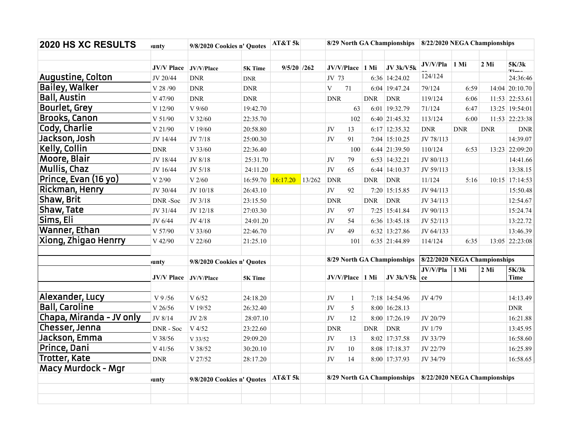| 2020 HS XC RESULTS       | ounty                          | 9/8/2020 Cookies n' Quotes |            | AT&T <sub>5k</sub> |        |             |                        |            |                             | 8/29 North GA Championships 8/22/2020 NEGA Championships |            |            |                        |
|--------------------------|--------------------------------|----------------------------|------------|--------------------|--------|-------------|------------------------|------------|-----------------------------|----------------------------------------------------------|------------|------------|------------------------|
|                          | <b>JV/V Place</b>              | JV/V/Place                 | 5K Time    | $9/5/20$ /262      |        |             | $JV/V/Place \mid 1 Mi$ |            | JV 3k/V5k                   | $JV/V/Pla$ 1 Mi                                          |            | $2$ Mi     | 5K/3k<br>$T_{\rm max}$ |
| Augustine, Colton        | JV 20/44                       | <b>DNR</b>                 | <b>DNR</b> |                    |        | JV 73       |                        |            | 6:36 14:24.02               | 124/124                                                  |            |            | 24:36:46               |
| <b>Bailey, Walker</b>    | V 28 /90                       | <b>DNR</b>                 | <b>DNR</b> |                    |        | $\mathbf V$ | 71                     |            | 6:04 19:47.24               | 79/124                                                   | 6:59       |            | $14:04$ 20:10.70       |
| <b>Ball, Austin</b>      | V 47/90                        | <b>DNR</b>                 | <b>DNR</b> |                    |        | <b>DNR</b>  |                        | <b>DNR</b> | DNR                         | 119/124                                                  | 6:06       |            | 11:53 22:53.61         |
| Bourlet, Grey            | V 12/90                        | V $9/60$                   | 19:42.70   |                    |        |             | 63                     |            | 6:01 19:32.79               | 71/124                                                   | 6:47       |            | 13:25 19:54:01         |
| <b>Brooks, Canon</b>     | V 51/90                        | V 32/60                    | 22:35.70   |                    |        |             | 102                    |            | 6:40 21:45.32               | 113/124                                                  | 6:00       |            | 11:53 22:23:38         |
| Cody, Charlie            | V 21/90                        | V 19/60                    | 20:58.80   |                    |        | JV          | 13                     |            | $6:17$ 12:35.32             | <b>DNR</b>                                               | <b>DNR</b> | <b>DNR</b> | <b>DNR</b>             |
| Jackson, Josh            | JV 14/44                       | JV 7/18                    | 25:00.30   |                    |        | JV          | 91                     |            | 7:04 15:10.25               | JV 78/113                                                |            |            | 14:39.07               |
| Kelly, Collin            | <b>DNR</b>                     | V $33/60$                  | 22:36.40   |                    |        |             | 100                    |            | $6:44$ 21:39.50             | 110/124                                                  | 6:53       |            | 13:23 22:09:20         |
| Moore, Blair             | JV 18/44                       | $\rm{JV}$ 8/18             | 25:31.70   |                    |        | JV          | 79                     |            | 6:53 14:32.21               | JV 80/113                                                |            |            | 14:41.66               |
| Mullis, Chaz             | JV 16/44                       | JV 5/18                    | 24:11.20   |                    |        | JV          | 65                     |            | 6:44 14:10.37               | JV 59/113                                                |            |            | 13:38.15               |
| Prince, Evan (16 yo)     | $V$ 2/90                       | V $2/60$                   | 16:59.70   | 16:17.20           | 13/262 | <b>DNR</b>  |                        | <b>DNR</b> | <b>DNR</b>                  | 11/124                                                   | 5:16       |            | $10:15$ 17:14:53       |
| Rickman, Henry           | JV 30/44                       | JV 10/18                   | 26:43.10   |                    |        | $\rm{JV}$   | 92                     |            | $7:20$ 15:15.85             | JV 94/113                                                |            |            | 15:50.48               |
| Shaw, Brit               | DNR-Soc                        | JV 3/18                    | 23:15.50   |                    |        | <b>DNR</b>  |                        | <b>DNR</b> | DNR                         | JV 34/113                                                |            |            | 12:54.67               |
| Shaw, Tate               | JV 31/44                       | JV 12/18                   | 27:03.30   |                    |        | JV          | 97                     |            | 7:25 15:41.84               | JV 90/113                                                |            |            | 15:24.74               |
| Sims, Eli                | JV 6/44                        | JV 4/18                    | 24:01.20   |                    |        | JV          | 54                     |            | 6:36 13:45.18               | JV 52/113                                                |            |            | 13:22.72               |
| <b>Wanner, Ethan</b>     | V 57/90                        | V 33/60                    | 22:46.70   |                    |        | JV          | 49                     |            | 6:32 13:27.86               | JV 64/133                                                |            |            | 13:46.39               |
| Xiong, Zhigao Henrry     | V 42/90                        | V 22/60                    | 21:25.10   |                    |        |             | 101                    |            | 6:35 21:44.89               | 114/124                                                  | 6:35       |            | $13:05$ 22:23:08       |
|                          |                                |                            |            |                    |        |             |                        |            |                             | 8/22/2020 NEGA Championships                             |            |            |                        |
|                          | ounty                          | 9/8/2020 Cookies n' Quotes |            |                    |        |             |                        |            | 8/29 North GA Championships | JV/V/Pla                                                 | $1$ Mi     | $2$ Mi     | 5K/3k                  |
|                          | <b>JV/V Place   JV/V/Place</b> |                            | 5K Time    |                    |        |             | $JV/V/Place$   1 Mi    |            | $JV$ 3k/V5k $ ce$           |                                                          |            |            | <b>Time</b>            |
| Alexander, Lucy          | V 9/56                         | V $6/52$                   | 24:18.20   |                    |        | JV          | 1                      |            | 7:18 14:54.96               | JV 4/79                                                  |            |            | 14:13.49               |
| <b>Ball, Caroline</b>    | $V$ 26/56                      | V 19/52                    | 26:32.40   |                    |        | JV          | 5                      |            | 8:00 16:28.13               |                                                          |            |            | <b>DNR</b>             |
| Chapa, Miranda - JV only | JV 8/14                        | $\rm{JV}$ $2/8$            | 28:07.10   |                    |        | JV          | 12                     |            | 8:00 17:26.19               | JV 20/79                                                 |            |            | 16:21.88               |
| Chesser, Jenna           | DNR - Soc                      | V 4/52                     | 23:22.60   |                    |        | <b>DNR</b>  |                        | <b>DNR</b> | DNR                         | JV 1/79                                                  |            |            | 13:45.95               |
| Jackson, Emma            | V $38/56$                      | $V$ 33/52                  | 29:09.20   |                    |        | JV          | 13                     |            | 8:02 17:37.58               | JV 33/79                                                 |            |            | 16:58.60               |
| Prince, Dani             | $V$ 41/56                      | V 38/52                    | 30:20.10   |                    |        | JV          | $10\,$                 |            | 8:08 17:18.37               | JV 22/79                                                 |            |            | 16:25.89               |
| Trotter, Kate            | <b>DNR</b>                     | V 27/52                    | 28:17.20   |                    |        | JV          | 14                     |            | 8:00 17:37.93               | JV 34/79                                                 |            |            | 16:58.65               |
| Macy Murdock - Mgr       |                                |                            |            |                    |        |             |                        |            |                             |                                                          |            |            |                        |
|                          | ounty                          | 9/8/2020 Cookies n' Quotes |            | AT&T5k             |        |             |                        |            | 8/29 North GA Championships | 8/22/2020 NEGA Championships                             |            |            |                        |
|                          |                                |                            |            |                    |        |             |                        |            |                             |                                                          |            |            |                        |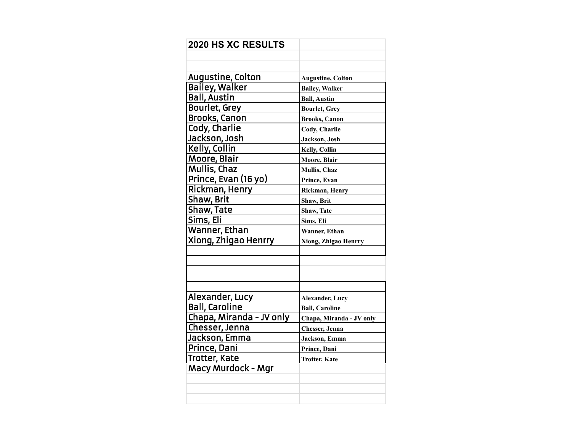| 2020 HS XC RESULTS       |                          |
|--------------------------|--------------------------|
|                          |                          |
|                          |                          |
| Augustine, Colton        | <b>Augustine, Colton</b> |
| <b>Bailey, Walker</b>    | <b>Bailey, Walker</b>    |
| <b>Ball, Austin</b>      | <b>Ball, Austin</b>      |
| <b>Bourlet, Grey</b>     | <b>Bourlet, Grey</b>     |
| Brooks, Canon            | <b>Brooks, Canon</b>     |
| Cody, Charlie            | Cody, Charlie            |
| Jackson, Josh            | Jackson, Josh            |
| Kelly, Collin            | <b>Kelly, Collin</b>     |
| Moore, Blair             | Moore, Blair             |
| Mullis, Chaz             | <b>Mullis, Chaz</b>      |
| Prince, Evan (16 yo)     | Prince, Evan             |
| Rickman, Henry           | Rickman, Henry           |
| Shaw, Brit               | Shaw, Brit               |
| Shaw, Tate               | Shaw, Tate               |
| Sims, Eli                | Sims, Eli                |
| Wanner, Ethan            | Wanner, Ethan            |
| Xiong, Zhigao Henrry     | Xiong, Zhigao Henrry     |
|                          |                          |
|                          |                          |
|                          |                          |
|                          |                          |
| Alexander, Lucy          | <b>Alexander, Lucy</b>   |
| <b>Ball, Caroline</b>    | <b>Ball, Caroline</b>    |
| Chapa, Miranda - JV only | Chapa, Miranda - JV only |
| Chesser, Jenna           | <b>Chesser</b> , Jenna   |
| Jackson, Emma            | Jackson, Emma            |
| Prince, Dani             | Prince, Dani             |
| <b>Trotter, Kate</b>     | <b>Trotter, Kate</b>     |
| Macy Murdock - Mgr       |                          |
|                          |                          |
|                          |                          |
|                          |                          |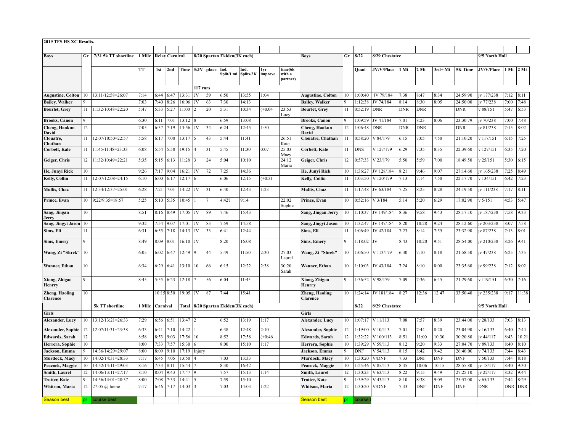| 2019 TFS HS XC Results.    |             |                                |                         |          |                 |                   |                          |                |                                      |           |           |                 |                            |        |              |                        |            |            |            |            |                            |            |              |
|----------------------------|-------------|--------------------------------|-------------------------|----------|-----------------|-------------------|--------------------------|----------------|--------------------------------------|-----------|-----------|-----------------|----------------------------|--------|--------------|------------------------|------------|------------|------------|------------|----------------------------|------------|--------------|
|                            |             |                                |                         |          |                 |                   |                          |                |                                      |           |           |                 |                            |        |              |                        |            |            |            |            |                            |            |              |
| <b>Boys</b>                | Gr          | 7/31 5k TT shortline           | 1 Mile   Relay Carnival |          |                 |                   |                          |                | 8/20 Spartan Ekiden(3K each)         |           |           |                 | <b>Boys</b>                | Gr     | 8/22         | 8/29 Chestatee         |            |            |            |            | 9/5 North Hall             |            |              |
|                            |             |                                | ТT                      |          | $1st$ 2nd       | Time #/JV   place |                          |                | Ind.                                 | Ind.      | 1vr       | time(6k         |                            |        | Ouad         | JV/V/Place  1 Mi       |            | 2 Mi       | $3rd+Mi$   | 5K Time    | $JV/V/Place$   1 Mi   2 Mi |            |              |
|                            |             |                                |                         |          |                 |                   |                          |                | Split/1 mi                           | Splits/3K | improve   | with a          |                            |        |              |                        |            |            |            |            |                            |            |              |
|                            |             |                                |                         |          |                 |                   |                          |                |                                      |           |           | partner)        |                            |        |              |                        |            |            |            |            |                            |            |              |
|                            |             |                                |                         |          |                 |                   | $117$ rnrs               |                |                                      |           |           |                 |                            |        |              |                        |            |            |            |            |                            |            |              |
| <b>Augustine, Colton</b>   | 10          | 13:11/12:58=26:07              | 7:14                    |          | $6:44$ 6:47     | 13:31             | JV                       | 59             | 6:50                                 | 13:55     | 1:04      |                 | <b>Augustine, Colton</b>   | 10     | 1:00:40      | JV 79/184              | 7:38       | 8:47       | 8:34       | 24:59.90   | iv 177/238                 | 7:12       | 8:11         |
| <b>Bailey, Walker</b>      |             |                                | 7:03                    | 7:40     | 8:26            | 16:06             | <b>JV</b>                | 63             | 7:30                                 | 14:13     |           |                 | <b>Bailey, Walker</b>      | 9      |              | 1:12:38 JV 74/184      | 8:14       | 8:30       | 8:05       | 24:50.00   | $\overline{iv}$ 77/238     | 7:00       | 7:48         |
| <b>Bourlet, Grey</b>       |             | $11 \quad 11:32/10:48=22:20$   | 5:47                    |          | 5:33 5:27       | $11:00$  2        |                          | 20             | 5:31                                 | 10:34     | $(+0.04)$ | 23:53<br>Lucy   | <b>Bourlet, Grey</b>       | 11     | 0:52:19      | <b>DNR</b>             | <b>DNR</b> | <b>DNR</b> |            | <b>DNR</b> | v 88/151                   | 5:47       | 6:53         |
| <b>Brooks, Canon</b>       | $\mathbf Q$ |                                | 6:30                    | 6:11     | 7:01            | 13:12             |                          |                | 6:59                                 | 13:08     |           |                 | <b>Brooks, Canon</b>       | 9      | 1:09:59      | JV 41/184              | 7:01       | 8:23       | 8:06       | 23:30.79   | iv 70/238                  | 7:00       | 7:48         |
| Cheng, Haokun<br>David     | 12          |                                | 7:05                    | 6:37     | 7:19            | $13:56$ JV        |                          | 34             | 6:24                                 | 12:45     | 1:50      |                 | Cheng, Haokun<br>David     | 12     | 1:06:48      | <b>DNR</b>             | <b>DNR</b> | <b>DNR</b> |            | <b>DNR</b> | jv 81/238                  | 7:15       | 8:02         |
| Clouatre,                  | $11-1$      | 12:07/10:50=22:57              | 5:58                    | 6:17     | 7:00            | $13:17$ 5         |                          | 43             | 5:44                                 | 11:41     |           | 26:51           | Clouatre, Chathan          | 11     | 0:58:20      | V 84/179               | 6:15       | 7:05       | 7:50       | 21:10.20   | v 117/151                  | 6:15       | 7:25         |
| Chathan<br>Corbett, Kale   | 11          | 11:45/11:48=23:33              | 6:08                    |          | $5:54$   $5:58$ | 19:15  4          |                          | 31             | 5:45                                 | 11:30     | 0:07      | Kate<br>25:03   | Corbett, Kale              | 11     | <b>DNS</b>   | V 127/179              | 6:29       | 7:35       | 8:35       | 22:39.60   | v 127/151                  | 6:35       | 7:20         |
|                            |             |                                |                         |          |                 |                   |                          |                |                                      |           |           | Macy            |                            |        |              |                        |            |            |            |            |                            |            |              |
| Geiger, Chris              | 12          | 11:32/10:49=22:21              | 5:35                    |          | $5:15$ 6:13     | $11:28$ 3         |                          | 24             | 5:04                                 | 10:10     |           | 24:12<br>Maria  | Geiger, Chris              | 12     |              | $0:57:33$ V 23/179     | 5:50       | 5:59       | 7:00       | 18:49.50   | v 25/151                   | 5:30       | 6:15         |
| He, Junyi Rick             | 10          |                                | 9:26                    | 7:17     | 9:04            | $16:21$ JV        |                          | 72             | 7:25                                 | 14:36     |           |                 | He, Junyi Rick             | 10     | 1:36:27      | JV 128/184             | 8:21       | 9:46       | 9:07       | 27:14.60   | iv 165/238                 | 7:25       | 8:49         |
| Kelly, Collin              | 11          | 12:07/12:08=24:15              | 6:10                    |          | 6:00 6:17       | 12:17             | 16                       |                | 6:06                                 | 12:15     | $(+0:31)$ |                 | Kelly, Collin              | 11     | 1:03:50      | V 120/179              | 7:13       | 7:14       | 7:50       | 22:17.70   | $v$ 134/151                | 6:42       | 7:23         |
| Mullis, Chaz               | 11          | 12:34/12:37=25:01              | 6:28                    | 7:21     | 7:01            | 14:22             | <b>JV</b>                | 31             | 6:40                                 | 12:43     | 1:23      |                 | Mullis, Chaz               | 11     | 1:17:48      | JV 63/184              | 7:25       | 8:25       | 8:28       | 24:19.50   | jv 111/238                 | 7:17       | 8:11         |
| Prince, Evan               | 10          | $9:22/9:35=18:57$              | 5:25                    |          | $5:10$ 5:35     | 10:45             |                          | $\overline{7}$ | 4:42?                                | 9:14      |           | 22:02           | Prince, Evan               | 10     | 0:52:16      | V 3/184                | 5:14       | 5:20       | 6:29       | 17:02.90   | v 5/151                    | 4:53       | 5:47         |
|                            | 10          |                                | 8:51                    |          | $8:16$ 8:49     | 17:05             | $_{\rm{JV}}$             | 89             | 7:46                                 | 15:43     |           | Sophie          |                            | 10     |              | 1:10:37 JV 149/184     | 8:36       | 9:58       | 9:43       | 28:17:10   | jv 187/238                 | 7:58       | 9:33         |
| Sang, Jingan<br>Jerry      |             |                                |                         |          |                 |                   |                          |                |                                      |           |           |                 | Sang, Jingan Jerry         |        |              |                        |            |            |            |            |                            |            |              |
| Sang, Jingyi Jason         | 10          |                                | 9:32                    | 7:54     | 9:07            | 17:01             | JV                       | 83             | 7:59                                 | 14:58     |           |                 | Sang, Jingyi Jason         | 10     | 1:32:47      | JV 147/184             | 8:20       | 10:28      | 9:24       | 28:12:60   | iv 203/238                 | 8:07       | 7:58         |
| Sims, Eli                  | 11          |                                | 6:31                    | 6:55     | 7:18            | 14:13             | JV                       | 33             | 6:41                                 | 12:44     |           |                 | Sims, Eli                  | 11     | 1:06:49      | JV 42/184              | 7:23       | 8:14       | 7:55       | 23:32.90   | jv 87/238                  | 7:13       | 8:01         |
| <b>Sims, Emery</b>         | 9           |                                | 8:49                    | 8:09     | 8:01            | $16:10$ JV        |                          |                | 8:20                                 | 16:08     |           |                 | <b>Sims, Emery</b>         | 9      | $1:18:02$ JV |                        | 8:43       | 10:20      | 9:51       | 28:54:00   | jv 210/238                 | 8:26       | 9:41         |
| Wang, Zi "Shrek"           | 10          |                                | 6:05                    |          | $6:02$ 6:47     | 12:49             | 19                       | 44             | 5:49                                 | 11:50     | 2:30      | 27:03           | Wang, Zi "Shrek'           | 10     |              | 1:06:50 V 113/179      | 6:30       | 7:10       | 8:18       | 21:58.50   | jv 47/238                  | 6:25       | 7:35         |
|                            |             |                                |                         |          | 6:29 6:41       | 13:10             | 10                       |                | 6:15                                 | 12:22     | 2:38      | Laurel<br>30:20 |                            |        |              | $1:10:03$ JV 43/184    | 7:24       | 8:10       | 8:00       | 23:35.60   | iv 99/238                  | 7:12       | 8:02         |
| Wanner, Ethan              | 10          |                                | 6:34                    |          |                 |                   |                          | 66             |                                      |           |           | Sarah           | Wanner, Ethan              | 10     |              |                        |            |            |            |            |                            |            |              |
| Xiong, Zhigao              | 9           |                                | 8:45                    |          | 5:55 6:23       | $12:18$   7       |                          | 56             | 6:04                                 | 11:45     |           |                 | Xiong, Zhigao              | 9      |              | 1:36:52 V 98/179       | 7:09       | 7:36       | 6:45       | 21:29.60   | v 119/151                  | 6:30       | 7:16         |
| Henrry                     |             |                                |                         |          |                 |                   |                          |                |                                      |           |           |                 | Henrry                     |        |              |                        |            |            |            |            |                            |            |              |
| Zheng, Haoling<br>Clarence | 10          |                                |                         |          | 10:15 8:50      | $19:05$ JV        |                          | 87             | 7:44                                 | 15:41     |           |                 | Zheng, Haoling<br>Clarence | 10     |              | $1:24:14$ JV $181/184$ | 8:27       | 12:36      | 12:47      | 33:50.40   | iv 235/238                 |            | $9:17$ 11:38 |
|                            |             | 5k TT shortline                | 1 Mile                  | Carnival |                 |                   |                          |                | Total   8/20 Spartan Ekiden(3K each) |           |           |                 |                            |        | 8/22         | 8/29 Chestatee         |            |            |            |            | 9/5 North Hall             |            |              |
| <b>Girls</b>               |             |                                |                         |          |                 |                   |                          |                |                                      |           |           |                 | Girls                      |        |              |                        |            |            |            |            |                            |            |              |
| <b>Alexander, Lucy</b>     | 10          | 13:12/13:21=26:33              | 7:29                    |          | 6:56 6:51       | $13:47$ 2         |                          |                | 6:52                                 | 13:19     | 1:17      |                 | <b>Alexander, Lucy</b>     | 10     | 1:07:17      | V 11/113               | 7:08       | 7:57       | 8:39       | 23:44.00   | v 28/133                   | 7:03       | 8:13         |
| <b>Alexander, Sophie</b>   | 12          | 12:07/11:31=23:38              | 6:33                    | 6:41     | 7:10            | 14:22             |                          |                | 6:38                                 | 12:48     | 2:10      |                 | <b>Alexander, Sophie</b>   | 12     | 1:19:00      | V 10/113               | 7:01       | 7:44       | 8:20       | 23:04.90   | v 16/133                   | 6:40       | 7:44         |
| Edwards, Sarah             | 12          |                                | 8:58                    |          | 8:53 9:03       | $17:56$   10      |                          |                | 8:52                                 | 17:58     | $(+0:46)$ |                 | <b>Edwards</b> , Sarah     | 12     | 1:32:22      | V 100/113              | 8:51       | 11:00      | 10:30      | 30:20.80   | jv 44/117                  | 8:43       | 10:21        |
| Herrera, Sophie            | 10          |                                | 8:00                    | 7:33     | 7:57            | 15:30             | 6                        |                | 8:00                                 | 15:10     | 1:17      |                 | Herrera, Sophie            | 10     | 1:39:29      | V 59/113               | 8:12       | 9:20       | 9:33       | 27:04.70   | v 89/133                   | 8:40       | 8:10         |
| Jackson, Emma              | 9           | 14:36/14:29=29:07              | 8:00                    |          | $8:09$ 9:10     | 17:19             | Injury                   |                |                                      |           |           |                 | Jackson, Emma              | 9      | <b>DNF</b>   | V 54/113               | 8:15       | 8:42       | 9:42       | 26:40:00   | v 74/133                   | 7:44       | 8:43         |
| Murdock, Macv              | 10          | 14:02/14:31=28:33              | 7:17                    | 6:45     | 7:05            | 13:50             |                          |                | 7:03                                 | 13:33     |           |                 | Murdock, Macy              | $10\,$ | 1:30:20      | V/DNF                  | 7:33       | <b>DNF</b> | <b>DNF</b> | <b>DNF</b> | v 50/133                   | 7:44       | 8:18         |
| Peacock, Maggie            | 10          | 14:52/14:11=29:03              | 8:16                    |          | $7:33$ 8:11     | 15:44             |                          |                | 8:30                                 | 16:42     |           |                 | Peacock, Maggie            | 10     | 1:25:46      | V 85/113               | 8:35       | 10:06      | 10:15      | 28:55.80   | jv 18/117                  | 8:40       | 9:30         |
| Smith, Laurel              | 12          | 14:06/13:11=27:17              | 8:10                    |          | 8:04 9:43       | 17:47             | q                        |                | 7:57                                 | 15:13     | 1:14      |                 | Smith, Laurel              | 12     | 1:30:23      | V 63/113               | 8:22       | 9:15       | 9:49       | 27:25.10   | jv 22/117                  | 8:32       | 9:44         |
| Trotter, Kate              | 9           | 14:36/14:01=28:37              | 8:00                    | 7:08     | 7:33            | 14:41             | $\overline{\phantom{a}}$ |                | 7:59                                 | 15:10     |           |                 | <b>Trotter, Kate</b>       | 9      | 1:39:29      | V 43/113               | 8:10       | 8:38       | 9:09       | 25:57.00   | v 65/133                   | 7:44       | 8:29         |
| Whitson, Maria             |             | 12   $27:05$ ( <i>a</i> ) home | 7:17                    | 6:46     | 7:17            | $14:03$ 3         |                          |                | 7:03                                 | 14:03     | 1:22      |                 | <b>Whitson, Maria</b>      | 12     | 1:30:20      | V/DNF                  | 7:33       | <b>DNF</b> | <b>DNF</b> | <b>DNF</b> | <b>DNR</b>                 | <b>DNR</b> | DNR          |
| <b>Season best</b>         | pr          | course best                    |                         |          |                 |                   |                          |                |                                      |           |           |                 | <b>Season best</b>         | pr     | course       |                        |            |            |            |            |                            |            |              |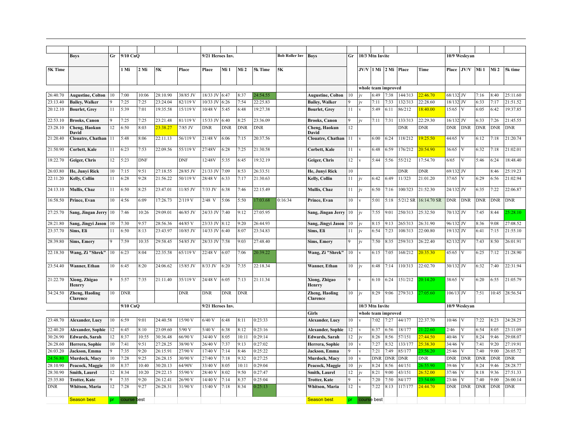|                      | <b>Boys</b>                       | Gr           | 9/10 CnQ     |               |                      |                      | 9/21 Heroes Inv.  |              |               |                    | <b>Bob Roller Inv</b> | <b>Boys</b>                               |                              | $Gr$   10/3 Mtn Invite |                 |                              |                   |                        |                     | 10/9 Wesleyan  |                    |              |                      |
|----------------------|-----------------------------------|--------------|--------------|---------------|----------------------|----------------------|-------------------|--------------|---------------|--------------------|-----------------------|-------------------------------------------|------------------------------|------------------------|-----------------|------------------------------|-------------------|------------------------|---------------------|----------------|--------------------|--------------|----------------------|
| 5K Time              |                                   |              | 1 Mi         | 2 Mi          | 5K                   | Place                | Place             | Mi 1         | Mi 2          | 5k Time            | 5K                    |                                           |                              |                        |                 | $JV/V$   1 Mi   2 Mi   Place |                   | Time                   |                     | Place $ JV/V $ | Mi 1               |              | Mi 2 $\vert$ 5k time |
|                      |                                   |              |              |               |                      |                      |                   |              |               |                    |                       |                                           |                              |                        |                 |                              |                   |                        |                     |                |                    |              |                      |
|                      |                                   |              |              |               |                      |                      |                   |              |               |                    |                       |                                           |                              |                        |                 | whole team improved          |                   |                        |                     |                |                    |              |                      |
| 26:40.70             | Augustine, Colton 10              |              | 7:00         | 10:06         | 28:10.90             | 38/85 JV             | 18/33 JV 6:47     |              | 8:37          | 24:54.55           |                       | <b>Augustine, Colton</b>                  | $ 10 $ $ iv $                |                        | 6:49            | 7:38                         | 144/313           | 22:46.70               | 68/132 JV           |                | 7:16               | 8:40         | 25:11.60             |
| 23:13.40             | <b>Bailey, Walker</b>             |              | 7:25         | 7:25          | 23:24.04             | 82/119 V             | 10/33 JV 6:26     |              | 7:54          | 22:25.83           |                       | <b>Bailey, Walker</b>                     |                              | liv                    | 7:11            | 7:33                         | 132/313           | 22:28.60               | 18/132 JV           |                | 6:33               | 7:17         | 21:51.52             |
| 20:12.10             | <b>Bourlet, Grey</b>              | 11           | 5:39         | 7:01          | 19:35.58             | 15/119 V             | 10/48 V 5:45      |              | 6:48          | 19:27.38           |                       | <b>Bourlet, Grey</b>                      | 11                           | v                      | 5:49            | 6:11                         | 86/212            | 8:40.00                | $15/65$ V           |                | 6:05               | 6:42         | 19:37.85             |
| 22:53.10             | <b>Brooks, Canon</b>              | 19.          | 7:25         | 7:25          | 23:21.48             | 81/119 V             | 15/33 JV          | 6:40         | 8:25          | 23:36.09           |                       | <b>Brooks, Canon</b>                      | 9                            | liv                    | 7:11            | 7:31                         | 133/313           | 22:29.30               | $16/132$ JV         |                | 6:33               | 7:26         | 21:45.55             |
| 23:28.10             | Cheng, Haokun<br>David            | 12           | 6:50         | 8:03          | 23:38.27             | $7/85$ JV            | <b>DNR</b>        | <b>DNR</b>   | <b>DNR</b>    | <b>DNR</b>         |                       | Cheng, Haokun<br>David                    | 12                           |                        |                 |                              | <b>DNR</b>        | <b>DNR</b>             | <b>DNR</b>          | DNR            | <b>DNR</b>         | <b>DNR</b>   | <b>DNR</b>           |
| 21:20.40             | Clouatre, Chathan   11            |              | 5:48         | 8:06          | 22:11.13             | 56/119 V             | 21/48 V           | 6:06         | 7:15          | 20:37.56           |                       | Clouatre, Chathan   11                    |                              | $\mathbf{v}$           | 6:00            | 6:24                         | 118/212           | 19:25.50               | $44/65$ V           |                | 6:12               | 7:18         | 21:20.74             |
| 21:50.90             | Corbett, Kale                     | 11           | 6:23         | 7:53          | 22:09.56             | 55/119 V             | 27/48V            | 6:28         | 7:25          | 21:30.58           |                       | Corbett, Kale                             | 11                           | $\mathbf{v}$           | 6:48            | 6:59                         | 176/212           | 20:54.90               | 36/65 V             |                | 6:32               | 7:18         | 21:02.01             |
| 18:22.70             | Geiger, Chris                     | 12           | 5:23         | <b>DNF</b>    |                      | <b>DNF</b>           | 12/48V            | 5:35         | 6:45          | 19:32.19           |                       | Geiger, Chris                             | $12 \mid v$                  |                        | 5:44            | 5:56                         | 55/212            | 17:54.70               | 6/65                | V              | 5:46               | 6:24         | 18:48.40             |
| 26:03.80             | He, Junyi Rick                    | 10           | 7:15         | 9:51          | 27:18.55             | 28/85 JV             | 21/33 JV          | 7:09         | 8:53          | 26:33.51           |                       | He, Junyi Rick                            | 10                           |                        |                 |                              | <b>DNR</b>        | <b>DNR</b>             | $69/132$ JV         |                |                    | 8:46         | 25:19.23             |
| 22:11.20             | <b>Kelly, Collin</b>              | 11           | 6:28         | 9:28          | 21:56.22             | 50/119 V             | 28/48 V           | 6:33         | 7:17          | 21:30.63           |                       | <b>Kelly, Collin</b>                      | $11$ liv                     |                        | 6:42            | 6:49                         | 11/323            | 21:01.20               | $37/65$ V           |                | 6:29               | 6:56         | 21:02.94             |
| 24:13.10             | Mullis, Chaz                      | 11           | 6:50         | 8:25          | 23:47.01             | 11/85 JV             | 7/33 JV           | 6:38         | 7:46          | 22:15.49           |                       | Mullis, Chaz                              | $11$  jv                     |                        | 6:50            | 7:16                         | 100/323           | 21:52.30               | $24/132$ JV         |                | 6:35               | 7:22         | 22:06.87             |
| 16:58.50             | Prince, Evan                      | 10           | 4:56         | 6:09          | 17:26.73             | 2/119V               | $2/48$ V          | 5:06         | 5:50          | 17:03.68           | 0:16:34               | Prince, Evan                              | 10                           |                        | 5:01            | 5:18                         |                   | 5/212 SR 16:14.70 SR   | <b>DNR</b>          | DNR            | <b>DNR</b>         | <b>DNR</b>   | <b>DNR</b>           |
| 27:25.70             | Sang, Jingan Jerry 10             |              | 7:46         | 10:26         | 29:09.01             | 46/85 JV             | 24/33 JV 7:40     |              | 9:12          | 27:05.95           |                       | Sang, Jingan Jerry $ 10 $ $ iv $          |                              |                        | 7:55            | 9:01                         | 250/313           | 25:32.50               | 70/132 JV           |                | 7:45               | 8:44         | 25:28.10             |
| 28:21.80             | Sang, Jingyi Jason 10             |              | 7:30         | 9:57          | 28:56.36             | 44/85 V              | 23/33 JV 8:12     |              | 9:20          | 26:44.93           |                       | Sang, Jingyi Jason                        | $10$ $ iv $                  |                        | 8:15            | 9:13                         | 265/313           | 26:31.90               | 96/132 JV           |                | 8:36               | 9:08         | 27:08.52             |
| 23:37.70             | Sims, Eli                         | 11           | 6:50         | 8:13          | 23:43.97             | 10/85 JV             | 14/33 JV 6:40     |              | 8:07          | 23:34.83           |                       | Sims, Eli                                 | 11                           | liv                    | 6:54            | 7:23                         | 108/313           | 22:00.80               | 19/132 JV           |                | 6:41               | 7:15         | 21:55.10             |
| 28:39.80             | <b>Sims, Emery</b>                | 9            | 7:59         | 10:35         | 29:58.45             | 54/85 JV             | 28/33 JV 7:58     |              | 9:03          | 27:48.40           |                       | <b>Sims, Emery</b>                        |                              | liv                    | 7:50            | 8:35                         | 259/313           | 26:22.40               | 82/132 JV           |                | 7:43               | 8:50         | 26:01.91             |
| 22:18.30             | Wang, Zi "Shrek" 10               |              | 6:23         | 8:04          | 22:35.58             | 65/119 V             | 22/48 V           | 6:07         | 7:06          | 20:39.22           |                       | Wang, Zi "Shrek"                          | $10 \mid v$                  |                        | 6:15            | 7:05                         | 168/212           | 20:35.30               | 45/65               |                | 6:25               | 7:12         | 21:28.90             |
| 23:54.40             | Wanner, Ethan                     | 10           | 6:45         | 8:20          | 24:06.62             | 15/85 JV             | 8/33 JV           | 6:20         | 7:35          | 22:18.34           |                       | Wanner, Ethan                             | $10$ $\vert$ iv              |                        | 6:48            | 7:14                         | 110/313           | 22:02.70               | 30/132 JV           |                | 6:32               | 7:40         | 22:31.94             |
| 21:22.70             | Xiong, Zhigao                     | <u>o</u>     | 5:57         | 7:35          | 21:11.40             | $35/119$ V           | 24/48 V           | 6:05         | 7:13          | 21:11.34           |                       | Xiong, Zhigao                             |                              |                        | 6:10            | 6:24                         | 151/212           | 20:14.20               | $38/65$ V           |                | 6:20               | 6:55         | 21:05.79             |
|                      | Henrry                            |              |              |               |                      |                      |                   |              |               |                    |                       | Henrry                                    |                              |                        |                 |                              |                   |                        |                     |                |                    |              |                      |
| 34:24.50             | Zheng, Haoling<br>Clarence        | 10           | <b>DNR</b>   |               |                      | <b>DNR</b>           | <b>DNR</b>        | DNR          | <b>DNR</b>    |                    |                       | Zheng, Haoling<br>Clarence                | $10$ $ iv $                  |                        | 8:29            | 9:06                         | 279/313           | 27:05.60               | $106/13$ JV         |                | 7:51               |              | 10:45 28:56.54       |
|                      |                                   |              | 9/10 CnO     |               |                      |                      | 9/21 Heroes Inv.  |              |               |                    |                       |                                           |                              |                        | 10/3 Mtn Invite |                              |                   |                        |                     | 10/9 Weslevan  |                    |              |                      |
|                      |                                   |              |              |               |                      |                      |                   |              |               |                    |                       | <b>Girls</b>                              |                              |                        |                 | whole team improved          |                   |                        |                     |                |                    |              |                      |
| 23:48.70             | Alexander, Lucy                   | 10           | 6:59         | 9:01          | 24:40.58             | 15/90V               | $6/40$ V          | 6:48         | 8:11          | 0:23:33            |                       | Alexander, Lucy                           | 10                           |                        | 7:02            | 7:27                         | 44/177            | 22:37.70               | $10/46$ V           |                | 7:22               | 8:23         | 24:28.25             |
| 22:40.20             | <b>Alexander, Sophie</b>          | $ 12\rangle$ | 6:45         | 8:10          | 23:09.60             | 5/90V                | 5/40 V            | 6:38         | 8:12          | 0:23:16            |                       | <b>Alexander, Sophie</b>                  | 12                           |                        | 6:37            | 6:56                         | 18/177            | 21:22.60               | 2/46                |                | 6:54               | 8:05         | 23:11.09             |
| 30:26.90<br>26:28.60 | Edwards, Sarah<br>Herrera, Sophie | 12<br>10     | 8:37<br>7:41 | 10:55<br>9:51 | 30:36.48<br>27:28.25 | 66/90 V<br>$38/90$ V | 34/40 V<br>26/40V | 8:05<br>7:37 | 10:11<br>9:13 | 0:29:14<br>0:27:02 |                       | <b>Edwards</b> , Sarah<br>Herrera, Sophie | $12$ $ iv $<br>$10 \sqrt{v}$ |                        | 8:26<br>7:27    | 8:56<br>8:32                 | 57/151<br>133/177 | 27:44.50<br>25:38.30   | $40/46$ V<br>34/46  |                | 8:24<br>7:41       | 9:46<br>9:20 | 29:08.07<br>27:19.91 |
| 26:03.20             |                                   | 9            |              |               |                      | 27/90 V              | 17/40 V           | 7:14         |               | 0:25:22            |                       |                                           | 9                            | v                      | 7:21            | 7:49                         | 85/177            |                        | 25/46               |                | 7:40               | 9:00         | 26:05.72             |
|                      | Jackson, Emma<br>Murdock, Macy    | 10           | 7:35<br>7:28 | 9:20<br>9:25  | 26:15.91<br>26:28.15 | 30/90 V              | 27/40 V           | 7:18         | 8:46<br>9:32  | 0:27:25            |                       | Jackson, Emma                             | $10 \mid v$                  |                        | <b>DNR</b>      | DNR                          | <b>DNR</b>        | 23:56.20<br><b>DNR</b> | <b>DNR</b>          | <b>DNR</b>     | <b>DNR</b>         | <b>DNR</b>   | <b>DNR</b>           |
| 24:56.80<br>28:10.90 | Peacock, Maggie                   | 10           |              |               | 30:20.13             | 64/90V               | 33/40 V           | 8:05         |               | 0:29:04            |                       | Murdock, Macy                             | $10$   $iv$                  |                        | 8:24            |                              |                   | 26:55.90               | 39/46               |                | 8:24               | 9:46         | 28:28.77             |
|                      |                                   |              | 8:37         | 10:40         |                      |                      |                   |              | 10:11         |                    |                       | Peacock, Maggie                           |                              |                        | 8:21            | 8:56                         | 44/151            |                        |                     |                |                    |              |                      |
| 28:30.90             | <b>Smith, Laurel</b>              | 12           | 8:34         | 10:20         | 29:22.15             | 55/90 V              | 28/40 V           | 8:02         | 9:50          | 0:27:47            |                       | <b>Smith, Laurel</b>                      | $12$   $iv$                  |                        |                 | 9:00                         | 43/151            | 26:52.00               | 37/46               |                | 8:18               | 9:36         | 27:51.33             |
| 25:35.80             | <b>Trotter, Kate</b>              | 19           | 7:35<br>7:28 | 9:20          | 26:12.41             | 26/90 V              | 14/40 V           | 7:14         | 8:37          | 0:25:04            |                       | <b>Trotter, Kate</b>                      | 9                            | l v                    | 7:20<br>7:22    | 7:50<br>8:13                 | 84/177            | 23:54.00               | 23/46<br><b>DNR</b> |                | 7:40<br><b>DNR</b> | 9:00         | 26:00.14             |
| <b>DNR</b>           | Whitson, Maria                    | 12           |              | 9:27          | 26:28.31             | 31/90 V              | 15/40 V           | 7:18         | 8:34          | 0:25:13            |                       | Whitson, Maria                            | 12                           | v                      |                 |                              | 117/177           | 24:44.70               |                     | DNR            |                    | <b>DNR</b>   | <b>DNR</b>           |
|                      | <b>Season best</b>                | pr           | course best  |               |                      |                      |                   |              |               |                    |                       | <b>Season best</b>                        | pr.                          | course best            |                 |                              |                   |                        |                     |                |                    |              |                      |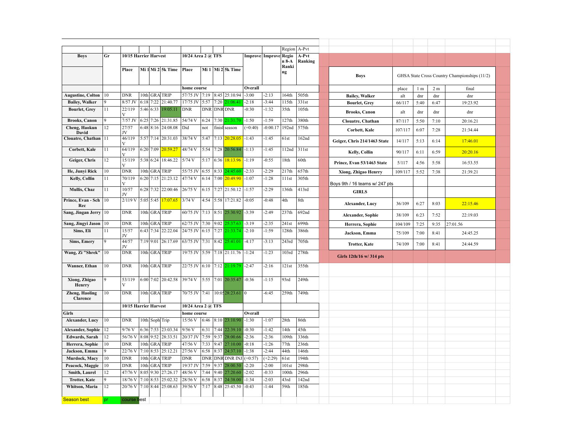|                                   |    |                        |                |                             |                       |              |      |                                       |                |                       | Region            | A-Pvt             |                                |         |                |                |                                               |  |
|-----------------------------------|----|------------------------|----------------|-----------------------------|-----------------------|--------------|------|---------------------------------------|----------------|-----------------------|-------------------|-------------------|--------------------------------|---------|----------------|----------------|-----------------------------------------------|--|
| <b>Boys</b>                       | Gr | 10/15 Harrier Harvest  |                |                             | 10/24 Area 2 @ TFS    |              |      |                                       |                | Improve Improve Regio | n 8-A             | A-Pvt<br>Ranking  |                                |         |                |                |                                               |  |
|                                   |    | Place                  |                | Mi $1$ Mi $2$ 5k Time Place |                       |              |      | Mi $1 \vert Mi \vert 2 \vert 5k$ Time |                |                       | Ranki             |                   |                                |         |                |                |                                               |  |
|                                   |    |                        |                |                             |                       |              |      |                                       |                |                       | ng                |                   | <b>Boys</b>                    |         |                |                | GHSA State Cross Country Championships (11/2) |  |
|                                   |    |                        |                |                             |                       |              |      |                                       |                |                       |                   |                   |                                |         |                |                |                                               |  |
|                                   |    |                        |                |                             | home course           |              |      |                                       | Overall        |                       |                   |                   |                                | place   | 1 <sub>m</sub> | 2 <sub>m</sub> | final                                         |  |
| <b>Augustine, Colton</b>          | 10 | <b>DNR</b>             |                | 10th GRA TRIP               | 57/75 JV              | 7:19         |      | 8:45 25:10.94                         | $-3:00$        | $-2:13$               | 164th             | 505th             | <b>Bailey, Walker</b>          | alt     | ${\rm dnr}$    | dnr            | dnr                                           |  |
| <b>Bailey, Walker</b>             |    | 8/57 JV                |                | $6:18$ 7:22 21:40.77        | $\overline{17/75}$ JV | 5:57         | 7:20 | 21:06.41                              | $-2:18$        | $-3:44$               | 115th             | 331st             | <b>Bourlet, Grey</b>           | 66/117  | 5:40           | 6:47           | 19:23.92                                      |  |
| <b>Bourlet, Grey</b>              | 11 | 22/119<br>$\mathbf{V}$ |                | 5:46 6:33 19:05.11          | <b>DNR</b>            | DNR          |      | <b>DNR DNR</b>                        | $-0:30$        | $-1:32$               | 35th              | 105th             | <b>Brooks, Canon</b>           | alt     | dnr            | dnr            | dnr                                           |  |
| <b>Brooks, Canon</b>              | 9  | 7/57 JV                |                | 6:25 7:26 21:31.85          | 54/74 V               | 6:24         | 7:30 | 21:31.70                              | $-1:50$        | $-1:59$               | 127th             | 380th             | Clouatre, Chathan              | 87/117  | 5:50           | 7:10           | 20:16.21                                      |  |
| Cheng, Haokun                     | 12 | 27/57                  |                | $6:48$ 8:16 24:08.08        | Did                   | not          |      | finish season                         | $(+0:40)$      | $-0:00.17$            | 192 <sub>nd</sub> | 575th             | Corbett, Kale                  | 107/117 | 6:07           | 7:28           | 21:34.44                                      |  |
| David<br><b>Clouatre, Chathan</b> | 11 | JV<br>46/119           |                | 5:57 7:14 20:31.03          | 38/74 V               | 5:47         | 7:13 | 20:28.05                              | $-1:43$        | $-1:45$               | 61st              | 162 <sub>nd</sub> |                                |         |                |                |                                               |  |
|                                   |    | $\mathbf{V}$           |                |                             |                       |              |      |                                       |                |                       |                   |                   | Geiger, Chris 214/1463 State   | 14/117  | 5:13           | 6:14           | 17:46.01                                      |  |
| Corbett, Kale                     | 11 | 64/119                 |                | 6:20 7:09 $20:59.27$        | 48/74 V               | 5:54         |      | 7:28 20:56.84                         | $-1:13$        | $-1:45$               | 112nd             | 311st             | Kelly, Collin                  | 90/117  | 6:11           | 6:59           | 20:20.16                                      |  |
| Geiger, Chris                     | 12 | 15/119                 |                | 5:38 6:24 18:46.22          | $5/74$ V              | 5:17         |      | 6:36 18:13.96                         | $-1:19$        | $-0:55$               | 18th              | 60th              |                                | 5/117   | 4:56           |                |                                               |  |
|                                   |    |                        |                |                             |                       |              |      |                                       |                |                       |                   |                   | Prince, Evan 53/1463 State     |         |                | 5:58           | 16:53.55                                      |  |
| He, Junyi Rick                    | 10 | <b>DNR</b>             |                | 10th GRA TRIP               | 55/75 JV              | 6:55         | 8:33 | 24:45.60                              | $-2:33$        | $-2:29$               | 217th             | 657th             | Xiong, Zhigao Henrry           | 109/117 | 5:52           | 7:38           | 21:39.21                                      |  |
| Kelly, Collin                     | 11 | 70/119<br>v            |                | 6:20 7:15 21:23.12          | 47/74V                | 6:14         |      | 7:00 20:49.90                         | $-1:07$        | $-1:28$               | 111st             | 305th             | Boys 9th / 16 teams w/ 247 pts |         |                |                |                                               |  |
| Mullis, Chaz                      | 11 | 10/57                  |                | $6:28$ 7:32 22:00:46        | $26/75$ V             | 6:15         |      | 7:27 21:50.12                         | $-1:57$        | $-2:29$               | 136th             | 413rd             | <b>GIRLS</b>                   |         |                |                |                                               |  |
| Prince, Evan - Sch                | 10 | JV<br>2/119 V          |                | 5:05 5:45 $17:07.65$ 3/74 V |                       | 4:54         |      | 5:58 17:21.82                         | $-0:05$        | $-0:48$               | 4th               | 8th               |                                |         |                |                |                                               |  |
| Rec                               |    |                        |                |                             |                       |              |      |                                       |                |                       |                   |                   | <b>Alexander, Lucy</b>         | 36/109  | 6:27           | 8:03           | 22:15.46                                      |  |
| Sang, Jingan Jerry 10             |    | <b>DNR</b>             |                | 10th GRA TRIP               | $60/75$ JV            | 7:13         |      | 8:51 25:30.92                         | $-3:39$        | $-2:49$               | 237th             | 692nd             | <b>Alexander, Sophie</b>       | 38/109  | 6:23           | 7:52           | 22:19.03                                      |  |
| Sang, Jingyi Jason                | 10 | <b>DNR</b>             |                | 10th GRA TRIP               | 62/75 JV              |              | 9:02 | 5:37.63                               | $-3:19$        | $-2:35$               | 241st             | 699th             |                                |         |                |                |                                               |  |
| Sims, Eli                         | 11 | 15/57                  |                | 6:43 7:34 22:22.04          | 24/75 JV              | 7:30<br>6:15 | 7:27 | 21:33.74                              | $-2:10$        | $-1:59$               | 128th             | 386th             | Herrera, Sophie                | 104/109 | 7:25           | 9:35           | 27:01.56                                      |  |
|                                   |    | JV                     |                |                             |                       |              |      |                                       |                |                       |                   |                   | Jackson, Emma                  | 75/109  | 7:00           | 8:41           | 24:45.25                                      |  |
| <b>Sims, Emery</b>                | 9  | 44/57                  | $7:19$ 9:01    | 26:17.69                    | 63/75 JV              | 7:31         |      | $8:42$ 25:41.01                       | $-4:17$        | $-3:13$               | 243rd             | 705th             | <b>Trotter, Kate</b>           | 74/109  | 7:00           | 8:41           | 24:44.59                                      |  |
| Wang, Zi "Shrek"                  | 10 | JV<br><b>DNR</b>       |                | 10th GRA TRIP               | 19/75 JV              | 5:59         |      | 7:18 21:11.76 -1:24                   |                | $-1:23$               | 103rd             | 278th             |                                |         |                |                |                                               |  |
|                                   |    |                        |                |                             |                       |              |      |                                       |                |                       |                   |                   | Girls 12th/16 w/ 314 pts       |         |                |                |                                               |  |
| Wanner, Ethan                     | 10 | <b>DNR</b>             |                | 10th GRA TRIP               | 22/75 JV              | 6:10         |      | 7:12 21:19.79                         | $-2:47$        | $-2:16$               | 121st             | 355th             |                                |         |                |                |                                               |  |
|                                   |    |                        |                |                             |                       |              |      |                                       |                |                       |                   |                   |                                |         |                |                |                                               |  |
| Xiong, Zhigao                     | 9  | 53/119                 |                | 6:00 7:02 20:42.58 39/74 V  |                       | 5:55         |      | 7:01 20:35.47                         | $-0:36$        | $-1:15$               | 93rd              | 249th             |                                |         |                |                |                                               |  |
| Henrry                            |    |                        |                |                             |                       |              |      |                                       |                |                       |                   |                   |                                |         |                |                |                                               |  |
| Zheng, Haoling<br>Clarence        | 10 | <b>DNR</b>             |                | 10th GRA TRIP               | 70/75 JV 7:41         |              |      | 10:01 28:23.61                        | $\overline{0}$ | $-6:45$               | 259th             | 749th             |                                |         |                |                |                                               |  |
|                                   |    | 10/15 Harrier Harvest  |                |                             | 10/24 Area 2 @ TFS    |              |      |                                       |                |                       |                   |                   |                                |         |                |                |                                               |  |
| <b>Girls</b>                      |    |                        |                |                             | home course           |              |      |                                       | Overall        |                       |                   |                   |                                |         |                |                |                                               |  |
| Alexander, Lucy                   | 10 | <b>DNR</b>             | 10th Soph Trip |                             | 15/56 V               | 6:46         |      | 8:10 23:10.90                         | $-1:30$        | $-1:07$               | 28th              | 86th              |                                |         |                |                |                                               |  |
| Alexander, Sophie                 | 12 | $9/76$ V               |                | 6:36 7:53 23:03.34          | $9/56$ V              | 6:31         | 7:44 | 22:39.10                              | $-0:30$        | $-1:42$               | 14th              | 45th              |                                |         |                |                |                                               |  |
| <b>Edwards</b> , Sarah            | 12 | 56/76 V                |                | 8:08 9:52 28:33.51          | 20/37 JV              | 7:59         |      | 9:37 28:00.66                         | $-2:36$        | $-2:36$               | 109th             | 336th             |                                |         |                |                |                                               |  |
| Herrera, Sophie                   | 10 | <b>DNR</b>             |                | 10th GRA TRIP               | 47/56 V               | 7:33         |      | 9:47 27:10.00                         | $-0:18$        | $-1:26$               | 77th              | 236th             |                                |         |                |                |                                               |  |
| Jackson, Emma                     | 9  | 22/76 V                |                | 7:10 8:53 25:12.21          | 27/56 V               | 6:58         |      | 8:37 24:37.10                         | $-1:38$        | $-2:44$               | 44th              | 146th             |                                |         |                |                |                                               |  |
| Murdock, Macy                     | 10 | <b>DNR</b>             |                | 10th GRA TRIP               | <b>DNR</b>            | <b>DNR</b>   |      | DNR DNR INJ $(+0.57)$                 |                | $(+2:29)$             | 61st              | 194th             |                                |         |                |                |                                               |  |
| Peacock, Maggie                   | 10 | <b>DNR</b>             |                | 10th GRA TRIP               | 19/37 JV              | 7:59         |      | 9:37 28:00.50                         | $-2:20$        | $-2:00$               | 101st             | 298th             |                                |         |                |                |                                               |  |
| Smith, Laurel                     | 12 | 47/76 V                |                | 8:05 9:30 27:26.17          | 48/56 V               | 7:44         |      | 9:40 27:20.60                         | $-2:02$        | $-0:33$               | 100th             | 296th             |                                |         |                |                |                                               |  |
| <b>Trotter, Kate</b>              | 9  | 18/76 V                | $7:10$ 8:53    | 25:02.32                    | 28/56 V               | 6:58         |      | 8:37 24:38.00                         | $-1:34$        | $-2:03$               | 43rd              | 142nd             |                                |         |                |                |                                               |  |
| Whitson, Maria                    | 12 | 20/76 V                |                | $7:10$ 8:44 25:08.63        | 39/56 V               | 7:17         |      | 8:48 25:45.50                         | $-0:43$        | $-1:44$               | 59th              | 185th             |                                |         |                |                |                                               |  |
|                                   |    |                        |                |                             |                       |              |      |                                       |                |                       |                   |                   |                                |         |                |                |                                               |  |
| <b>Season best</b>                | pr | course best            |                |                             |                       |              |      |                                       |                |                       |                   |                   |                                |         |                |                |                                               |  |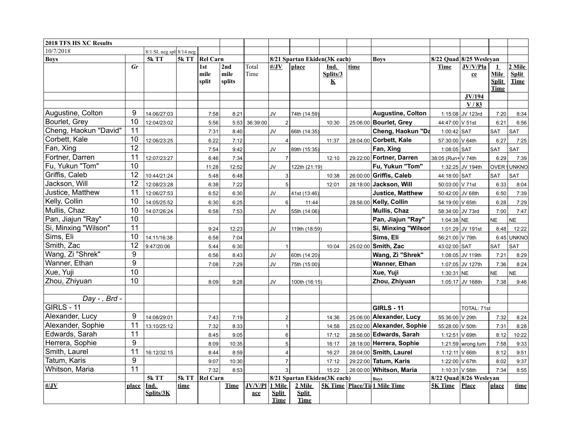| 2018 TFS HS XC Results      |                  |                             |              |                      |                       |                       |                                       |                                       |                                             |      |                                      |                         |                    |                                                     |                                       |
|-----------------------------|------------------|-----------------------------|--------------|----------------------|-----------------------|-----------------------|---------------------------------------|---------------------------------------|---------------------------------------------|------|--------------------------------------|-------------------------|--------------------|-----------------------------------------------------|---------------------------------------|
| 10/7/2018                   |                  | $8/1$ SL neg spl $8/14$ neg |              |                      |                       |                       |                                       |                                       |                                             |      |                                      |                         |                    |                                                     |                                       |
| <b>Boys</b>                 |                  | 5k TT                       | <b>5k TT</b> | <b>Rel Carn</b>      |                       |                       |                                       | 8/21 Spartan Ekiden(3K each)          |                                             |      | <b>Boys</b>                          | 8/22 Ouad 8/25 Weslevan |                    |                                                     |                                       |
|                             | Gr               |                             |              | 1st<br>mile<br>split | 2nd<br>mile<br>splits | Total<br>Time         | $\#/\mathbf{JV}$                      | place                                 | Ind.<br>Splits/3<br>$\overline{\mathbf{K}}$ | time |                                      | Time                    | JV/V/Pla<br>$e$    | $\mathbf{1}$<br><b>Mile</b><br><b>Split</b><br>Time | 2 Mile<br><b>Split</b><br><b>Time</b> |
|                             |                  |                             |              |                      |                       |                       |                                       |                                       |                                             |      |                                      |                         | <b>JV/194</b>      |                                                     |                                       |
|                             |                  |                             |              |                      |                       |                       |                                       |                                       |                                             |      |                                      |                         | V/83               |                                                     |                                       |
| Augustine, Colton           | 9                | 14:06/27:03                 |              | 7:58                 | 8:21                  |                       | JV                                    | 74th (14:59)                          |                                             |      | <b>Augustine, Colton</b>             |                         | 1:15:08 JV 123rd   | 7:20                                                | 8:34                                  |
| Bourlet, Grey               | 10               | 12:04/23:02                 |              | 5:56                 | 5:53                  | 36:39:00              | $\overline{2}$                        |                                       | 10:30                                       |      | 25:06:00 Bourlet, Grey               | 44:47:00 V 51st         |                    | 6:21                                                | 6:56                                  |
| Cheng, Haokun "David"       | 11               |                             |              | 7:31                 | 8:40                  |                       | JV                                    | 66th (14:35)                          |                                             |      | Cheng, Haokun "Da                    | $1:00:42$ SAT           |                    | SAT                                                 | SAT                                   |
| Corbett, Kale               | 10               | 12:06/23:25                 |              | 6:22                 | 7:12                  |                       | $\overline{4}$                        |                                       | 11:37                                       |      | 28:04:00 Corbett, Kale               | 57:30:00 V 64th         |                    | 6:27                                                | 7:25                                  |
| Fan, Xing                   | 12               |                             |              | 7:54                 | 9:42                  |                       | JV                                    | 89th (15:35)                          |                                             |      | Fan, Xing                            | $1:08:05$ SAT           |                    | SAT                                                 | <b>SAT</b>                            |
| Fortner, Darren             | 11               | 12:07/23:27                 |              | 6:46                 | 7:34                  |                       | $\overline{7}$                        |                                       | 12:10                                       |      | 29:22:00 Fortner, Darren             | 38:05 (Run+ V 74th      |                    | 6:29                                                | 7:39                                  |
| Fu, Yukun "Tom"             | 10               |                             |              | 11:28                | 12:52                 |                       | JV                                    | 122th (21:19)                         |                                             |      | Fu, Yukun "Tom"                      |                         | 1:32:25 JV 194th   |                                                     | OVER IUNKNO                           |
| Griffis, Caleb              | 12               | 10:44/21:24                 |              | 5:48                 | 6:48                  |                       | 3                                     |                                       | 10:38                                       |      | 26:00:00 Griffis, Caleb              | 44:18:00 SAT            |                    | SAT                                                 | SAT                                   |
| Jackson, Will               | 12               | 12:08/23:28                 |              | 6:38                 | 7:22                  |                       | 5                                     |                                       | 12:01                                       |      | 28:18:00 Jackson, Will               | 50:03:00 V 71st         |                    | 6:33                                                | 8:04                                  |
| Justice, Matthew            | 11               | 12:06/27:53                 |              | 6:52                 | 6:30                  |                       | JV                                    | 41st (13:46)                          |                                             |      | <b>Justice, Matthew</b>              | 50:42:00 JV 68th        |                    | 6:50                                                | 7:39                                  |
| Kelly, Collin               | 10               | 14:05/25:52                 |              | 6:30                 | 6:25                  |                       | 6                                     | 11:44                                 |                                             |      | 28:56:00 Kelly, Collin               | 54:19:00 V 65th         |                    | 6:28                                                | 7:29                                  |
| Mullis, Chaz                | 10               | 14:07/26:24                 |              | 6:58                 | 7:53                  |                       | JV                                    | 55th (14:06)                          |                                             |      | Mullis, Chaz                         | 58:34:00 JV 73rd        |                    | 7:00                                                | 7:47                                  |
| Pan, Jiajun "Ray"           | 10               |                             |              |                      |                       |                       |                                       |                                       |                                             |      | Pan, Jiajun "Ray"                    | $1:04:38$ NE            |                    | NE                                                  | <b>NE</b>                             |
| Si, Minxing "Wilson"        | 11               |                             |              | 9:24                 | 12:23                 |                       | JV                                    | 119th (18:59)                         |                                             |      | Si, Minxing "Wilson                  |                         | 1:01:29 JV 191st   | 8:48                                                | 12:22                                 |
| Sims, Eli                   | 10               | 14:11/16:38                 |              | 6:58                 | 7:04                  |                       |                                       |                                       |                                             |      | Sims, Eli                            | 56:21:00 V 79th         |                    |                                                     | 6:45 UNKNO                            |
| Smith, Zac                  | 12               | 9:47/20:06                  |              | 5:44                 | 6:30                  |                       | $\overline{1}$                        |                                       | 10:04                                       |      | 25:02:00 Smith, Zac                  | 43:02:00 SAT            |                    | <b>SAT</b>                                          | SAT                                   |
| Wang, Zi "Shrek"            | 9                |                             |              | 6:56                 | 8:43                  |                       | JV                                    | 60th (14:20)                          |                                             |      | Wang, Zi "Shrek"                     |                         | 1:08:05 JV 119th   | 7:21                                                | 8:29                                  |
| Wanner, Ethan               | 9                |                             |              | 7:08                 | 7:29                  |                       | JV                                    | 75th (15:00)                          |                                             |      | Wanner, Ethan                        |                         | 1:07:05 JV 127th   | 7:36                                                | 8:24                                  |
| Xue, Yuji                   | 10               |                             |              |                      |                       |                       |                                       |                                       |                                             |      | Xue, Yuji                            | 1:30:31 NE              |                    | NE                                                  | <b>NE</b>                             |
| Zhou, Zhiyuan               | 10               |                             |              | 8:09                 | 9:28                  |                       | JV                                    | 100th (16:15)                         |                                             |      | Zhou, Zhiyuan                        |                         | 1:05:17 JV 168th   | 7:38                                                | 9:46                                  |
|                             |                  |                             |              |                      |                       |                       |                                       |                                       |                                             |      |                                      |                         |                    |                                                     |                                       |
| Day - , Brd -               |                  |                             |              |                      |                       |                       |                                       |                                       |                                             |      |                                      |                         |                    |                                                     |                                       |
| <b>GIRLS - 11</b>           |                  |                             |              |                      |                       |                       |                                       |                                       |                                             |      | <b>GIRLS - 11</b>                    |                         | TOTAL: 71st        |                                                     |                                       |
| Alexander, Lucy             | 9                | 14:08/29:01                 |              | 7:43                 | 7:19                  |                       | $\overline{2}$                        |                                       | 14:36                                       |      | 25:06:00 Alexander, Lucy             | 55:36:00 V 29th         |                    | 7:32                                                | 8:24                                  |
| Alexander, Sophie           | 11               | 13:10/25:12                 |              | 7:32                 | 8:33                  |                       | $\overline{1}$                        |                                       | 14:58                                       |      | 25:02:00 Alexander, Sophie           | 55:28:00 V 50th         |                    | 7:31                                                | 8:28                                  |
| Edwards, Sarah              | 11               |                             |              | 8:45                 | 9:05                  |                       | $\,6\,$                               |                                       | 17:12                                       |      | 28:56:00 Edwards, Sarah              | 1:12:51 V 69th          |                    | 8:12                                                | 10:22                                 |
| Herrera, Sophie             | 9                |                             |              | 8:09                 | 10:35                 |                       | 5                                     |                                       | 16:17                                       |      | 28:18:00 Herrera, Sophie             |                         | 1:21:59 wrong turn | 7:58                                                | 9:33                                  |
| Smith, Laurel               | 11               | 16:12/32:15                 |              | 8:44                 | 8:59                  |                       | $\overline{4}$                        |                                       | 16:27                                       |      | 28:04:00 Smith, Laurel               | 1:12:11 V 66th          |                    | 8:12                                                | 9:51                                  |
| Tatum, Karis                | $\boldsymbol{9}$ |                             |              | 9:07                 | 10:30                 |                       | $\overline{7}$                        |                                       | 17:12                                       |      | 29:22:00 Tatum, Karis                | 1:22:00 V 67th          |                    | 8:02                                                | 9:37                                  |
| Whitson, Maria              | 11               |                             |              | 7:32                 | 8:53                  |                       | 3                                     |                                       | 15:22                                       |      | 26:00:00 Whitson, Maria              | $1:10:31$ V 58th        |                    | 7:34                                                | 8:55                                  |
|                             |                  | 5k TT                       | 5k TT        | Rel Carn             |                       |                       |                                       | 8/21 Spartan Ekiden(3K each)          |                                             |      | <b>Boys</b>                          | 8/22 Quad 8/26 Wesleyan |                    |                                                     |                                       |
| $\frac{\text{H}}{\text{H}}$ | <u>place</u>     | Ind.<br>Splits/3K           | time         |                      | <b>Time</b>           | <b>JV/V/Pl</b><br>ace | 1 Mile<br><b>Split</b><br><b>Time</b> | 2 Mile<br><b>Split</b><br><u>Time</u> |                                             |      | <b>5K Time Place/Til 1 Mile Time</b> | 5K Time                 | <b>Place</b>       | <u>place</u>                                        | time                                  |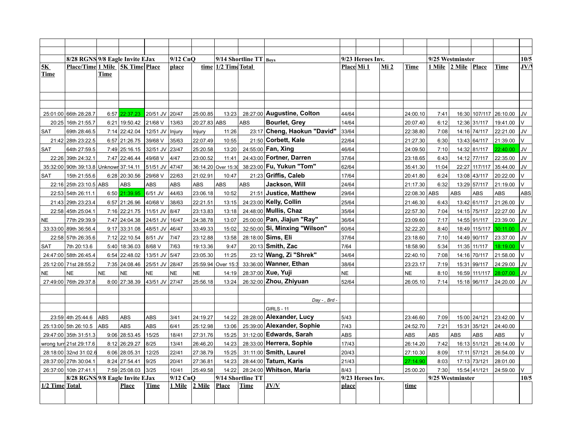|                | 8/28 RGNS 9/8 Eagle Invite EJax        |           |                              |                | $9/12$ CnO |              |                       | $9/14$ Shortline TT Boys |                               |            | 9/23 Heroes Inv. |                 |            |            | 9/25 Westminster |               |                        | 10/5         |
|----------------|----------------------------------------|-----------|------------------------------|----------------|------------|--------------|-----------------------|--------------------------|-------------------------------|------------|------------------|-----------------|------------|------------|------------------|---------------|------------------------|--------------|
| 5K             | Place/Time 1 Mile 5K Time Place        |           |                              |                | place      |              | time $1/2$ Time Total |                          |                               |            | Place Mi 1       | Mi <sub>2</sub> | Time       | 1 Mile     | $2$ Mile Place   |               | Time                   | <b>JV/V</b>  |
| <b>Time</b>    |                                        | Time      |                              |                |            |              |                       |                          |                               |            |                  |                 |            |            |                  |               |                        |              |
|                |                                        |           |                              |                |            |              |                       |                          |                               |            |                  |                 |            |            |                  |               |                        |              |
|                | 25:01:00 66th 28:28.7                  |           | 6:57 22:37.23 20/51 JV 20/47 |                |            | 25:00.85     | 13:23                 |                          | 28:27:00 Augustine, Colton    | 44/64      |                  |                 | 24:00.10   | 7:41       |                  |               | 16:30 107/117 26:10.00 | JV           |
|                | 20:25 16th 21:55.7                     |           | 6:21 19:50.42                | 21/68 V        | 13/63      | 20:27.83 ABS |                       | ABS                      | <b>Bourlet, Grey</b>          | 14/64      |                  |                 | 20:07.40   | 6:12       |                  | 12:36 31/117  | 19:41.00               |              |
| <b>SAT</b>     | 69th 28:46.5                           |           | 7:14 22:42.04                | 12/51 JV       | Injury     | Injury       | 11:26                 |                          | 23:17 Cheng, Haokun "David"   | 33/64      |                  |                 | 22:38.80   | 7:08       |                  | 14:16 74/117  | 22:21.00               | JV           |
|                | 21:42 28th 23:22.5                     |           | $6:57$ 21:26.75              | 39/68 V        | 35/63      | 22:07.49     | 10:55                 |                          | 21:50 Corbett, Kale           | 22/64      |                  |                 | 21:27.30   | 6:30       |                  | 13:43 64/117  | 21:39.00               | V            |
| <b>SAT</b>     | 64th 27:59.5                           |           | 7:49 25:16.15                | 32/51 JV       | 23/47      | 25:20.58     | 13:20                 |                          | 24:55:00 Fan, Xing            | 46/64      |                  |                 | 24:09.50   | 7:10       |                  | 14:32 81/117  | 22:40.00               | JV           |
|                | 22:26 39th 24:32.1                     |           | 7:47 22:46.44                | 49/68 V        | 4/47       | 23:00.52     | 11:41                 |                          | 24:43:00 Fortner, Darren      | 37/64      |                  |                 | 23:18.65   | 6:43       |                  | 14:12 77/117  | 22:35.00               | JV           |
|                | 35:32:00 90th 39:13.8 Unknown 37:14.11 |           |                              | 51/51 JV 47/47 |            |              | 36:14.20 Over 15:30   |                          | 38:23:00 Fu, Yukun "Tom"      | 62/64      |                  |                 | 35:41.30   | 11:04      |                  | 22:27 117/117 | 35:44.00               | JV           |
| SAT            | 15th 21:55.6                           |           | $6:28$ 20:30.56              | 29/68 V        | 22/63      | 21:02.91     | 10:47                 |                          | 21:23 Griffis, Caleb          | 17/64      |                  |                 | 20:41.80   | 6:24       |                  | 13:08 43/117  | 20:22.00               | V            |
|                | 22:16 25th 23:10.5 ABS                 |           | ABS                          | <b>ABS</b>     | <b>ABS</b> | <b>ABS</b>   | ABS                   | <b>ABS</b>               | Jackson, Will                 | 24/64      |                  |                 | 21:17.30   | 6:32       |                  | 13:29 57/117  | 21:19.00               | V            |
|                | 22:53 54th 26:11.1                     |           | 6:50 $21:39.95$ 6/51 JV      |                | 44/63      | 23:06.18     | 10:52                 |                          | 21:51 Justice, Matthew        | 29/64      |                  |                 | 22:08.30   | <b>ABS</b> | <b>ABS</b>       | <b>ABS</b>    | <b>ABS</b>             | <b>ABS</b>   |
|                | 21:43 29th 23:23.4                     |           | $6:57$ 21:26.96              | 40/68 V        | 38/63      | 22:21.51     | 13:15                 |                          | 24:23:00 Kelly, Collin        | 25/64      |                  |                 | 21:46.30   | 6:43       |                  | 13:42 61/117  | 21:26.00               | V            |
|                | 22:58 45th 25:04.1                     |           | 7:16 22:21.75                | 11/51 JV       | 8/47       | 23:13.83     | 13:18                 |                          | 24:48:00 Mullis, Chaz         | 35/64      |                  |                 | 22:57.30   | 7:04       |                  | 14:15 75/117  | 22:27.00               | JV           |
| <b>NE</b>      | 77th 29:39.9                           |           | 7:47 24:04.38                | 24/51 JV       | 16/47      | 24:38.78     | 13:07                 |                          | 25:00:00 Pan, Jiajun "Ray"    | 36/64      |                  |                 | 23:09.60   | 7:17       |                  | 14:55 91/117  | 23:39.00               | JV           |
|                | 33:33:00 89th 36:56.4                  |           | $9:17$ 33:31.08              | 48/51 JV       | 46/47      | 33:49.33     | 15:02                 |                          | 32:50:00 Si, Minxing "Wilson" | 60/64      |                  |                 | 32:22.20   | 8:40       |                  |               | 18:49 115/117 30:11.00 | JV           |
|                | 22:58 57th 26:35.6                     |           | 7:12 22:10.54                | 8/51 JV        | 7/47       | 23:12.88     | 13:58                 |                          | 28:18:00 Sims, Eli            | 37/64      |                  |                 | 23:18.60   | 7:10       |                  | 14:49 90/117  | 23:37.00               | JV           |
| SAT            | 7th 20:13.6                            |           | $5:40$ 18:36.03              | 8/68 V         | 7/63       | 19:13.36     | 9:47                  |                          | 20:13 Smith, Zac              | 7/64       |                  |                 | 18:58.90   | 5:34       |                  | 11:35 11/117  | 18:19.00               | V            |
|                | 24:47:00 58th 26:45.4                  |           | $6:54$ 22:48.02              | 13/51 JV       | 5/47       | 23:05.30     | 11:25                 |                          | 23:12 Wang, Zi "Shrek"        | 34/64      |                  |                 | 22:40.10   | 7:08       |                  | 14:16 70/117  | 21:58.00               | V            |
|                | 25:12:00 71st 28:55.2                  |           | 7:35 24:08.46                | 25/51 JV 28/47 |            |              | 25:59.94 Over 15:3    |                          | 33:36:00 Wanner, Ethan        | 38/64      |                  |                 | 23:23.17   | 7:19       | 15:31            | 99/117        | 24:29.00               | JV           |
| NE             | <b>NE</b>                              | <b>NE</b> | <b>NE</b>                    | <b>NE</b>      | <b>NE</b>  | <b>NE</b>    | 14:19                 |                          | 28:37:00 Xue, Yuji            | <b>NE</b>  |                  |                 | <b>NE</b>  | 8:10       |                  | 16:59 111/117 | 28:07.00               | JV           |
|                | 27:49:00 76th 29:37.8                  |           | 8:00 27:38.39                | 43/51 JV 27/47 |            | 25:56.18     | 13:24                 |                          | 26:32:00 Zhou, Zhiyuan        | 52/64      |                  |                 | 26:05.10   | 7:14       |                  | 15:18 96/117  | 24:20.00               | JV           |
|                |                                        |           |                              |                |            |              |                       |                          |                               |            |                  |                 |            |            |                  |               |                        |              |
|                |                                        |           |                              |                |            |              |                       |                          | Day - , Brd -                 |            |                  |                 |            |            |                  |               |                        |              |
|                |                                        |           |                              |                |            |              |                       |                          | <b>GIRLS - 11</b>             |            |                  |                 |            |            |                  |               |                        |              |
|                | 23:59 4th 25:44.6                      | labs      | <b>ABS</b>                   | <b>ABS</b>     | 3/41       | 24:19.27     | 14:22                 |                          | 28:28:00 Alexander, Lucy      | 5/43       |                  |                 | 23:46.60   | 7:09       |                  | 15:00 24/121  | 23:42.00               | V            |
|                | 25:13:00 5th 26:10.5                   | labs      | <b>ABS</b>                   | <b>ABS</b>     | 6/41       | 25:12.98     | 13:06                 |                          | 25:39:00 Alexander, Sophie    | 7/43       |                  |                 | 24:52.70   | 7:21       |                  | 15:31 35/121  | 24:40.00               |              |
|                | 29:47:00 35th 31:51.3                  | 9:06      | 28:53.45                     | 15/25          | 18/41      | 27:31.76     | 15:25                 |                          | 31:12:00 Edwards, Sarah       | <b>ABS</b> |                  |                 | <b>ABS</b> | ABS.       | ABS.             | <b>ABS</b>    | <b>ABS</b>             | $\checkmark$ |
|                | wrong turr 21st 29:17.6                |           | 8:12 26:29.27                | 8/25           | 13/41      | 26:46.20     | 14:23                 |                          | 28:33:00 Herrera, Sophie      | 17/43      |                  |                 | 26:14.20   | 7:42       |                  | 16:13 51/121  | 26:14.00               |              |
|                | 28:18:00 32nd 31:02.6                  |           | 6:06 28:05.31                | 12/25          | 22/41      | 27:38.79     | 15:25                 |                          | 31:11:00 Smith, Laurel        | 20/43      |                  |                 | 27:10.30   | 8:09       |                  | 17:11 57/121  | 26:54.00               |              |
|                | 28:37:00 27th 30:04.1                  |           | 8:24 27:54.41                | 9/25           | 20/41      | 27:36.81     | 14:23                 |                          | 28:44:00 Tatum, Karis         | 21/43      |                  |                 | 27:14.90   | 8:03       |                  | 17:13 73/121  | 28:01.00               |              |
|                | 26:37:00 10th 27:41.1                  |           | 7:59 25:08.03                | 3/25           | 10/41      | 25:49.58     | 14:22                 |                          | 28:24:00 Whitson, Maria       | 8/43       |                  |                 | 25:00.20   | 7:30       |                  | 15:54 41/121  | 24:59.00               |              |
|                | 8/28 RGNS 9/8 Eagle Invite EJax        |           |                              |                | $9/12$ CnO |              |                       | 9/14 Shortline TT        |                               |            | 9/23 Heroes Inv. |                 |            |            | 9/25 Westminster |               |                        | 10/5         |
| 1/2 Time Total |                                        |           | Place                        | Time           | 1 Mile     | 2 Mile       | <b>Place</b>          | Time                     | <b>JV/V</b>                   | place      |                  |                 | time       |            |                  |               |                        |              |
|                |                                        |           |                              |                |            |              |                       |                          |                               |            |                  |                 |            |            |                  |               |                        |              |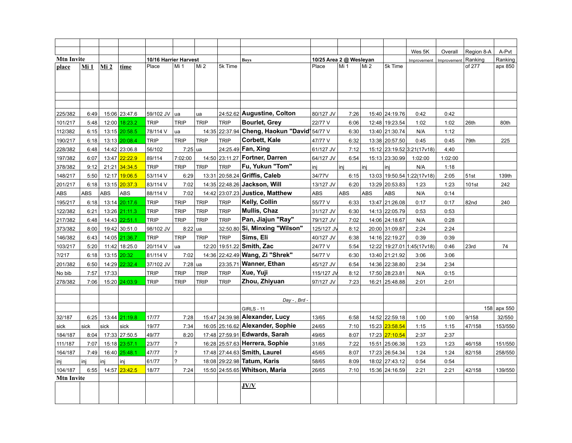|                   |      |            |               |                       |                |                 |             |                                             |                         |            |            |                | Wes 5K                            | Overall     | Region 8-A | A-Pvt         |
|-------------------|------|------------|---------------|-----------------------|----------------|-----------------|-------------|---------------------------------------------|-------------------------|------------|------------|----------------|-----------------------------------|-------------|------------|---------------|
| <b>Mtn Invite</b> |      |            |               | 10/16 Harrier Harvest |                |                 |             | <b>Boys</b>                                 | 10/25 Area 2 @ Wesleyan |            |            |                | Improvement                       | Improvement | Ranking    | Ranking       |
| place             | Mi 1 | Mi 2       | time          | Place                 | Mi 1           | Mi <sub>2</sub> | 5k Time     |                                             | Place                   | l Mi 1     | Mi 2       | 5k Time        |                                   |             | of 277     | apx 850       |
|                   |      |            |               |                       |                |                 |             |                                             |                         |            |            |                |                                   |             |            |               |
| 225/382           | 6:49 |            | 15:06 23:47.6 | 59/102 JV             | ua             | ua              |             | 24:52.62 Augustine, Colton                  | 80/127 JV               | 7:26       |            | 15:40 24:19.76 | 0:42                              | 0:42        |            |               |
| 101/217           | 5:48 |            | 12:00 18:23.2 | <b>TRIP</b>           | TRIP           | <b>TRIP</b>     | <b>TRIP</b> | <b>Bourlet, Grey</b>                        | 22/77 V                 | 6:06       |            | 12:48 19:23.54 | 1:02                              | 1:02        | 26th       | 80th          |
| 112/382           | 6:15 |            | 13:15 20:58.5 | 78/114 V              | ua             |                 |             | 14:35 22:37.94 Cheng, Haokun "David 54/77 V |                         | 6:30       |            | 13:40 21:30.74 | N/A                               | 1:12        |            |               |
| 190/217           | 6:18 |            | 13:13 20:08.4 | <b>TRIP</b>           | <b>TRIP</b>    | <b>TRIP</b>     | <b>TRIP</b> | Corbett, Kale                               | 47/77 V                 | 6:32       |            | 13:38 20:57.50 | 0:45                              | 0:45        | 79th       | 225           |
| 228/382           | 6:48 |            | 14:42 23:06.8 | 56/102                | 7:25 ua        |                 |             | 24:25.49 Fan, Xing                          | 61/127 JV               | 7:12       |            |                | 15:12 23:19.52 3:21(17v18)        | 4:40        |            |               |
| 197/382           | 6:07 |            | 13:47 22:22.9 | 89/114                | 7:02:00        |                 |             | 14:50 23:11.27 Fortner, Darren              | 64/127 JV               | 6:54       |            | 15:13 23:30.99 | 1:02:00                           | 1:02:00     |            |               |
| 378/382           | 9:12 |            | 21:21 34:34.5 | <b>TRIP</b>           | <b>TRIP</b>    | <b>TRIP</b>     | <b>TRIP</b> | Fu, Yukun "Tom"                             | inj                     | inj        | inj        | inj            | N/A                               | 1:18        |            |               |
| 148/217           | 5:50 |            | 12:17 19:06.5 | 53/114 V              | 6:29           |                 |             | 13:31 20:58.24 Griffis, Caleb               | 34/77V                  | 6:15       |            |                | 13:03   19:50.54   1:22 (17 v 18) | 2:05        | 51st       | 139th         |
| 201/217           | 6:18 |            | 13:15 20:37.3 | 83/114 V              | 7:02           |                 |             | 14:35 22:48.26 Jackson, Will                | 13/127 JV               | 6:20       |            | 13:29 20:53.83 | 1:23                              | 1:23        | 101st      | 242           |
| ABS               | ABS  | <b>ABS</b> | <b>ABS</b>    | 88/114 V              | 7:02           |                 |             | 14:42 23:07.23 Justice, Matthew             | <b>ABS</b>              | <b>ABS</b> | <b>ABS</b> | ABS            | N/A                               | 0:14        |            |               |
| 195/217           | 6:18 |            | 13:14 20:17.6 | <b>TRIP</b>           | <b>TRIP</b>    | <b>TRIP</b>     | <b>TRIP</b> | Kelly, Collin                               | 55/77 V                 | 6:33       |            | 13:47 21:26.08 | 0:17                              | 0:17        | 82nd       | 240           |
| 122/382           | 6:21 |            | 13:26 21:11.3 | <b>TRIP</b>           | <b>TRIP</b>    | <b>TRIP</b>     | <b>TRIP</b> | Mullis, Chaz                                | 31/127 JV               | 6:30       |            | 14:13 22:05.79 | 0:53                              | 0:53        |            |               |
| 217/382           | 6:48 |            | 14:43 22:51.1 | <b>TRIP</b>           | <b>TRIP</b>    | <b>TRIP</b>     | <b>TRIP</b> | Pan, Jiajun "Ray"                           | 79/127 JV               | 7:02       |            | 14:06 24:18.67 | N/A                               | 0:28        |            |               |
| 373/382           | 8:00 |            | 19:42 30:51.0 | 98/102 JV             | 8:22 ua        |                 |             | 32:50.80 Si, Minxing "Wilson"               | 125/127 J\              | 8:12       |            | 20:00 31:09.87 | 2:24                              | 2:24        |            |               |
| 146/382           | 6:43 |            | 14:05 21:36.7 | <b>TRIP</b>           | <b>TRIP</b>    | <b>TRIP</b>     | <b>TRIP</b> | Sims, Eli                                   | 40/127 JV               | 6:38       |            | 14:16 22:19.27 | 0:39                              | 0:39        |            |               |
| 103/217           | 5:20 |            | 11:42 18:25.0 | 20/114 V              | ua             |                 |             | 12:20 19:51.22 Smith. Zac                   | 24/77 V                 | 5:54       |            |                | 12:22 19:27.01 1:45(17v18)        | 0:46        | 23rd       | 74            |
| ? / 217           | 6:18 |            | 13:15 20:32   | 81/114 V              | 7:02           |                 |             | 14:36 22:42.49 Wang, Zi "Shrek"             | 54/77 V                 | 6:30       |            | 13:40 21:21.92 | 3:06                              | 3:06        |            |               |
| 201/382           | 6:50 |            | 14:29 22:32.4 | 37/102 JV             | 7:28 ua        |                 | 23:35.71    | <b>Wanner, Ethan</b>                        | 45/127 JV               | 6:54       |            | 14:36 22:38.80 | 2:34                              | 2:34        |            |               |
| No bib            | 7:57 | 17:33      |               | <b>TRIP</b>           | <b>TRIP</b>    | <b>TRIP</b>     | <b>TRIP</b> | Xue, Yuji                                   | 115/127 JV              | 8:12       |            | 17:50 28:23.81 | N/A                               | 0:15        |            |               |
| 278/382           | 7:06 |            | 15:20 24:03.9 | <b>TRIP</b>           | <b>TRIP</b>    | <b>TRIP</b>     | <b>TRIP</b> | Zhou, Zhiyuan                               | 97/127 JV               | 7:23       |            | 16:21 25:48.88 | 2:01                              | 2:01        |            |               |
|                   |      |            |               |                       |                |                 |             |                                             |                         |            |            |                |                                   |             |            |               |
|                   |      |            |               |                       |                |                 |             | Day - , Brd -                               |                         |            |            |                |                                   |             |            |               |
|                   |      |            |               |                       |                |                 |             | <b>GIRLS - 11</b>                           |                         |            |            |                |                                   |             |            | $158$ apx 550 |
| 32/187            | 6:25 |            | 13:44 21:19.8 | 17/77                 | 7:28           |                 |             | 15:47 24:39.98 Alexander, Lucy              | 13/65                   | 6:58       |            | 14:52 22:59.18 | 1:00                              | 1:00        | 9/158      | 32/550        |
| sick              | sick | sick       | sick          | 19/77                 | 7:34           |                 |             | 16:05 25:16.62 Alexander, Sophie            | 24/65                   | 7:10       |            | 15:23 23:58.54 | 1:15                              | 1:15        | 47/158     | 153/550       |
| 184/187           | 8:04 |            | 17:33 27:50.5 | 49/77                 | 8:20           |                 |             | 17:48 27:59.91 Edwards, Sarah               | 49/65                   | 8:07       |            | 17:23 27:10.54 | 2:37                              | 2:37        |            |               |
| 111/187           | 7:07 |            | 15:18 23:57.1 | 23/77                 | $\overline{?}$ |                 |             | 16:28 25:57.63 Herrera, Sophie              | 31/65                   | 7:22       |            | 15:51 25:06.38 | 1:23                              | 1:23        | 46/158     | 151/550       |
| 164/187           | 7:49 |            | 16:40 25:48.1 | 47/77                 | 2              |                 |             | 17:48 27:44.63 Smith, Laurel                | 45/65                   | 8:07       |            | 17:23 26:54.34 | 1:24                              | 1:24        | 82/158     | 258/550       |
| inj               | inj  | inj        | inj           | 61/77                 | 2              |                 |             | 18:08 29:22.98 Tatum, Karis                 | 58/65                   | 8:09       |            | 18:02 27:43.12 | 0:54                              | 0:54        |            |               |
| 104/187           | 6:55 |            | 14:57 23:42.5 | 18/77                 | 7:24           |                 |             | 15:50 24:55.65 Whitson, Maria               | 26/65                   | 7:10       |            | 15:36 24:16.59 | 2:21                              | 2:21        | 42/158     | 139/550       |
| <b>Mtn Invite</b> |      |            |               |                       |                |                 |             | <b>JV/V</b>                                 |                         |            |            |                |                                   |             |            |               |
|                   |      |            |               |                       |                |                 |             |                                             |                         |            |            |                |                                   |             |            |               |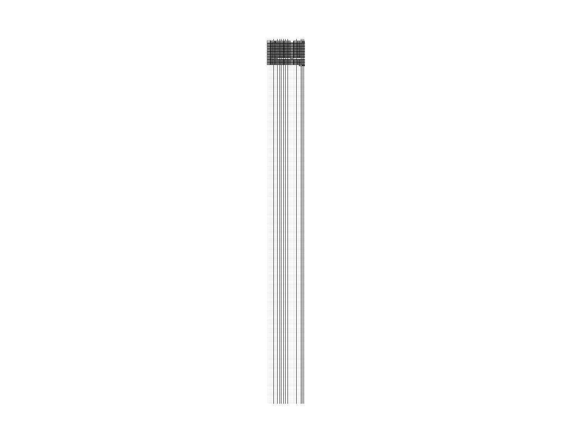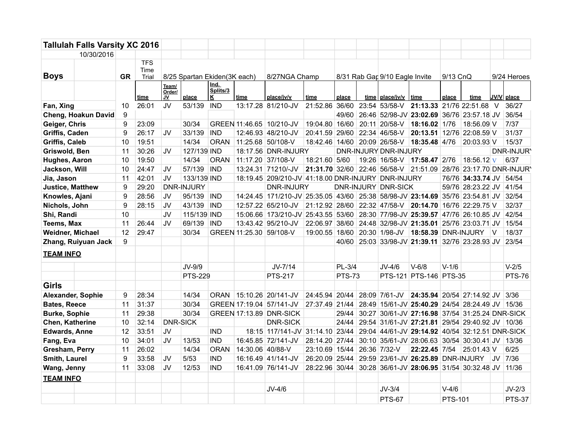|                      | Tallulah Falls Varsity XC 2016 |                   |                    |                 |                              |                  |                    |                                                                                 |                              |               |                                      |                                                                 |                |                   |     |                      |
|----------------------|--------------------------------|-------------------|--------------------|-----------------|------------------------------|------------------|--------------------|---------------------------------------------------------------------------------|------------------------------|---------------|--------------------------------------|-----------------------------------------------------------------|----------------|-------------------|-----|----------------------|
|                      | 10/30/2016                     |                   |                    |                 |                              |                  |                    |                                                                                 |                              |               |                                      |                                                                 |                |                   |     |                      |
|                      |                                |                   | <b>TFS</b><br>Time |                 |                              |                  |                    |                                                                                 |                              |               |                                      |                                                                 |                |                   |     |                      |
| <b>Boys</b>          |                                | <b>GR</b>         | Trial              |                 | 8/25 Spartan Ekiden(3K each) |                  |                    | 8/27NGA Champ                                                                   |                              |               | 8/31 Rab Gar 9/10 Eagle Invite       |                                                                 | 9/13 CnQ       |                   |     | 9/24 Heroes          |
|                      |                                |                   |                    | Team/<br>Order/ |                              | Ind.<br>Splits/3 |                    |                                                                                 |                              |               |                                      |                                                                 |                |                   |     |                      |
| Fan, Xing            |                                | 10                | time<br>26:01      | JV<br><b>JV</b> | place<br>53/139              | κ<br><b>IND</b>  | time               | place/iv/v<br>13:17.28 81/210-JV                                                | time<br>21:52.86 36/60       | place         | time $ $ place/jv/v<br>23:54 53/58-V | l time<br>21:13.33 21/76 22:51.68 V                             | place          | time              |     | JV/V  place<br>36/27 |
|                      | <b>Cheng, Hoakun David</b>     | $\boldsymbol{9}$  |                    |                 |                              |                  |                    |                                                                                 |                              | 49/60         |                                      | 26:46 52/98-JV 23:02.69 36/76 23:57.18 JV                       |                |                   |     | 36/54                |
| Geiger, Chris        |                                | 9                 | 23:09              |                 | 30/34                        |                  |                    | GREEN 11:46.65 10/210-JV                                                        | 19:04.80 16/60               |               | 20:11 20/58-V                        | 18:16.02 1/76                                                   |                | 18:56.09 V        |     | $7/37$               |
|                      |                                | 9                 | 26:17              | <b>JV</b>       | 33/139                       | <b>IND</b>       |                    | 12:46.93 48/210-JV                                                              | 20:41.59 29/60 22:34 46/58-V |               |                                      |                                                                 |                |                   |     | 31/37                |
| Griffis, Caden       |                                |                   |                    |                 |                              |                  |                    |                                                                                 |                              |               |                                      | <b>20:13.51</b> 12/76 22:08.59 V                                |                |                   |     |                      |
| Griffis, Caleb       |                                | 10                | 19:51              |                 | 14/34                        | <b>ORAN</b>      |                    | 11:25.68 50/108-V                                                               |                              |               |                                      | 18:42.46 14/60 20:09 26/58-V 18:35.48 4/76                      |                | 20:03.93 V        |     | 15/37                |
| Griswold, Ben        |                                | 11                | 30:26              | <b>JV</b>       | 127/139 IND                  |                  |                    | 18:17.56 DNR-INJURY                                                             |                              |               | DNR-INJURY DNR-INJURY                |                                                                 |                |                   |     | DNR-INJURY           |
| Hughes, Aaron        |                                | 10                | 19:50              |                 | 14/34                        | <b>ORAN</b>      |                    | 11:17.20 37/108-V                                                               | 18:21.60 5/60                |               |                                      | 19:26 16/58-V 17:58.47 2/76                                     |                | 18:56.12 V        |     | 6/37                 |
| Jackson, Will        |                                | 10                | 24:47              | JV              | 57/139                       | <b>IND</b>       |                    | 13:24.31 71210/-JV                                                              |                              |               |                                      | 21:31.70 32/60 22:46 56/58-V 21:51.09 28/76 23:17.70 DNR-INJURY |                |                   |     |                      |
| Jia, Jason           |                                | 11                | 42:01              | <b>JV</b>       | 133/139 IND                  |                  |                    | 18:19.45 209/210-JV 41:18.00 DNR-INJURY DNR-INJURY                              |                              |               |                                      |                                                                 |                | 76/76 34:33.74 JV |     | 54/54                |
| Justice, Matthew     |                                | 9                 | 29:20              |                 | <b>DNR-INJURY</b>            |                  |                    | <b>DNR-INJURY</b>                                                               |                              |               | DNR-INJURY   DNR-SICK                |                                                                 |                | 59/76 28:23.22 JV |     | 41/54                |
| Knowles, Ajani       |                                | 9                 | 28:56              | <b>JV</b>       | 95/139                       | <b>IND</b>       |                    | 14:24.45 171/210-JV 25:35.05 43/60 25:38 58/98-JV 23:14.69 35/76 23:54.81 JV    |                              |               |                                      |                                                                 |                |                   |     | 32/54                |
| Nichols, John        |                                | 9                 | 28:15              | <b>JV</b>       | 43/139                       | <b>IND</b>       |                    | 12:57.22 65/210-JV                                                              | 21:12.92 28/60 22:32 47/58-V |               |                                      | <b>20:14.70 16/76 22:29.75 V</b>                                |                |                   |     | 32/37                |
| Shi, Randi           |                                | 10                |                    | JV              | 115/139 IND                  |                  |                    | 15:06.66 173/210-JV 25:43.55 53/60 28:30 77/98-JV 25:39.57 47/76 26:10.85 JV    |                              |               |                                      |                                                                 |                |                   |     | 42/54                |
| <b>Teems, Max</b>    |                                | 11                | 26:44              | JV              | 69/139                       | <b>IND</b>       |                    | 13:43.42 95/210-JV                                                              | 22:06.97                     |               |                                      | 38/60 24:48 32/98-JV 21:35.01 25/76 23:03.71 JV 15/54           |                |                   |     |                      |
| Weidner, Michael     |                                | 12                | 29:47              |                 | 30/34                        |                  |                    | GREEN 11:25.30 59/108-V                                                         | 19:00.55 18/60 20:30 1/98-JV |               |                                      | 18:58.39 DNR-INJURY                                             |                |                   | l V | 18/37                |
|                      | Zhang, Ruiyuan Jack            | 9                 |                    |                 |                              |                  |                    |                                                                                 |                              | 40/60         |                                      | 25:03 33/98-JV 21:39.11 32/76 23:28.93 JV                       |                |                   |     | 23/54                |
| <b>TEAM INFO</b>     |                                |                   |                    |                 |                              |                  |                    |                                                                                 |                              |               |                                      |                                                                 |                |                   |     |                      |
|                      |                                |                   |                    |                 | JV-9/9                       |                  |                    | JV-7/14                                                                         |                              | $PL-3/4$      | $JV-4/6$                             | $V-6/8$                                                         | $V-1/6$        |                   |     | $V-2/5$              |
|                      |                                |                   |                    |                 | <b>PTS-229</b>               |                  |                    | <b>PTS-217</b>                                                                  |                              | <b>PTS-73</b> |                                      | PTS-121 PTS-146 PTS-35                                          |                |                   |     | <b>PTS-76</b>        |
| <b>Girls</b>         |                                |                   |                    |                 |                              |                  |                    |                                                                                 |                              |               |                                      |                                                                 |                |                   |     |                      |
| Alexander, Sophie    |                                | 9                 | 28:34              |                 | 14/34                        | <b>ORAN</b>      |                    | 15:10.26 20/141-JV                                                              | 24:45.94 20/44               |               | 28:09 7/61-JV                        | 24:35.94 20/54 27:14.92 JV 3/36                                 |                |                   |     |                      |
| <b>Bates, Reece</b>  |                                | 11                | 31:37              |                 | 30/34                        |                  |                    | GREEN 17:19.04 57/141-JV                                                        | 27:37.49 21/44               |               |                                      | 28:49 15/61-JV 25:40.29 24/54 28:24.49 JV 15/36                 |                |                   |     |                      |
| <b>Burke, Sophie</b> |                                | 11                | 29:38              |                 | 30/34                        |                  |                    | GREEN 17:13.89 DNR-SICK                                                         |                              | 29/44         |                                      | 30:27 30/61-JV 27:16.98 37/54 31:25.24 DNR-SICK                 |                |                   |     |                      |
| Chen, Katherine      |                                | 10                | 32:14              | <b>DNR-SICK</b> |                              |                  |                    | <b>DNR-SICK</b>                                                                 |                              | 24/44         |                                      | 29:54 31/61-JV 27:21.81 29/54 29:40.92 JV 10/36                 |                |                   |     |                      |
| <b>Edwards, Anne</b> |                                | $12 \overline{ }$ | 33:51              | <b>JV</b>       |                              | <b>IND</b>       |                    | 18:15 117/141-JV 31:14.10 23/44 29:04 44/61-JV 29:14.92 40/54 32:12.51 DNR-SICK |                              |               |                                      |                                                                 |                |                   |     |                      |
| Fang, Eva            |                                | 10                | 34:01              | JV              | 13/53                        | <b>IND</b>       |                    | 16:45.85 72/141-JV                                                              | 28:14.20 27/44               |               |                                      | $30:10$ 35/61-JV 28:06.63 30/54 30:30.41 JV 13/36               |                |                   |     |                      |
| Gresham, Perry       |                                | 11                | 26:02              |                 | 14/34                        | <b>ORAN</b>      | $14:30.06$ 40/88-V |                                                                                 | 23:10.69 15/44               |               | 26:36 7/32-V                         | 22:22.45 7/54                                                   |                | 25:01.43 V        |     | 6/25                 |
| <b>Smith, Laurel</b> |                                | 9                 | 33:58              | JV              | 5/53                         | <b>IND</b>       |                    | 16:16.49 41/141-JV                                                              | 26:20.09 25/44               |               |                                      | 29:59 23/61-JV 26:25.89 DNR-INJURY                              |                |                   | JV  | 7/36                 |
| Wang, Jenny          |                                | 11                | 33:08              | <b>JV</b>       | 12/53                        | <b>IND</b>       |                    | 16:41.09 76/141-JV                                                              |                              |               |                                      | 28:22.96 30/44 30:28 36/61-JV 28:06.95 31/54 30:32.48 JV 11/36  |                |                   |     |                      |
| <b>TEAM INFO</b>     |                                |                   |                    |                 |                              |                  |                    |                                                                                 |                              |               |                                      |                                                                 |                |                   |     |                      |
|                      |                                |                   |                    |                 |                              |                  |                    | $JV-4/6$                                                                        |                              |               | $JV-3/4$                             |                                                                 | $V-4/6$        |                   |     | $JV-2/3$             |
|                      |                                |                   |                    |                 |                              |                  |                    |                                                                                 |                              |               | <b>PTS-67</b>                        |                                                                 | <b>PTS-101</b> |                   |     | <b>PTS-37</b>        |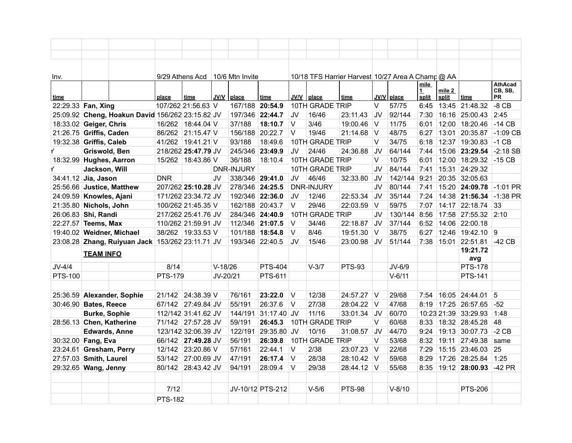| Inv.           |                                                  |                | 9/29 Athens Acd     |           | 10/6 Mtn Invite   |                  |                |                        | 10/18 TFS Harrier Harvest 10/27 Area A Champ @ AA |              |            |                               |        |                            |                    |
|----------------|--------------------------------------------------|----------------|---------------------|-----------|-------------------|------------------|----------------|------------------------|---------------------------------------------------|--------------|------------|-------------------------------|--------|----------------------------|--------------------|
|                |                                                  |                |                     |           |                   |                  |                |                        |                                                   |              |            | <u>mile</u><br>$\overline{1}$ | mile 2 |                            | AthAcad<br>CB, SB, |
| time           |                                                  | place          | time                |           | JV/V place        | time             |                | JV/V   place           | time                                              |              | JV/V place | split                         | split  | <u>  time</u>              | <b>PR</b>          |
|                | 22:29.33 Fan, Xing                               |                | 107/262 21:56.63 V  |           | 167/188 20:54.9   |                  |                | <b>10TH GRADE TRIP</b> |                                                   | V            | 57/75      | 6:45                          |        | 13:45 21:48.32             | $-8$ CB            |
|                | 25:09.92 Cheng, Hoakun David 156/262 23:15.82 JV |                |                     |           | 197/346 22:44.7   |                  | JV             | 16/46                  | 23:11.43                                          | <b>JV</b>    | 92/144     | 7:30                          |        | 16:16 25:00.43             | 2:45               |
|                | 18:33.02 Geiger, Chris                           |                | 16/262 18:44.04 V   |           | 37/188            | 18:10.7          | IV.            | 3/46                   | 19:00.46                                          | $\mathsf{V}$ | 11/75      | 6:01                          |        | 12:00 18:20.46             | $-14$ CB           |
|                | 21:26.75 Griffis, Caden                          |                | 86/262 21:15.47 V   |           |                   | 156/188 20:22.7  | $\overline{V}$ | 19/46                  | 21:14.68                                          | $\mathsf{V}$ | 48/75      | 6:27                          |        | 13:01 20:35.87             | $-1:09$ CB         |
|                | 19:32.38 Griffis, Caleb                          |                | 41/262 19:41.21 V   |           | 93/188            | 18:49.6          |                | 10TH GRADE TRIP        |                                                   | V            | 34/75      | 6:18                          |        | 12:37 19:30.83             | $-1$ CB            |
| Y              | Griswold, Ben                                    |                | 218/262 25:47.79 JV |           | 245/346 23:49.9   |                  | JV.            | 24/46                  | 24:36.88                                          | JV.          | 64/144     | 7:44                          |        | 15:06 23:29.54             | $-2:18$ SB         |
|                | 18:32.99 Hughes, Aarron                          |                | 15/262 18:43.86 V   |           | 36/188            | 18:10.4          |                | 10TH GRADE TRIP        |                                                   | $\vee$       | 10/75      | 6:01                          |        | 12:00 18:29.32             | $-15$ CB           |
| Y.             | Jackson, Will                                    |                |                     |           | <b>DNR-INJURY</b> |                  |                | 10TH GRADE TRIP        |                                                   | JV           | 84/144     | 7:41                          |        | 15:31 24:29.32             |                    |
|                | 34:41.12 Jia, Jason                              | <b>DNR</b>     |                     | JV        | 338/346 29:41.0   |                  | JV             | 46/46                  | 32:33.80                                          | <b>JV</b>    | 142/144    | 9:21                          |        | 20:35 32:05.63             |                    |
|                | 25:56.66 Justice, Matthew                        |                | 207/262 25:10.28 JV |           | 278/346 24:25.5   |                  |                | <b>DNR-INJURY</b>      |                                                   | JV           | 80/144     | 7:41                          |        | 15:20 24:09.78             | $-1:01$ PR         |
|                | 24:09.59 Knowles, Ajani                          |                | 171/262 23:34.72 JV |           | 192/346 22:36.0   |                  | JV             | 12/46                  | 22:53.34                                          | <b>JV</b>    | 35/144     | 7:24                          |        | 14:38 21:56.34             | $-1:38$ PR         |
|                | 21:35.80 Nichols, John                           |                | 100/262 21:45.35 V  |           | 162/188 20:43.7   |                  | $\mathsf{V}$   | 29/46                  | 22:03.59                                          | $\vee$       | 59/75      | 7:07                          |        | 14:17 22:18.74 33          |                    |
|                | 26:06.83 Shi, Randi                              |                | 217/262 25:41.76 JV |           | 284/346 24:40.9   |                  |                | 10TH GRADE TRIP        |                                                   | JV           | 130/144    | 8:56                          |        | 17:58 27:55.32 2:10        |                    |
|                | 22:27.57 Teems, Max                              |                | 110/262 21:59.91 JV |           | 112/346 21:07.5   |                  | $\vee$         | 34/46                  | 22:18.87                                          | I JV         | 37/144     | 6:52                          |        | 14:06 22:00.18             |                    |
|                | 19:40.02 Weidner, Michael                        |                | 38/262 19:33.53 V   |           | 101/188 18:54.8   |                  | $\vee$         | 8/46                   | 19:51.30                                          | $\vee$       | 38/75      | 6:27                          |        | 12:46 19:42.10 9           |                    |
|                | 23:08.28 Zhang, Ruiyuan Jack 153/262 23:11.71 JV |                |                     |           | 193/346 22:40.5   |                  | JV             | 15/46                  | 23:00.98                                          | ∣JV          | 51/144     | 7:38                          | 15:01  | 22:51.81                   | $-42$ CB           |
|                | <b>TEAM INFO</b>                                 |                |                     |           |                   |                  |                |                        |                                                   |              |            |                               |        | 19:21.72                   |                    |
| $JV-4/4$       |                                                  | 8/14           |                     | $V-18/26$ |                   | <b>PTS-404</b>   |                | $V-3/7$                | <b>PTS-93</b>                                     |              | JV-6/9     |                               |        | avg<br><b>PTS-178</b>      |                    |
|                |                                                  | <b>PTS-179</b> |                     |           |                   | <b>PTS-611</b>   |                |                        |                                                   |              |            |                               |        | <b>PTS-141</b>             |                    |
| <b>PTS-100</b> |                                                  |                |                     |           | JV-20/21          |                  |                |                        |                                                   |              | $V - 6/11$ |                               |        |                            |                    |
|                | 25:36.59 Alexander, Sophie                       |                | 21/142 24:38.39 V   |           | 76/161            | 23:22.0          | IV.            | 12/38                  | 24:57.27                                          | $\mathsf{V}$ | 29/68      | 7:54                          |        | 16:05 24:44.01             | 5                  |
|                | 30:46.90 Bates, Reece                            |                | 67/142 27:49.84 JV  |           | 55/191            | 26:37.6          | $\vee$         | 27/38                  | 28:04.22 V                                        |              | 47/68      | 8:19                          |        | 17:25 26:57.65             | $-52$              |
|                | <b>Burke, Sophie</b>                             |                | 112/142 31:41.62 JV |           | 144/191           | 31:17.40 JV      |                | 11/16                  | 33:01.34                                          | ∣JV          | 60/70      |                               |        | 10:23 21:39 33:29.93       | 1:48               |
|                | 28:56.13 Chen, Katherine                         |                | 71/142 27:57.28 JV  |           | 59/191            | 26:45.3          |                | 10TH GRADE TRIP        |                                                   | $\vee$       | 60/68      | 8:33                          |        | 18:32 28:45.28             | 48                 |
|                | <b>Edwards, Anne</b>                             |                | 123/142 32:06.39 JV |           | 122/191           | 29:35.80 JV      |                | 10/16                  | 31:08.57                                          | <b>JV</b>    | 44/70      | 9:24                          |        | 19:13 30:07.73             | $-2$ CB            |
|                | 30:32.00 Fang, Eva                               |                | 66/142 27:49.28 JV  |           | 56/191            | 26:39.8          |                | 10TH GRADE TRIP        |                                                   | V            | 53/68      | 8:32                          |        | 19:11 27:49.38             | same               |
|                | 23:24.61 Gresham, Perry                          |                | 12/142 23:20.86 V   |           | 57/161            | 22:44.1          | $\overline{V}$ | 2/38                   | 23:07.23 V                                        |              | 22/68      | 7:29                          |        | 15:15 23:46.03             | 25                 |
|                | 27:57.03 Smith, Laurel                           |                | 53/142 27:00.69 JV  |           | 47/191            | 26:17.4          | $\vee$         | 28/38                  | 28:10.42 V                                        |              | 59/68      | 8:29                          |        | 17:26 28:25.84             | 1:25               |
|                | 29:32.65 Wang, Jenny                             |                | 80/142 28:43.42 JV  |           | 94/191            | 28:09.4          | $\mathsf{V}$   | 29/38                  | 28:44.12 V                                        |              | 55/68      |                               |        | 8:35 19:12 28:00.93 -42 PR |                    |
|                |                                                  |                |                     |           |                   |                  |                |                        |                                                   |              |            |                               |        |                            |                    |
|                |                                                  | 7/12           |                     |           |                   | JV-10/12 PTS-212 |                | $V-5/6$                | <b>PTS-98</b>                                     |              | $V-8/10$   |                               |        | <b>PTS-206</b>             |                    |
|                |                                                  | <b>PTS-182</b> |                     |           |                   |                  |                |                        |                                                   |              |            |                               |        |                            |                    |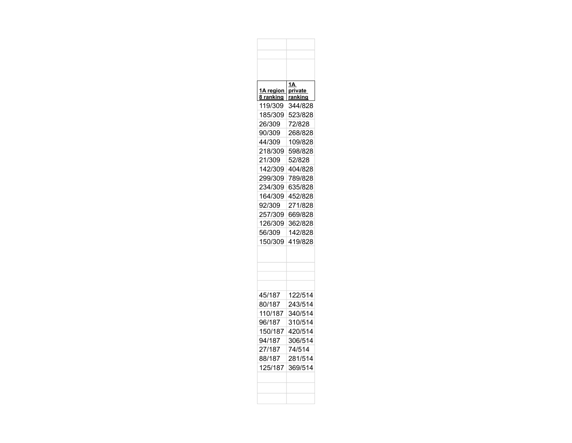| 1A reaion | 1A<br>pri<br>/ate |
|-----------|-------------------|
| 8 ranking | <u>ranking</u>    |
| 119/309   | 344/828           |
| 185/309   | 523/828           |
| 26/309    | 72/828            |
| 90/309    | 268/828           |
| 44/309    | 109/828           |
| 218/309   | 598/828           |
| 21/309    | 52/828            |
| 142/309   | 404/828           |
| 299/309   | 789/828           |
| 234/309   | 635/828           |
| 164/309   | 452/828           |
| 92/309    | 271/828           |
| 257/309   | 669/828           |
| 126/309   | 362/828           |
| 56/309    | 142/828           |
| 150/309   | 419/828           |
|           |                   |
|           |                   |
|           |                   |
|           |                   |
| 45/187    | 122/514           |
| 80/187    | 243/514           |
| 110/187   | 340/514           |
| 96/187    | 310/514           |
| 150/187   | 420/514           |
| 94/187    | 306/514           |
| 27/187    | 74/514            |
| 88/187    | 281/514           |
| 125/187   | 369/514           |
|           |                   |
|           |                   |
|           |                   |
|           |                   |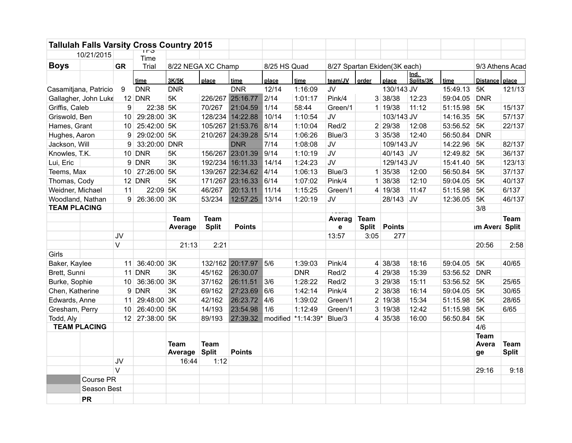|                     | <b>Tallulah Falls Varsity Cross Country 2015</b> |                 |                |                        |                             |                  |              |                    |                              |                             |               |                   |          |                            |                             |
|---------------------|--------------------------------------------------|-----------------|----------------|------------------------|-----------------------------|------------------|--------------|--------------------|------------------------------|-----------------------------|---------------|-------------------|----------|----------------------------|-----------------------------|
|                     | 10/21/2015                                       |                 | Time           |                        |                             |                  |              |                    |                              |                             |               |                   |          |                            |                             |
| <b>Boys</b>         |                                                  | <b>GR</b>       | Trial          | 8/22 NEGA XC Champ     |                             |                  | 8/25 HS Quad |                    | 8/27 Spartan Ekiden(3K each) |                             |               |                   |          | 9/3 Athens Acad            |                             |
|                     |                                                  |                 | time           | 3K/5K                  | place                       | time             | place        | time               | team/JV                      | order                       | place         | Ind.<br>Splits/3K | time     | Distance   place           |                             |
|                     | Casamitjana, Patricio                            | 9               | <b>DNR</b>     | <b>DNR</b>             |                             | <b>DNR</b>       | 12/14        | 1:16:09            | JV                           |                             | 130/143 JV    |                   | 15:49.13 | 5K                         | 121/13                      |
|                     | Gallagher, John Luke                             |                 | $12$ DNR       | 5K                     | 226/267                     | 25:16.77         | 2/14         | 1:01:17            | Pink/4                       |                             | 3 38/38       | 12:23             | 59:04.05 | <b>DNR</b>                 |                             |
| Griffis, Caleb      |                                                  | 9               | 22:38 5K       |                        | 70/267                      | 21:04.59         | 1/14         | 58:44              | Green/1                      |                             | 1 19/38       | 11:12             | 51:15.98 | 5K                         | 15/137                      |
| Griswold, Ben       |                                                  | 10 <sup>1</sup> | 29:28:00 3K    |                        | 128/234                     | 14:22.88         | 10/14        | 1:10:54            | ${\sf J}{\sf V}$             |                             | 103/143 JV    |                   | 14:16.35 | 5K                         | 57/137                      |
| Hames, Grant        |                                                  | 10              | 25:42:00 5K    |                        | 105/267                     | 21:53.76         | 8/14         | 1:10:04            | Red/2                        |                             | 2 29/38       | 12:08             | 53:56.52 | 5K                         | 22/137                      |
| Hughes, Aaron       |                                                  | 9               | 29:02:00 5K    |                        | 210/267                     | 24:39.28         | $5/14$       | 1:06:26            | Blue/3                       |                             | 3 35/38       | 12:40             | 56:50.84 | <b>DNR</b>                 |                             |
| Jackson, Will       |                                                  | 9               | 33:20:00 DNR   |                        |                             | <b>DNR</b>       | 7/14         | 1:08:08            | JV                           |                             | 109/143 JV    |                   | 14:22.96 | 5K                         | 82/137                      |
| Knowles, T.K.       |                                                  |                 | $10$ DNR       | 5K                     | 156/267                     | 23:01.39         | 9/14         | 1:10:19            | JV                           |                             | 40/143 JV     |                   | 12:49.82 | 5K                         | 36/137                      |
| Lui, Eric           |                                                  |                 | $9$ DNR        | 3K                     | 192/234                     | 16:11.33         | 14/14        | 1:24:23            | JV                           |                             | 129/143 JV    |                   | 15:41.40 | 5K                         | 123/13                      |
| Teems, Max          |                                                  | 10 <sup>1</sup> | 27:26:00       | 5K                     | 139/267                     | 22:34.62         | 4/14         | 1:06:13            | Blue/3                       |                             | 1 35/38       | 12:00             | 56:50.84 | 5K                         | 37/137                      |
| Thomas, Cody        |                                                  |                 | $12$ DNR       | 5K                     | 171/267                     | 23:16.33         | 6/14         | 1:07:02            | Pink/4                       | 1                           | 38/38         | 12:10             | 59:04.05 | 5K                         | 40/137                      |
| Weidner, Michael    |                                                  | 11              | $22:09$ 5K     |                        | 46/267                      | 20:13.11         | 11/14        | 1:15:25            | Green/1                      |                             | 4 19/38       | 11:47             | 51:15.98 | 5K                         | 6/137                       |
| Woodland, Nathan    |                                                  | 9 <sup>1</sup>  | 26:36:00 3K    |                        | 53/234                      | 12:57.25         | 13/14        | 1:20:19            | JV                           |                             | 28/143        | JV                | 12:36.05 | 5K                         | 46/137                      |
| <b>TEAM PLACING</b> |                                                  |                 |                |                        |                             |                  |              |                    |                              |                             |               |                   |          | 3/8                        |                             |
|                     |                                                  |                 |                | <b>Team</b><br>Average | <b>Team</b><br><b>Split</b> | <b>Points</b>    |              |                    | Averag<br>е                  | <b>Team</b><br><b>Split</b> | <b>Points</b> |                   |          | im Avera Split             | Team                        |
|                     |                                                  | <b>JV</b>       |                |                        |                             |                  |              |                    | 13:57                        | 3:05                        | 277           |                   |          |                            |                             |
|                     |                                                  | $\vee$          |                | 21:13                  | 2:21                        |                  |              |                    |                              |                             |               |                   |          | 20:56                      | 2:58                        |
| Girls               |                                                  |                 |                |                        |                             |                  |              |                    |                              |                             |               |                   |          |                            |                             |
| Baker, Kaylee       |                                                  | 11 <sup>1</sup> | 36:40:00 3K    |                        |                             | 132/162 20:17.97 | 5/6          | 1:39:03            | Pink/4                       |                             | 4 38/38       | 18:16             | 59:04.05 | 5K                         | 40/65                       |
| Brett, Sunni        |                                                  |                 | $11$ DNR       | 3K                     | 45/162                      | 26:30.07         |              | <b>DNR</b>         | Red/2                        |                             | 4 29/38       | 15:39             | 53:56.52 | <b>DNR</b>                 |                             |
| Burke, Sophie       |                                                  | 10              | 36:36:00 3K    |                        | 37/162                      | 26:11.51         | 3/6          | 1:28:22            | Red/2                        |                             | 3 29/38       | 15:11             | 53:56.52 | 5K                         | 25/65                       |
| Chen, Katherine     |                                                  |                 | $9$ DNR        | 3K                     | 69/162                      | 27:23.69         | 6/6          | 1:42:14            | Pink/4                       |                             | 2 38/38       | 16:14             | 59:04.05 | 5K                         | 30/65                       |
| Edwards, Anne       |                                                  | 11              | 29:48:00 3K    |                        | 42/162                      | 26:23.72         | 4/6          | 1:39:02            | Green/1                      |                             | 2 19/38       | 15:34             | 51:15.98 | 5K                         | 28/65                       |
| Gresham, Perry      |                                                  | 10              | 26:40:00 5K    |                        | 14/193                      | 23:54.98         | 1/6          | 1:12:49            | Green/1                      |                             | 3 19/38       | 12:42             | 51:15.98 | 5K                         | 6/65                        |
| Todd, Aly           |                                                  |                 | 12 27:38:00 5K |                        | 89/193                      | 27:39.32         |              | modified *1:14:39* | Blue/3                       |                             | 4 35/38       | 16:00             | 56:50.84 | 5K                         |                             |
|                     | <b>TEAM PLACING</b>                              |                 |                |                        |                             |                  |              |                    |                              |                             |               |                   |          | 4/6                        |                             |
|                     |                                                  |                 |                | Team<br>Average        | <b>Team</b><br><b>Split</b> | <b>Points</b>    |              |                    |                              |                             |               |                   |          | <b>Team</b><br>Avera<br>ge | <b>Team</b><br><b>Split</b> |
|                     |                                                  | <b>JV</b>       |                | 16:44                  | 1:12                        |                  |              |                    |                              |                             |               |                   |          |                            |                             |
|                     |                                                  | $\vee$          |                |                        |                             |                  |              |                    |                              |                             |               |                   |          | 29:16                      | 9:18                        |
|                     | Course PR                                        |                 |                |                        |                             |                  |              |                    |                              |                             |               |                   |          |                            |                             |
|                     | Season Best                                      |                 |                |                        |                             |                  |              |                    |                              |                             |               |                   |          |                            |                             |
|                     | <b>PR</b>                                        |                 |                |                        |                             |                  |              |                    |                              |                             |               |                   |          |                            |                             |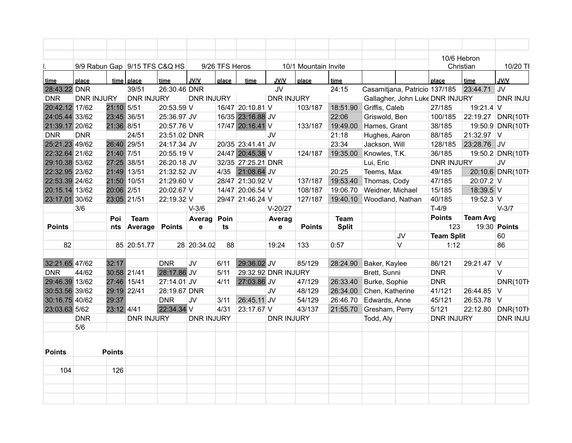|                |            |               |                               |              |                   |                |                          |                   |                      |              |                           |    |                                           | 10/6 Hebron         |                           |
|----------------|------------|---------------|-------------------------------|--------------|-------------------|----------------|--------------------------|-------------------|----------------------|--------------|---------------------------|----|-------------------------------------------|---------------------|---------------------------|
|                |            |               | 9/9 Rabun Gap 9/15 TFS C&Q HS |              |                   | 9/26 TFS Heros |                          |                   | 10/1 Mountain Invite |              |                           |    |                                           | Christian           | 10/20 TI                  |
| time           | place      |               | time   place                  | time         | <b>JV/V</b>       | place          | time                     | <b>JV/V</b>       | place                | time         |                           |    | place                                     | time                | <b>JV/V</b>               |
| 28:43.22 DNR   |            |               | 39/51                         | 26:30.46 DNR |                   |                |                          | <b>JV</b>         |                      | 24:15        |                           |    | Casamitjana, Patricio 137/185 23:44.71 JV |                     |                           |
| <b>DNR</b>     | DNR INJURY |               | DNR INJURY                    |              | DNR INJURY        |                |                          | <b>DNR INJURY</b> |                      |              |                           |    | Gallagher, John Luke DNR INJURY           |                     | <b>DNR INJU</b>           |
| 20:42.12 17/62 |            | 21:10 5/51    |                               | 20:53.59 V   |                   |                | 16/47 20:10.81 V         |                   | 103/187              | 18:51.90     | Griffis, Caleb            |    | 27/185                                    | 19:21.4 $V$         |                           |
| 24:05.44 33/62 |            |               | 23:45 36/51                   | 25:36.97 JV  |                   |                | 16/35 23:16.88 JV        |                   |                      | 22:06        | Griswold, Ben             |    |                                           |                     | 100/185 22:19.27 DNR(10TH |
| 21:39.17 20/62 |            | 21:36 8/51    |                               | 20:57.76 V   |                   |                | 17/47 20:16.41 V         |                   | 133/187              |              | 19:49.00 Hames, Grant     |    | 38/185                                    |                     | 19:50.9 DNR(10TH          |
| <b>DNR</b>     | <b>DNR</b> |               | 24/51                         | 23:51.02 DNR |                   |                |                          | <b>JV</b>         |                      | 21:18        | Hughes, Aaron             |    | 88/185                                    | 21:32.97 V          |                           |
| 25:21.23 49/62 |            |               | 26:40 29/51                   | 24:17.34 JV  |                   |                | 20/35 23:41.41 JV        |                   |                      | 23:34        | Jackson, Will             |    |                                           | 128/185 23:28.76 JV |                           |
| 22:32.64 21/62 |            | 21:40 7/51    |                               | 20:55.19 V   |                   |                | 24/47 20:45.38 V         |                   | 124/187              |              | 19:35.00 Knowles, T.K.    |    | 36/185                                    |                     | 19:50.2 DNR(10TH          |
| 29:10.38 53/62 |            |               | 27:25 38/51                   | 26:20.18 JV  |                   |                | 32/35 27:25.21 DNR       |                   |                      |              | Lui, Eric                 |    | <b>DNR INJURY</b>                         |                     | JV                        |
| 22:32.95 23/62 |            |               | 21:49 13/51                   | 21:32.52 JV  |                   |                | 4/35 21:08.64 JV         |                   |                      | 20:25        | Teems, Max                |    | 49/185                                    |                     | 20:10.6 DNR(10TH          |
| 22:53.39 24/62 |            |               | 21:50 10/51                   | 21:29.60 V   |                   |                | 28/47 21:30.92 V         |                   | 137/187              |              | $19:53.40$ Thomas, Cody   |    | 47/185                                    | $20:07.2$ V         |                           |
| 20:15.14 13/62 |            | 20:06 2/51    |                               | 20:02.67 V   |                   |                | 14/47 20:06.54 V         |                   | 108/187              |              | 19:06.70 Weidner, Michael |    | 15/185                                    | 18:39.5 V           |                           |
| 23:17.01 30/62 |            |               | 23:05 21/51                   | 22:19.32 V   |                   |                | 29/47 21:46.24 V         |                   | 127/187              |              | 19:40.10 Woodland, Nathan |    | 40/185                                    | 19:52.3 $V$         |                           |
|                | 3/6        |               |                               |              | $V-3/6$           |                |                          | $V-20/27$         |                      |              |                           |    | $T-4/9$                                   |                     | $V-3/7$                   |
|                |            | Poi           | <b>Team</b>                   |              | Averag Poin       |                |                          | Averag            |                      | <b>Team</b>  |                           |    | <b>Points</b>                             | <b>Team Avg</b>     |                           |
| <b>Points</b>  |            |               | nts Average Points            |              | e                 | ts             |                          | e                 | <b>Points</b>        | <b>Split</b> |                           |    | 123                                       |                     | 19:30 <b>Points</b>       |
|                |            |               |                               |              |                   |                |                          |                   |                      |              |                           | JV | <b>Team Split</b>                         |                     | 60                        |
| 82             |            |               | 85 20:51.77                   |              | 28 20:34.02       | 88             |                          | 19:24             | 133                  | 0:57         |                           | V  | 1:12                                      |                     | 86                        |
| 32:21.65 47/62 |            | 32:17         |                               | <b>DNR</b>   | JV                |                | 6/11 29:36.02 JV         |                   | 85/129               |              | 28:24.90 Baker, Kaylee    |    | 86/121                                    | 29:21.47 V          |                           |
| <b>DNR</b>     | 44/62      |               | 30:58 21/41                   | 28:17.86 JV  |                   |                | 5/11 29:32.92 DNR INJURY |                   |                      |              | Brett, Sunni              |    | <b>DNR</b>                                |                     | $\overline{V}$            |
| 29:46.39 13/62 |            |               | 27:46 15/41                   | 27:14.01 JV  |                   | 4/11           | 27:03.86 JV              |                   | 47/129               |              | 26:33.40 Burke, Sophie    |    | <b>DNR</b>                                |                     | DNR(10TH                  |
| 30:53.56 39/62 |            |               | 29:19 22/41                   | 28:19.67 DNR |                   |                |                          | JV                | 48/129               |              | 26:34.00 Chen, Katherine  |    | 41/121                                    | 26:44.85 V          |                           |
| 30:16.75 40/62 |            | 29:37         |                               | <b>DNR</b>   | JV                | 3/11           | 26:45.11 JV              |                   | 54/129               |              | 26:46.70 Edwards, Anne    |    | 45/121                                    | 26:53.78 V          |                           |
| 23:03.63 5/62  |            | 23:12 4/41    |                               | 22:34.34 V   |                   | 4/31           | 23:17.67 V               |                   | 43/137               |              | 21:55.70 Gresham, Perry   |    | 5/121                                     |                     | 22:12.80 DNR(10TH         |
|                | <b>DNR</b> |               | <b>DNR INJURY</b>             |              | <b>DNR INJURY</b> |                |                          | DNR INJURY        |                      |              | Todd, Aly                 |    | <b>DNR INJURY</b>                         |                     | <b>DNR INJU</b>           |
|                | 5/6        |               |                               |              |                   |                |                          |                   |                      |              |                           |    |                                           |                     |                           |
|                |            |               |                               |              |                   |                |                          |                   |                      |              |                           |    |                                           |                     |                           |
| <b>Points</b>  |            | <b>Points</b> |                               |              |                   |                |                          |                   |                      |              |                           |    |                                           |                     |                           |
| 104            |            | 126           |                               |              |                   |                |                          |                   |                      |              |                           |    |                                           |                     |                           |
|                |            |               |                               |              |                   |                |                          |                   |                      |              |                           |    |                                           |                     |                           |
|                |            |               |                               |              |                   |                |                          |                   |                      |              |                           |    |                                           |                     |                           |
|                |            |               |                               |              |                   |                |                          |                   |                      |              |                           |    |                                           |                     |                           |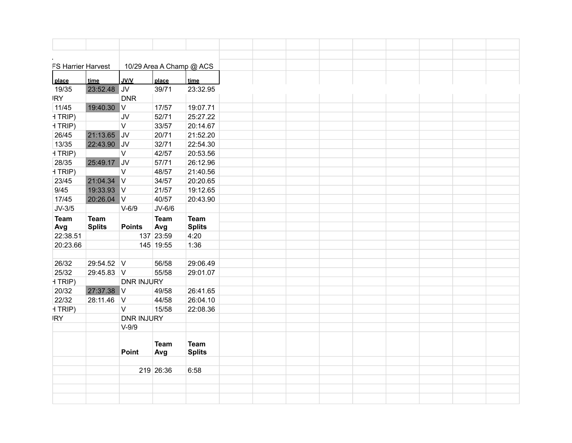| FS Harrier Harvest |                              |                   |                    | 10/29 Area A Champ @ ACS     |  |  |  |  |
|--------------------|------------------------------|-------------------|--------------------|------------------------------|--|--|--|--|
| place              | time                         | <b>JV/V</b>       | place              | time                         |  |  |  |  |
| 19/35              | 23:52.48 JV                  |                   | 39/71              | 23:32.95                     |  |  |  |  |
| <b>IRY</b>         |                              | <b>DNR</b>        |                    |                              |  |  |  |  |
| 11/45              | 19:40.30                     | I۷                | 17/57              | 19:07.71                     |  |  |  |  |
| <b>HTRIP)</b>      |                              | JV                | 52/71              | 25:27.22                     |  |  |  |  |
| <b>HTRIP)</b>      |                              | IV.               | 33/57              | 20:14.67                     |  |  |  |  |
| 26/45              | 21:13.65                     | <b>JV</b>         | 20/71              | 21:52.20                     |  |  |  |  |
| 13/35              | 22:43.90 JV                  |                   | 32/71              | 22:54.30                     |  |  |  |  |
| <b>HTRIP)</b>      |                              | $\vee$            | 42/57              | 20:53.56                     |  |  |  |  |
| 28/35              | 25:49.17 JV                  |                   | 57/71              | 26:12.96                     |  |  |  |  |
| <b>ITRIP)</b>      |                              | $\vee$            | 48/57              | 21:40.56                     |  |  |  |  |
| 23/45              | 21:04.34                     | IV.               | 34/57              | 20:20.65                     |  |  |  |  |
| 9/45               | 19:33.93                     | $\mathsf{v}$      | 21/57              | 19:12.65                     |  |  |  |  |
| 17/45              | 20:26.04                     | $\mathsf{V}$      | 40/57              | 20:43.90                     |  |  |  |  |
| $JV-3/5$           |                              | $V-6/9$           | JV-6/6             |                              |  |  |  |  |
| <b>Team</b><br>Avg | <b>Team</b><br><b>Splits</b> | <b>Points</b>     | <b>Team</b><br>Avg | <b>Team</b><br><b>Splits</b> |  |  |  |  |
| 22:38.51           |                              |                   | 137 23:59          | 4:20                         |  |  |  |  |
| 20:23.66           |                              |                   | 145 19:55          | 1:36                         |  |  |  |  |
|                    |                              |                   |                    |                              |  |  |  |  |
| 26/32              | 29:54.52 V                   |                   | 56/58              | 29:06.49                     |  |  |  |  |
| 25/32              | 29:45.83 V                   |                   | 55/58              | 29:01.07                     |  |  |  |  |
| <b>HTRIP)</b>      |                              | DNR INJURY        |                    |                              |  |  |  |  |
| 20/32              | 27:37.38 V                   |                   | 49/58              | 26:41.65                     |  |  |  |  |
| 22/32              | 28:11.46                     | V                 | 44/58              | 26:04.10                     |  |  |  |  |
| <b>HTRIP)</b>      |                              | V                 | 15/58              | 22:08.36                     |  |  |  |  |
| <b>IRY</b>         |                              | <b>DNR INJURY</b> |                    |                              |  |  |  |  |
|                    |                              | $V-9/9$           |                    |                              |  |  |  |  |
|                    |                              |                   |                    |                              |  |  |  |  |
|                    |                              | Point             | <b>Team</b><br>Avg | <b>Team</b><br><b>Splits</b> |  |  |  |  |
|                    |                              |                   |                    |                              |  |  |  |  |
|                    |                              |                   | 219 26:36          | 6:58                         |  |  |  |  |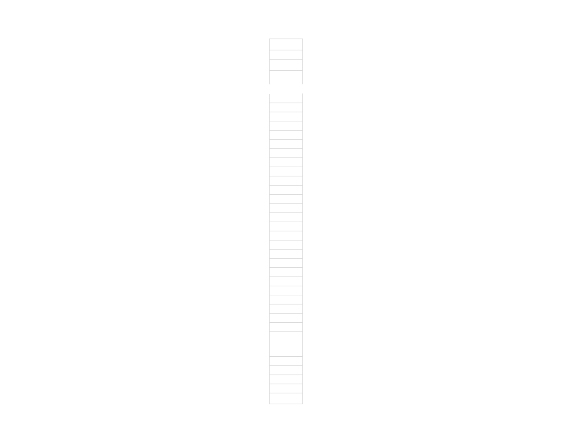

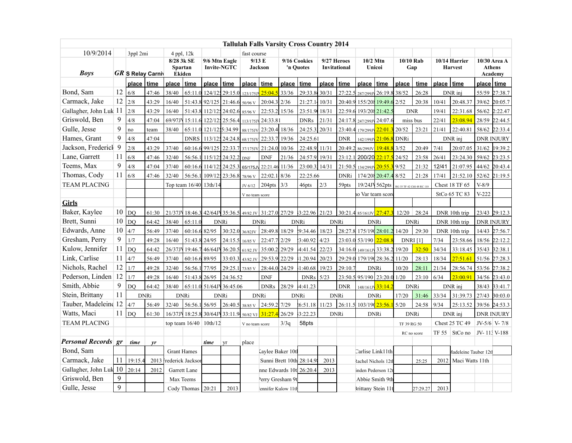|                        |    |                          |                |                              |                   |                                     |                 |                  |                         |       | <b>Tallulah Falls Varsity Cross Country 2014</b> |             |              |                    |                   |                           |             |                   |                                 |                               |                   |
|------------------------|----|--------------------------|----------------|------------------------------|-------------------|-------------------------------------|-----------------|------------------|-------------------------|-------|--------------------------------------------------|-------------|--------------|--------------------|-------------------|---------------------------|-------------|-------------------|---------------------------------|-------------------------------|-------------------|
| 10/9/2014              |    | 3ppl 2mi                 |                | 4 ppl, 12k                   |                   |                                     |                 | fast course      |                         |       |                                                  |             |              |                    |                   |                           |             |                   |                                 |                               |                   |
|                        |    |                          |                | 8/28 3k SE<br><b>Spartan</b> |                   | 9/6 Mtn Eagle<br><b>Invite-NGTC</b> |                 | 9/13 E           | Jackson                 |       | 9/16 Cookies<br>'n Ouotes                        | 9/27 Heroes | Invitational | 10/2 Mtn           | Unicoi            | $10/10$ Rab<br>Gap        |             |                   | 10/14 Harrier<br><b>Harvest</b> | 10/30 Area A<br><b>Athens</b> |                   |
| <b>Boys</b>            |    | <b>GR</b> S Relay Carniv |                | Ekiden                       |                   |                                     |                 |                  |                         |       |                                                  |             |              |                    |                   |                           |             |                   |                                 |                               | Academy           |
|                        |    | <u>place</u>             | time           | place                        | <u>time</u>       | place                               | time            | place            | time                    | place | time                                             | place       | <u>time</u>  | <u>place</u>       | time              | <u>place</u>              | <u>time</u> | <u>place time</u> |                                 | place                         | time              |
| Bond, Sam              | 12 | 6/8                      | 47:46          | 38/40                        | 65:11             |                                     | 124/12: 29:15.0 | 123/175JV        | 25:04.5                 | 33/36 | 29:33.8                                          | 30/31       | 27:22        | 287/299JV          | 26:19.8           | 38/52                     | 26:28       |                   | DNR inj                         | 55/59                         | 27:38.7           |
| Carmack, Jake          | 12 | $2/8$                    | 43:29          | 16/40                        | 51:43.8           | 92/125                              | 21:46.6         | 50/96 V          | 20:04.3                 | 2/36  | 21:27.1                                          | 10/31       | 20:40.9      | 155/208            | 19:49.6           | 2/52                      | 20:38       | 10/41             | 20:48.37                        | 39/62                         | 20:05.7           |
| Gallagher, John Luk 11 |    | $2/8$                    | 43:29          | 16/40                        | 51:43.8           | 112/125 24:02.6                     |                 | 85/96 V          | 22:53.2                 | 15/36 | 23:51.9                                          | 18/31       | 22:59.6      |                    | 193/208 21:42.5   | <b>DNR</b>                |             | 19/41             | 22:31.68                        | 56/62                         | 2:22.47           |
| Griswold, Ben          | 9  | 4/8                      | 47:04          | 69/97J                       | 15:11.6           |                                     | 122/12: 25:56.4 |                  | 113/175JV 24:33.81      |       | <b>DNRs</b>                                      | 21/31       | 24:17.8      |                    | 247/299JV 24:07.6 | miss bus                  |             | 22/41             | 23:08.94                        | 28/59                         | 22:44.5           |
| Gulle, Jesse           | 9  | no                       | team           | 38/40                        | 65:11.0           | 121/12:5:34.99                      |                 | 88/175JV         | 23:20.4                 | 18/36 | 24:25.31                                         | 20/31       | 23:40.       | 179/299JV          | 22:01.3           | 20/52                     | 23:21       | 21/41             | 22:40.81                        |                               | 58/62 22:33.4     |
| Hames, Grant           | 9  | 4/8                      | 47:04          |                              | <b>DNRS</b>       | 113/125 24:24.8                     |                 | 68/175JV         | 22:33.7                 | 19/36 | 24:25.61                                         |             | <b>DNR</b>   | 142/199JV          | 21:06.8           | <b>DNRi</b>               |             |                   | DNR inj                         |                               | <b>DNR INJURY</b> |
| Jackson, Fredericl 9   |    | $2/8$                    | 43:29          | 37/40                        |                   | 60:16.6 99/125                      | 22:33.7         | 37/175JV         | 21:24.0                 | 10/36 | 22:48.91 11/31                                   |             | 20:49        | 86/299JV           | 19:48.8           | 3/52                      | 20:49       | 7/41              | 20:07.05                        | 31/62                         | 19:39.2           |
| Lane, Garrett          | 11 | 6/8                      | 47:46          | 32/40                        | 56:56.1           | 115/125 24:32.2                     |                 | <b>DNF</b>       | <b>DNF</b>              | 21/36 | 24:57.93                                         | 19/31       | 23:12        |                    | 200/20 22:17.5    | 24/52                     | 23:58       | 26/41             | 23:24.30                        | 59/62                         | 23:23.5           |
| Teems, Max             | 9  | 4/8                      | 47:04          | 37/40                        | 60:16.6           | 114/125 24:25.3                     |                 | 65/175JV         | 22:21.46                | 11/36 | 23:00.3                                          | 14/31       | 21:50.       | 134/299JV          | 20:55.3           | 9/52                      | 21:32       | 12/41             | 21:07.95                        |                               | 44/62 20:43.4     |
| Thomas, Cody           | 11 | 6/8                      | 47:46          | 32/40                        | 56:56.1           |                                     | 109/12: 23:36.8 | 78/96 V          | 22:02.1                 | 8/36  | 22:25.66                                         |             | <b>DNRi</b>  |                    | 74/208 20:47.4    | 8/52                      | 21:28       | 17/41             | 21:52.10                        |                               | 52/62 21:19.5     |
| <b>TEAM PLACING</b>    |    |                          |                |                              | Top team 16/40    | 13th/14                             |                 | JV 6/12          | 204pts                  | 3/3   | 46pts                                            | 2/3         | 59pts        |                    | 9/24JV 562pts     | RG 35 TF 42 ChS 48 RC 110 |             |                   | Chest 18 TF 65                  | $V-8/9$                       |                   |
|                        |    |                          |                |                              |                   |                                     |                 | V no team score  |                         |       |                                                  |             |              |                    | o Var team scor   |                           |             |                   | StCo 65 TC 83                   | $V-222$                       |                   |
| Girls                  |    |                          |                |                              |                   |                                     |                 |                  |                         |       |                                                  |             |              |                    |                   |                           |             |                   |                                 |                               |                   |
| Baker, Kaylee          | 10 | <b>DQ</b>                | 61:30          |                              | 21/37JV 18:46.3   |                                     | 42/64JV 35:36.5 | 49/82 JV         | 31:27.0                 | 27/29 | 3:22.96                                          | 21/23       | 30:21        | 85/161JV           | 27:47.3           | 12/20                     | 28:24       |                   | DNR 10th trip                   |                               | 23/43 29:12.3     |
| Brett, Sunni           | 10 | DO                       | 64:42          | 38/40                        | 65:11.0           | <b>DNRi</b>                         |                 |                  | <b>DNRi</b>             |       | <b>DNRi</b>                                      |             | <b>DNRi</b>  |                    | <b>DNRi</b>       |                           | <b>DNRi</b> |                   | DNR 10th trip                   |                               | <b>DNR INJURY</b> |
| Edwards, Anne          | 10 | 4/7                      | 56:49          | 37/40                        | 60:16.6           | 82/95                               | 30:32.0         | 36/82JV          | 28:49.8                 | 18/29 | 9:34.46                                          | 18/23       | 28:27.8      |                    | 175/190 28:01.2   | 14/20                     | 29:30       |                   | DNR 10th trip                   |                               | 14/43 27:56.7     |
| Gresham, Perry         | 9  | $1/7\,$                  | 49:28          | 16/40                        | 51:43.8 24/95     |                                     | 24:15.5         | 16/85 V          | 22:47.7                 | 2/29  | 3:40.92                                          | 4/23        | 23:03.0      | 53/190             | 22:08.8           | <b>DNRI</b> [1]           |             | 7/34              | 23:58.66                        |                               | 18/56 22:12.2     |
| Kulow, Jennifer        | 11 | DO.                      | 64:42          | 26/37J                       | 19:46.7           | 46/64JV                             | 36:20.5         | $61/82~{\rm JV}$ | 35:00.2                 | 29/29 | 4:41.54                                          | 22/23       | 34:16.0      | 149/161JV          | 33:38.2           | 19/20                     | 32:50       | 34/34             | 33:18.45                        | 35/43 32:38.1                 |                   |
| Link, Carlise          | 11 | 4/7                      | 56:49          | 37/40                        | 60:16.6           | 89/95                               | 33:03.3         | 43/82 JV         | 29:53.9                 | 22/29 | .20.94                                           | 20/23       | 29:29.       |                    | 179/19 28:36.2    | 11/20                     | 28:13       | 18/34             | 27:51.61                        | 51/56                         | 27:28.3           |
| Nichols, Rachel        | 12 | 1/7                      | 49:28          | 32/40                        | 56:56.1           | 77/95                               | 29:25.1         | 73/85 V          | 28:44.0                 | 24/29 | :40.68                                           | 19/23       | 29:10.7      |                    | <b>DNRi</b>       | 10/20                     | 28:11       | 21/34             | 28:56.74                        | 53/56                         | 27:38.2           |
| Pederson, Linden 12    |    | 1/7                      | 49:28          | 16/40                        | 51:43.8           | 26/95                               | 24:36.52        |                  | <b>DNF</b>              |       | <b>DNRs</b>                                      | $5/23$      | 23:50.       | 95/190             | 23:20.0           | 1/20                      | 23:10       | 6/34              | 23:00.91                        | 34/56                         | 23:43.0           |
| Smith, Abbie           | 9  | DO                       | 64:42          | 38/40                        | 65:11.0           | 51/64JV                             | 36:45.06        |                  | <b>DNRs</b>             | 28/29 | 4:41.23                                          |             | <b>DNR</b>   | 148/161JV          | 33:14.2           |                           | <b>DNRi</b> |                   | DNR inj                         | 38/43                         | 33:41.7           |
| Stein, Brittany        | 11 | <b>DNRi</b>              |                | <b>DNRi</b>                  |                   | <b>DNRi</b>                         |                 |                  | <b>DNRi</b>             |       | <b>DNRi</b>                                      |             | <b>DNRi</b>  |                    | <b>DNRi</b>       | 17/20                     | 31:46       | 33/34             | 31:39.73                        | 27/43                         | 30:03.0           |
| Tauber, Madeleine 12   |    | 4/7                      | 56:49          | 32/40                        | 56:56.1           | 56/95                               | 26:40.5         | 38/85 V          | 24:59.2                 | 7/29  | 6:51.18                                          | 11/23       | 26:11.5      | 103/190            | 23:56.1           | 5/20                      | 24:58       | 9/34              | 25:13.52                        |                               | 39/56 24:53.3     |
| Watts, Maci            | 11 | DO                       | 61:30          |                              | 16/37JV 18:25.8   | 30/64JV                             | 33:11.          | 50/82 VJ         | 31:27                   | 26/29 | 3:22.23                                          |             | <b>DNRi</b>  |                    | DNRi              |                           | <b>DNRi</b> |                   | DNR inj                         |                               | <b>DNR INJURY</b> |
| TEAM PLACING           |    |                          |                |                              |                   | top team $16/40$   10th/12          |                 | V no team score  |                         | 3/3q  | 58pts                                            |             |              |                    |                   | TF 39 RG 50               |             |                   | <b>Chest 25 TC 49</b>           | JV-5/6 V-7/8                  |                   |
|                        |    |                          |                |                              |                   |                                     |                 |                  |                         |       |                                                  |             |              |                    |                   | RC no score               |             |                   | TF 55 StCo no                   | JV-113 V-188                  |                   |
| Personal Records gr    |    | time                     | $\mathbf{v}$ r |                              |                   | time                                | vr              | place            |                         |       |                                                  |             |              |                    |                   |                           |             |                   |                                 |                               |                   |
| Bond, Sam              |    |                          |                | <b>Grant Hames</b>           |                   |                                     |                 |                  | Caylee Baker 10t        |       |                                                  |             |              | Carlise Link11th   |                   |                           |             |                   | <b>Madeleine Tauber 12tl</b>    |                               |                   |
| Carmack, Jake          | 11 | 19:15.4                  | 2013           |                              | ederick Jackson   |                                     |                 |                  |                         |       | Sunni Brett 10th 28:14.9                         | 2013        |              | Rachel Nichols 12t |                   |                           | 25:25       | 2012              | Maci Watts 11th                 |                               |                   |
| Gallagher, John Luk 10 |    | 20:14                    | 2012           | Garrett Lane                 |                   |                                     |                 |                  | nne Edwards 10t 26:20.4 |       |                                                  | 2013        |              | inden Pederson 12  |                   |                           |             |                   |                                 |                               |                   |
| Griswold, Ben          | 9  |                          |                | Max Teems                    |                   |                                     |                 |                  | Perry Gresham 9         |       |                                                  |             |              | Abbie Smith 9th    |                   |                           |             |                   |                                 |                               |                   |
| Gulle, Jesse           | 9  |                          |                |                              | Cody Thomas 20:21 |                                     | 2013            |                  | ennifer Kulow 11th      |       |                                                  |             |              | Brittany Stein 11  |                   |                           | 27:29.27    | 2013              |                                 |                               |                   |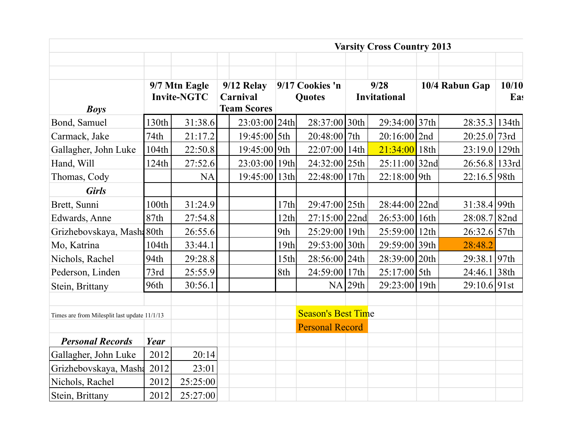| <b>Varsity Cross Country 2013</b>            |       |                                     |  |                                              |      |                                                     |           |                             |  |                |              |
|----------------------------------------------|-------|-------------------------------------|--|----------------------------------------------|------|-----------------------------------------------------|-----------|-----------------------------|--|----------------|--------------|
|                                              |       |                                     |  |                                              |      |                                                     |           |                             |  |                |              |
| <b>Boys</b>                                  |       | 9/7 Mtn Eagle<br><b>Invite-NGTC</b> |  | 9/12 Relay<br>Carnival<br><b>Team Scores</b> |      | 9/17 Cookies 'n<br><b>Quotes</b>                    |           | 9/28<br><b>Invitational</b> |  | 10/4 Rabun Gap | 10/10<br>Eas |
| Bond, Samuel                                 | 130th | 31:38.6                             |  | 23:03:00 24th                                |      | $28:37:00$ 30th                                     |           | 29:34:00 37th               |  | 28:35.3 134th  |              |
| Carmack, Jake                                | 74th  | 21:17.2                             |  | $19:45:00$ 5th                               |      | $20:48:00$ 7th                                      |           | $20:16:00$ 2nd              |  | $20:25.0$ 73rd |              |
| Gallagher, John Luke                         | 104th | 22:50.8                             |  | 19:45:00 9th                                 |      | 22:07:00 14th                                       |           | $21:34:00$ 18th             |  | 23:19.0 129th  |              |
| Hand, Will                                   | 124th | 27:52.6                             |  | 23:03:00 19th                                |      | 24:32:00 25th                                       |           | 25:11:00 32nd               |  | 26:56.8 133rd  |              |
| Thomas, Cody                                 |       | <b>NA</b>                           |  | 19:45:00 13th                                |      | 22:48:00 17th                                       |           | 22:18:00 9th                |  | 22:16.5 98th   |              |
| <b>Girls</b>                                 |       |                                     |  |                                              |      |                                                     |           |                             |  |                |              |
| Brett, Sunni                                 | 100th | 31:24.9                             |  |                                              | 17th | 29:47:00 25th                                       |           | 28:44:00 22nd               |  | 31:38.4 99th   |              |
| Edwards, Anne                                | 87th  | 27:54.8                             |  |                                              | 12th | $27:15:00$ 22nd                                     |           | 26:53:00 16th               |  | 28:08.7 82nd   |              |
| Grizhebovskaya, Mash, 80th                   |       | 26:55.6                             |  |                                              | 9th  | 25:29:00 19th                                       |           | 25:59:00 12th               |  | $26:32.6$ 57th |              |
| Mo, Katrina                                  | 104th | 33:44.1                             |  |                                              | 19th | 29:53:00 30th                                       |           | 29:59:00 39th               |  | 28:48.2        |              |
| Nichols, Rachel                              | 94th  | 29:28.8                             |  |                                              | 15th | 28:56:00 24th                                       |           | 28:39:00 20th               |  | 29:38.1 97th   |              |
| Pederson, Linden                             | 73rd  | 25:55.9                             |  |                                              | 8th  | 24:59:00 17th                                       |           | 25:17:00 5th                |  | 24:46.1 38th   |              |
| Stein, Brittany                              | 96th  | 30:56.1                             |  |                                              |      |                                                     | $NA$ 29th | 29:23:00 19th               |  | 29:10.6 91st   |              |
| Times are from Milesplit last update 11/1/13 |       |                                     |  |                                              |      | <b>Season's Best Time</b><br><b>Personal Record</b> |           |                             |  |                |              |
| <b>Personal Records</b>                      | Year  |                                     |  |                                              |      |                                                     |           |                             |  |                |              |
| Gallagher, John Luke                         | 2012  | 20:14                               |  |                                              |      |                                                     |           |                             |  |                |              |
| Grizhebovskaya, Masha                        | 2012  | 23:01                               |  |                                              |      |                                                     |           |                             |  |                |              |
| Nichols, Rachel                              | 2012  | 25:25:00                            |  |                                              |      |                                                     |           |                             |  |                |              |
| Stein, Brittany                              | 2012  | 25:27:00                            |  |                                              |      |                                                     |           |                             |  |                |              |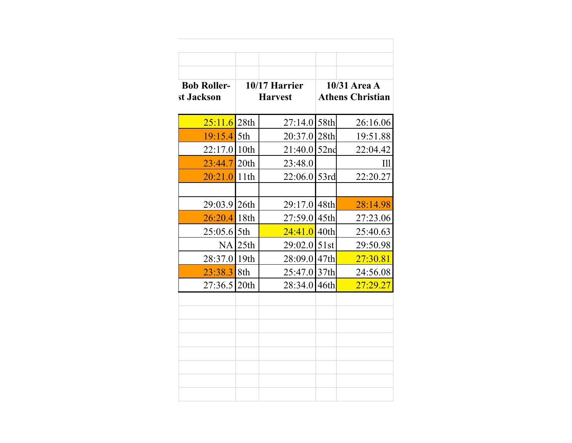| <b>Bob Roller-</b><br>st Jackson |            | 10/17 Harrier<br><b>Harvest</b> |      | 10/31 Area A<br><b>Athens Christian</b> |
|----------------------------------|------------|---------------------------------|------|-----------------------------------------|
| $25:11.6$ 28th                   |            | 27:14.0 58th                    |      | 26:16.06                                |
| $19:15.4$ 5th                    |            | 20:37.0 28th                    |      | 19:51.88                                |
| 22:17.0 10th                     |            | 21:40.0 52nd                    |      | 22:04.42                                |
| $23:44.7$ 20th                   |            | 23:48.0                         |      | III                                     |
| $20:21.0$ 11th                   |            | 22:06.0                         | 53rd | 22:20.27                                |
|                                  |            |                                 |      |                                         |
| 29:03.9 26th                     |            | 29:17.0 48th                    |      | 28:14.98                                |
| $26:20.4$ 18th                   |            | 27:59.0 45th                    |      | 27:23.06                                |
| $25:05.6$ 5th                    |            | $24:41.0$ 40th                  |      | 25:40.63                                |
|                                  | $NA$  25th | 29:02.0 51st                    |      | 29:50.98                                |
| 28:37.0 19th                     |            | 28:09.0 47th                    |      | 27:30.81                                |
| $23:38.3$ 8th                    |            | 25:47.0 37th                    |      | 24:56.08                                |
| $27:36.5$ 20th                   |            | 28:34.0 46th                    |      | 27:29.27                                |
|                                  |            |                                 |      |                                         |
|                                  |            |                                 |      |                                         |
|                                  |            |                                 |      |                                         |
|                                  |            |                                 |      |                                         |
|                                  |            |                                 |      |                                         |
|                                  |            |                                 |      |                                         |
|                                  |            |                                 |      |                                         |
|                                  |            |                                 |      |                                         |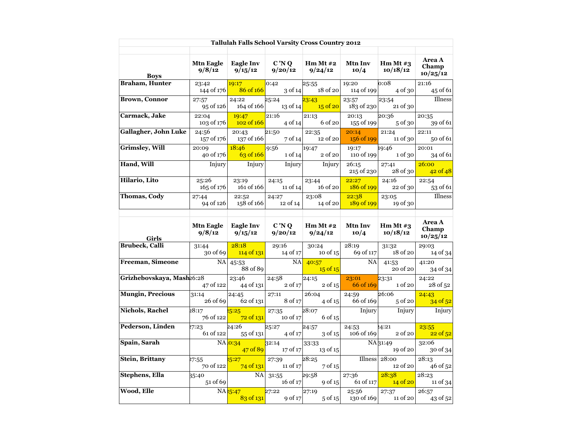|                             |                            |                                |                   | Tallulah Falls School Varsity Cross Country 2012 |                     |                                  |                              |
|-----------------------------|----------------------------|--------------------------------|-------------------|--------------------------------------------------|---------------------|----------------------------------|------------------------------|
| <b>Boys</b>                 | <b>Mtn Eagle</b><br>9/8/12 | <b>Eagle Inv</b><br>9/15/12    | C'NO<br>9/20/12   | $\text{Hm} \text{ Mt} \#2$<br>9/24/12            | Mtn Inv<br>10/4     | Hm Mt $#3$<br>10/18/12           | Area A<br>Champ<br>10/25/12  |
| <b>Braham, Hunter</b>       | 23:42<br>144 of 176        | 19:17<br>86 of 166             | 0:42<br>3 of 14   | 25:55<br>18 of 20                                | 19:20<br>114 of 199 | 0:08<br>4 of 30                  | 21:16<br>45 of 61            |
| <b>Brown, Connor</b>        | 27:57<br>95 of 126         | 24:22<br>164 of 166            | 25:24<br>13 of 14 | 23:43<br>$15$ of $20$                            | 23:57<br>183 of 230 | 23:54<br>21 of 30                | Illness                      |
| Carmack, Jake               | 22:04<br>103 of 176        | 19:47<br>$102 \text{ of } 166$ | 21:16<br>4 of 14  | 21:13<br>6 of 20                                 | 20:13<br>155 of 199 | 20:36<br>5 of 30                 | 20:35<br>39 of 61            |
| <b>Gallagher, John Luke</b> | 24:56<br>157 of 176        | 20:43<br>137 of 166            | 21:50<br>7 of 14  | 22:35<br>12 of 20                                | 20:14<br>156 of 199 | 21:24<br>11 of 30                | 22:11<br>50 of 61            |
| Grimsley, Will              | 20:09<br>40 of 176         | 18:46<br>63 of 166             | 9:56<br>1 of 14   | 19:47<br>2 of 20                                 | 19:17<br>110 of 199 | 19:46<br>1 of 30                 | 20:01<br>34 of 61            |
| Hand, Will                  | Injury                     | Injury                         | Injury            | Injury                                           | 26:15<br>215 of 230 | 27:41<br>28 of 30                | 26:00<br>$42 \text{ of } 48$ |
| Hilario, Lito               | 25:26<br>165 of 176        | 23:19<br>161 of 166            | 24:15<br>11 of 14 | 23:44<br>16 of 20                                | 22:27<br>186 of 199 | 24:16<br>22 of 30                | 22:54<br>53 of 61            |
| Thomas, Cody                | 27:44<br>94 of 126         | 22:52<br>158 of 166            | 24:27<br>12 of 14 | 23:08<br>14 of 20                                | 22:38<br>189 of 199 | 23:05<br>19 of 30                | Illness                      |
|                             | <b>Mtn Eagle</b>           | <b>Eagle Inv</b>               | C'NO              | Hm Mt #2                                         | Mtn Inv             | Hm Mt $#3$                       | Area A                       |
| <b>Girls</b>                | 9/8/12                     | 9/15/12                        | 9/20/12           | 9/24/12                                          | 10/4                | 10/18/12                         | Champ<br>10/25/12            |
| <b>Brubeck, Calli</b>       | 31:44<br>30 of 69          | 28:18<br>114 of 131            | 29:16<br>14 of 17 | 30:24<br>$10$ of $15$                            | 28:19<br>69 of 117  | 31:32<br>18 of 20                | 29:03<br>14 of 34            |
| Freeman, Simeone            | NA                         | 45:53<br>88 of 89              | <b>NA</b>         | 40:57<br>$15$ of $15$                            | <b>NA</b>           | 41:53<br>20 of 20                | 41:20<br>34 of 34            |
| Grizhebovskaya, Mash26:28   | 47 of 122                  | 23:46<br>44 of 131             | 24:58<br>2 of 17  | 24:15<br>$2$ of 15                               | 23:01<br>66 of 169  | 23:31<br>1 of 20                 | 24:22<br>28 of 52            |
| <b>Mungin, Precious</b>     | 31:14<br>$26$ of 69        | 24:45<br>62 of 131             | 27:11<br>8 of 17  | 26:04<br>4 of 15                                 | 24:59<br>66 of 169  | 26:06<br>5 of 20                 | 24:43<br>34 of 52            |
| Nichols, Rachel             | 28:17<br>76 of 122         | 25:25<br>72 of 131             | 27:35<br>10 of 17 | 28:07<br>6 of 15                                 | Injury              | Injury                           | Injury                       |
| Pederson, Linden            | 27:23<br>61 of 122         | 24:26<br>55 of 131             | 25:27<br>4 of 17  | 24:57<br>3 of 15                                 | 24:53<br>106 of 169 | 24:21<br>2 of 20                 | 23:55<br>$22$ of $52$        |
| Spain, Sarah                |                            | $NA$ 0:34<br>47 of 89          | 32:14<br>17 of 17 | 33:33<br>13 of 15                                |                     | NA <sub>31</sub> :49<br>19 of 20 | 32:06<br>30 of 34            |
| <b>Stein, Brittany</b>      | 27:55<br>70 of 122         | 25:27<br>74 of 131             | 27:39<br>11 of 17 | 28:25<br>7 of 15                                 | Illness             | 28:00<br>12 of 20                | 28:13<br>46 of 52            |
| <b>Stephens</b> , Ella      | 35:40<br>51 of 69          | <b>NA</b>                      | 31:55<br>16 of 17 | 29:58<br>$9$ of $15$                             | 27:36<br>61 of 117  | 28:38<br>$14$ of $20$            | 28:23<br>11 of 34            |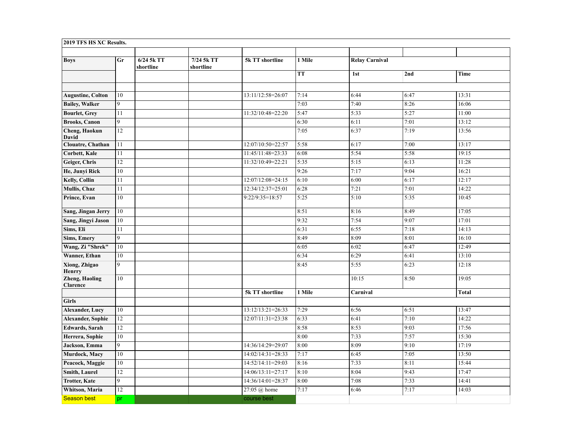| <b>Boys</b>                           | Gr              | 6/24 5k TT | 7/24 5k TT | 5k TT shortline     | 1 Mile    | <b>Relay Carnival</b> |      |              |
|---------------------------------------|-----------------|------------|------------|---------------------|-----------|-----------------------|------|--------------|
|                                       |                 | shortline  | shortline  |                     | <b>TT</b> | 1st                   | 2nd  | Time         |
|                                       |                 |            |            |                     |           |                       |      |              |
| <b>Augustine, Colton</b>              | 10              |            |            | 13:11/12:58=26:07   | 7:14      | 6:44                  | 6:47 | 13:31        |
| <b>Bailey, Walker</b>                 | 9               |            |            |                     | 7:03      | 7:40                  | 8:26 | 16:06        |
| <b>Bourlet</b> , Grey                 | 11              |            |            | 11:32/10:48=22:20   | 5:47      | 5:33                  | 5:27 | 11:00        |
| <b>Brooks, Canon</b>                  | 9               |            |            |                     | 6:30      | 6:11                  | 7:01 | 13:12        |
| <b>Cheng</b> , Haokun<br><b>David</b> | $\overline{12}$ |            |            |                     | 7:05      | 6:37                  | 7:19 | 13:56        |
| <b>Clouatre, Chathan</b>              | 11              |            |            | 12:07/10:50=22:57   | 5:58      | 6:17                  | 7:00 | 13:17        |
| <b>Corbett, Kale</b>                  | 11              |            |            | 11:45/11:48=23:33   | 6:08      | 5:54                  | 5:58 | 19:15        |
| Geiger, Chris                         | $\overline{12}$ |            |            | 11:32/10:49=22:21   | 5:35      | 5:15                  | 6:13 | 11:28        |
| He, Junyi Rick                        | 10              |            |            |                     | 9:26      | 7:17                  | 9:04 | 16:21        |
| <b>Kelly, Collin</b>                  | 11              |            |            | 12:07/12:08=24:15   | 6:10      | 6:00                  | 6:17 | 12:17        |
| <b>Mullis, Chaz</b>                   | $\overline{11}$ |            |            | 12:34/12:37=25:01   | 6:28      | 7:21                  | 7:01 | 14:22        |
| Prince, Evan                          | 10              |            |            | $9:22/9:35=18:57$   | 5:25      | 5:10                  | 5:35 | 10:45        |
| Sang, Jingan Jerry                    | 10              |            |            |                     | 8:51      | 8:16                  | 8:49 | 17:05        |
| Sang, Jingyi Jason                    | 10              |            |            |                     | 9:32      | 7:54                  | 9:07 | 17:01        |
| Sims, Eli                             | 11              |            |            |                     | 6:31      | 6:55                  | 7:18 | 14:13        |
| <b>Sims, Emery</b>                    | 9               |            |            |                     | 8:49      | 8:09                  | 8:01 | 16:10        |
| Wang, Zi "Shrek"                      | 10              |            |            |                     | 6:05      | 6:02                  | 6:47 | 12:49        |
| <b>Wanner</b> , Ethan                 | 10              |            |            |                     | 6:34      | 6:29                  | 6:41 | 13:10        |
| Xiong, Zhigao<br>Henrry               | 9               |            |            |                     | 8:45      | 5:55                  | 6:23 | 12:18        |
| Zheng, Haoling<br><b>Clarence</b>     | 10              |            |            |                     |           | 10:15                 | 8:50 | 19:05        |
|                                       |                 |            |            | 5k TT shortline     | 1 Mile    | Carnival              |      | <b>Total</b> |
| <b>Girls</b>                          |                 |            |            |                     |           |                       |      |              |
| Alexander, Lucy                       | 10              |            |            | 13:12/13:21=26:33   | 7:29      | 6:56                  | 6:51 | 13:47        |
| <b>Alexander, Sophie</b>              | 12              |            |            | $12:07/11:31=23:38$ | 6:33      | 6:41                  | 7:10 | 14:22        |
| <b>Edwards</b> , Sarah                | 12              |            |            |                     | 8:58      | 8:53                  | 9:03 | 17:56        |
| Herrera, Sophie                       | 10              |            |            |                     | 8:00      | 7:33                  | 7:57 | 15:30        |
| Jackson, Emma                         | 9               |            |            | 14:36/14:29=29:07   | 8:00      | 8:09                  | 9:10 | 17:19        |
| Murdock, Macy                         | 10              |            |            | $14:02/14:31=28:33$ | 7:17      | 6:45                  | 7:05 | 13:50        |
| Peacock, Maggie                       | 10              |            |            | 14:52/14:11=29:03   | 8:16      | 7:33                  | 8:11 | 15:44        |
| <b>Smith, Laurel</b>                  | 12              |            |            | 14:06/13:11=27:17   | 8:10      | 8:04                  | 9:43 | 17:47        |
| <b>Trotter, Kate</b>                  | 9               |            |            | 14:36/14:01=28:37   | 8:00      | 7:08                  | 7:33 | 14:41        |
| Whitson, Maria                        | 12              |            |            | $27:05$ (a) home    | 7:17      | 6:46                  | 7:17 | 14:03        |
| <b>Season best</b>                    | pr              |            |            | course best         |           |                       |      |              |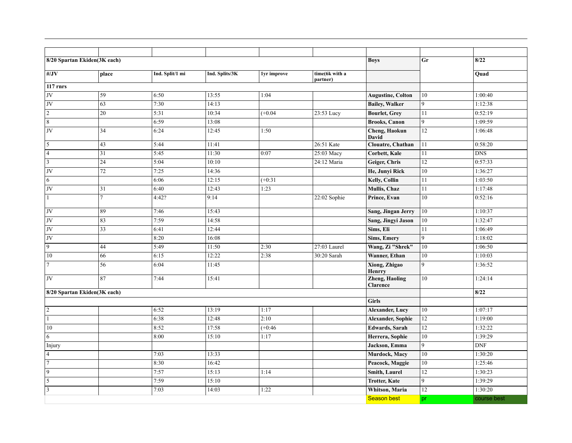|                    | 8/20 Spartan Ekiden(3K each) |                 |                |             |                            | <b>Boys</b>                              | Gr             | $\frac{8}{22}$ |
|--------------------|------------------------------|-----------------|----------------|-------------|----------------------------|------------------------------------------|----------------|----------------|
| $\overline{\#/JV}$ | place                        | Ind. Split/1 mi | Ind. Splits/3K | 1yr improve | time(6k with a<br>partner) |                                          |                | Ouad           |
| $117$ rnrs         |                              |                 |                |             |                            |                                          |                |                |
| JV                 | 59                           | 6:50            | 13:55          | 1:04        |                            | <b>Augustine, Colton</b>                 | 10             | 1:00:40        |
| JV                 | 63                           | 7:30            | 14:13          |             |                            | <b>Bailey, Walker</b>                    | $\overline{9}$ | 1:12:38        |
| $\overline{2}$     | 20                           | 5:31            | 10:34          | $(+0.04)$   | 23:53 Lucy                 | <b>Bourlet, Grey</b>                     | 11             | 0:52:19        |
| $\overline{8}$     |                              | 6:59            | 13:08          |             |                            | <b>Brooks, Canon</b>                     | 9              | 1:09:59        |
| JV                 | 34                           | 6:24            | 12:45          | 1:50        |                            | Cheng, Haokun<br>David                   | 12             | 1:06:48        |
| 5                  | 43                           | 5:44            | 11:41          |             | 26:51 Kate                 | Clouatre, Chathan                        | 11             | 0:58:20        |
| $\overline{4}$     | 31                           | 5:45            | 11:30          | 0:07        | 25:03 Macy                 | <b>Corbett, Kale</b>                     | 11             | <b>DNS</b>     |
| $\overline{3}$     | 24                           | 5:04            | 10:10          |             | 24:12 Maria                | Geiger, Chris                            | 12             | 0:57:33        |
| JV                 | 72                           | 7:25            | 14:36          |             |                            | He, Junyi Rick                           | 10             | 1:36:27        |
| 6                  |                              | 6:06            | 12:15          | $(+0:31)$   |                            | <b>Kelly, Collin</b>                     | 11             | 1:03:50        |
| JV                 | 31                           | 6:40            | 12:43          | 1:23        |                            | Mullis, Chaz                             | 11             | 1:17:48        |
| $\mathbf{1}$       | 7                            | 4:42?           | 9:14           |             | 22:02 Sophie               | Prince, Evan                             | 10             | 0:52:16        |
| JV                 | 89                           | 7:46            | 15:43          |             |                            | Sang, Jingan Jerry                       | 10             | 1:10:37        |
| JV                 | 83                           | 7:59            | 14:58          |             |                            | Sang, Jingyi Jason                       | 10             | 1:32:47        |
| JV                 | 33                           | 6:41            | 12:44          |             |                            | Sims, Eli                                | 11             | 1:06:49        |
| JV                 |                              | 8:20            | 16:08          |             |                            | Sims, Emery                              | 9              | 1:18:02        |
| 9                  | 44                           | 5:49            | 11:50          | 2:30        | 27:03 Laurel               | Wang, Zi "Shrek"                         | 10             | 1:06:50        |
| 10                 | 66                           | 6:15            | 12:22          | 2:38        | 30:20 Sarah                | Wanner, Ethan                            | 10             | 1:10:03        |
| $\overline{7}$     | 56                           | 6:04            | 11:45          |             |                            | Xiong, Zhigao<br>Henrry                  | 9              | 1:36:52        |
| JV                 | 87                           | 7:44            | 15:41          |             |                            | <b>Zheng, Haoling</b><br><b>Clarence</b> | 10             | 1:24:14        |
|                    | 8/20 Spartan Ekiden(3K each) |                 |                |             |                            |                                          |                | 8/22           |
|                    |                              |                 |                |             |                            | <b>Girls</b>                             |                |                |
| $\overline{2}$     |                              | 6:52            | 13:19          | 1:17        |                            | <b>Alexander, Lucy</b>                   | 10             | 1:07:17        |
| $\vert$ 1          |                              | 6:38            | 12:48          | 2:10        |                            | <b>Alexander, Sophie</b>                 | 12             | 1:19:00        |
| 10                 |                              | 8:52            | 17:58          | $(+0:46)$   |                            | <b>Edwards</b> , Sarah                   | 12             | 1:32:22        |
| 6                  |                              | 8:00            | 15:10          | 1:17        |                            | Herrera, Sophie                          | 10             | 1:39:29        |
| Injury             |                              |                 |                |             |                            | Jackson, Emma                            | $\overline{9}$ | DNF            |
| $\overline{4}$     |                              | 7:03            | 13:33          |             |                            | Murdock, Macy                            | 10             | 1:30:20        |
| $\overline{7}$     |                              | 8:30            | 16:42          |             |                            | Peacock, Maggie                          | 10             | 1:25:46        |
| $\overline{9}$     |                              | 7:57            | 15:13          | 1:14        |                            | <b>Smith, Laurel</b>                     | 12             | 1:30:23        |
| $\overline{5}$     |                              | 7:59            | 15:10          |             |                            | <b>Trotter, Kate</b>                     | 9              | 1:39:29        |
| $\overline{3}$     |                              | 7:03            | 14:03          | 1:22        |                            | Whitson, Maria                           | 12             | 1:30:20        |
|                    |                              |                 |                |             |                            | <b>Season best</b>                       | pr             | course best    |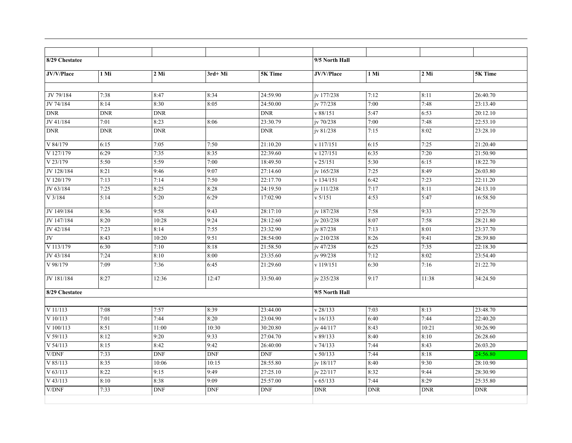| 8/29 Chestatee    |            |            |            |                             | 9/5 North Hall    |            |            |            |
|-------------------|------------|------------|------------|-----------------------------|-------------------|------------|------------|------------|
| <b>JV/V/Place</b> | 1 Mi       | $2$ Mi     | $3rd+Mi$   | 5K Time                     | <b>JV/V/Place</b> | 1 Mi       | 2 Mi       | 5K Time    |
|                   |            |            |            |                             |                   |            |            |            |
| JV 79/184         | 7:38       | 8:47       | 8:34       | 24:59.90                    | jv 177/238        | 7:12       | 8:11       | 26:40.70   |
| JV 74/184         | 8:14       | 8:30       | 8:05       | 24:50.00                    | jv 77/238         | 7:00       | 7:48       | 23:13.40   |
| <b>DNR</b>        | <b>DNR</b> | <b>DNR</b> |            | <b>DNR</b>                  | v 88/151          | 5:47       | 6:53       | 20:12.10   |
| JV 41/184         | 7:01       | 8:23       | 8:06       | 23:30.79                    | iv 70/238         | 7:00       | 7:48       | 22:53.10   |
| <b>DNR</b>        | <b>DNR</b> | <b>DNR</b> |            | <b>DNR</b>                  | iv 81/238         | 7:15       | 8:02       | 23:28.10   |
| V 84/179          | 6:15       | 7:05       | 7:50       | 21:10.20                    | v 117/151         | 6:15       | 7:25       | 21:20.40   |
| V 127/179         | 6:29       | 7:35       | 8:35       | 22:39.60                    | v 127/151         | 6:35       | 7:20       | 21:50.90   |
| V 23/179          | 5:50       | 5:59       | 7:00       | 18:49.50                    | v 25/151          | 5:30       | 6:15       | 18:22.70   |
| JV 128/184        | 8:21       | 9:46       | 9:07       | 27:14.60                    | iv 165/238        | 7:25       | 8:49       | 26:03.80   |
| V 120/179         | 7:13       | 7:14       | 7:50       | 22:17.70                    | v 134/151         | 6:42       | 7:23       | 22:11.20   |
| JV 63/184         | 7:25       | 8:25       | 8:28       | 24:19.50                    | jv 111/238        | 7:17       | 8:11       | 24:13.10   |
| V 3/184           | 5:14       | 5:20       | 6:29       | 17:02.90                    | v 5/151           | 4:53       | 5:47       | 16:58.50   |
| JV 149/184        | 8:36       | 9:58       | 9:43       | 28:17:10                    | jv 187/238        | 7:58       | 9:33       | 27:25.70   |
| JV 147/184        | 8:20       | 10:28      | 9:24       | 28:12:60                    | jv 203/238        | 8:07       | 7:58       | 28:21.80   |
| JV 42/184         | 7:23       | 8:14       | 7:55       | 23:32.90                    | iv 87/238         | 7:13       | 8:01       | 23:37.70   |
| JV                | 8:43       | 10:20      | 9:51       | 28:54:00                    | jv 210/238        | 8:26       | 9:41       | 28:39.80   |
| V 113/179         | 6:30       | 7:10       | 8:18       | 21:58.50                    | iv 47/238         | 6:25       | 7:35       | 22:18.30   |
| JV 43/184         | 7:24       | 8:10       | 8:00       | 23:35.60                    | iv 99/238         | 7:12       | 8:02       | 23:54.40   |
| V 98/179          | 7:09       | 7:36       | 6:45       | 21:29.60                    | v 119/151         | 6:30       | 7:16       | 21:22.70   |
| JV 181/184        | 8:27       | 12:36      | 12:47      | 33:50.40                    | iv 235/238        | 9:17       | 11:38      | 34:24.50   |
| 8/29 Chestatee    |            |            |            |                             | 9/5 North Hall    |            |            |            |
|                   |            |            |            |                             |                   |            |            |            |
| V 11/113          | 7:08       | 7:57       | 8:39       | 23:44.00                    | v 28/133          | 7:03       | 8:13       | 23:48.70   |
| V 10/113          | 7:01       | 7:44       | 8:20       | 23:04.90                    | v 16/133          | 6:40       | 7:44       | 22:40.20   |
| V 100/113         | 8:51       | 11:00      | 10:30      | 30:20.80                    | iv 44/117         | 8:43       | 10:21      | 30:26.90   |
| V 59/113          | 8:12       | 9:20       | 9:33       | 27:04.70                    | v 89/133          | 8:40       | 8:10       | 26:28.60   |
| V 54/113          | 8:15       | 8:42       | 9:42       | 26:40:00                    | v 74/133          | 7:44       | 8:43       | 26:03.20   |
| V/DNF             | 7:33       | <b>DNF</b> | <b>DNF</b> | <b>DNF</b>                  | v 50/133          | 7:44       | 8:18       | 24:56.80   |
| V 85/113          | 8:35       | 10:06      | 10:15      | 28:55.80                    | iv 18/117         | 8:40       | 9:30       | 28:10.90   |
| $V$ 63/113        | 8:22       | 9:15       | 9:49       | 27:25.10                    | jv 22/117         | 8:32       | 9:44       | 28:30.90   |
| V 43/113          | 8:10       | 8:38       | 9:09       | 25:57.00                    | v 65/133          | 7:44       | 8:29       | 25:35.80   |
| V/DNF             | 7:33       | <b>DNF</b> | <b>DNF</b> | $\ensuremath{\mathsf{DNF}}$ | <b>DNR</b>        | <b>DNR</b> | <b>DNR</b> | <b>DNR</b> |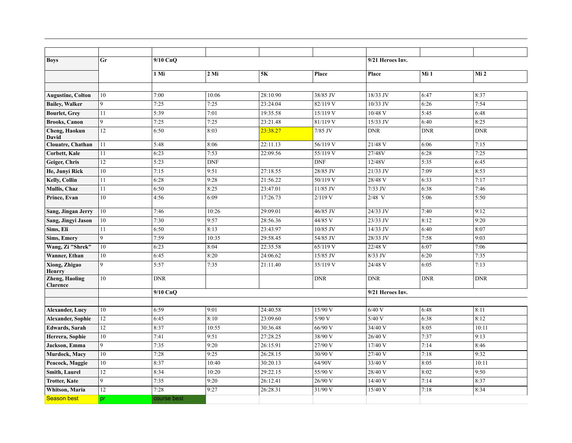| <b>Boys</b>                       | Gr | $9/10$ CnQ   |            |                      |            | 9/21 Heroes Inv. |            |                 |
|-----------------------------------|----|--------------|------------|----------------------|------------|------------------|------------|-----------------|
|                                   |    | 1 Mi         | 2 Mi       | 5K                   | Place      | Place            | Mi1        | Mi <sub>2</sub> |
|                                   |    |              |            |                      |            |                  |            |                 |
| <b>Augustine, Colton</b>          | 10 | 7:00         | 10:06      | 28:10.90             | 38/85 JV   | $18/33$ JV       | 6:47       | 8:37            |
| <b>Bailey, Walker</b>             | 9  | 7:25         | 7:25       | 23:24.04             | 82/119 V   | 10/33 JV         | 6:26       | 7:54            |
| <b>Bourlet</b> , Grey             | 11 | 5:39         | 7:01       | 19:35.58             | 15/119 V   | 10/48 V          | 5:45       | 6:48            |
| <b>Brooks, Canon</b>              | 9  | 7:25         | 7:25       | 23:21.48             | 81/119 V   | $15/33$ JV       | 6:40       | 8:25            |
| Cheng, Haokun<br>David            | 12 | 6:50         | 8:03       | 23:38.27             | 7/85 JV    | <b>DNR</b>       | <b>DNR</b> | <b>DNR</b>      |
| Clouatre, Chathan                 | 11 | 5:48         | 8:06       | 22:11.13             | 56/119 V   | 21/48 V          | 6:06       | 7:15            |
| <b>Corbett, Kale</b>              | 11 | 6:23         | 7:53       | 22:09.56             | 55/119 V   | 27/48V           | 6:28       | 7:25            |
| Geiger, Chris                     | 12 | 5:23         | <b>DNF</b> |                      | <b>DNF</b> | 12/48V           | 5:35       | 6:45            |
| He, Junyi Rick                    | 10 | 7:15         | 9:51       | 27:18.55             | 28/85 JV   | 21/33 JV         | 7:09       | 8:53            |
| <b>Kelly, Collin</b>              | 11 | 6:28         | 9:28       | 21:56.22             | 50/119 V   | 28/48 V          | 6:33       | 7:17            |
| Mullis, Chaz                      | 11 | 6:50         | 8:25       | 23:47.01             | 11/85 JV   | $7/33$ JV        | 6:38       | 7:46            |
| Prince, Evan                      | 10 | 4:56         | 6:09       | 17:26.73             | 2/119V     | $2/48$ V         | 5:06       | 5:50            |
| Sang, Jingan Jerry                | 10 | 7:46         | 10:26      | 29:09.01             | 46/85 JV   | 24/33 JV         | 7:40       | 9:12            |
| Sang, Jingyi Jason                | 10 | 7:30         | 9:57       | 28:56.36             | 44/85 V    | 23/33 JV         | 8:12       | 9:20            |
| Sims, Eli                         | 11 | 6:50         | 8:13       | 23:43.97             | 10/85 JV   | $14/33$ JV       | 6:40       | 8:07            |
| <b>Sims, Emery</b>                | 9  | 7:59         | 10:35      | 29:58.45             | 54/85 JV   | 28/33 JV         | 7:58       | 9:03            |
| Wang, Zi "Shrek"                  | 10 | 6:23         | 8:04       | 22:35.58             | 65/119 V   | 22/48 V          | 6:07       | 7:06            |
| Wanner, Ethan                     | 10 | 6:45         | 8:20       | 24:06.62             | 15/85 JV   | 8/33 JV          | 6:20       | 7:35            |
| Xiong, Zhigao<br>Henrry           | 9  | 5:57         | 7:35       | 21:11.40             | 35/119 V   | 24/48 V          | 6:05       | 7:13            |
| Zheng, Haoling<br><b>Clarence</b> | 10 | <b>DNR</b>   |            |                      | <b>DNR</b> | <b>DNR</b>       | <b>DNR</b> | <b>DNR</b>      |
|                                   |    | 9/10 CnQ     |            |                      |            | 9/21 Heroes Inv. |            |                 |
|                                   | 10 | 6:59         | 9:01       | 24:40.58             | 15/90 V    | $6/40$ V         | 6:48       | 8:11            |
| <b>Alexander, Lucy</b>            | 12 | 6:45         | 8:10       | 23:09.60             | 5/90 V     | 5/40V            | 6:38       | 8:12            |
| <b>Alexander, Sophie</b>          | 12 |              | 10:55      |                      | $66/90V$   | 34/40 V          | 8:05       | 10:11           |
| Edwards, Sarah                    | 10 | 8:37<br>7:41 | 9:51       | 30:36.48<br>27:28.25 | 38/90 V    | 26/40 V          | 7:37       | 9:13            |
| Herrera, Sophie                   | 9  |              | 9:20       |                      | 27/90 V    | 17/40V           | 7:14       | 8:46            |
| Jackson, Emma                     | 10 | 7:35         | 9:25       | 26:15.91             | 30/90 V    | 27/40V           | 7:18       | 9:32            |
| Murdock, Macv                     |    | 7:28         |            | 26:28.15             |            |                  |            |                 |
| Peacock, Maggie                   | 10 | 8:37         | 10:40      | 30:20.13             | 64/90V     | 33/40 V          | 8:05       | 10:11           |
| <b>Smith, Laurel</b>              | 12 | 8:34         | 10:20      | 29:22.15             | 55/90 V    | 28/40 V          | 8:02       | 9:50            |
| <b>Trotter, Kate</b>              | 9  | 7:35         | 9:20       | 26:12.41             | 26/90 V    | 14/40 V          | 7:14       | 8:37            |
| Whitson, Maria                    | 12 | 7:28         | 9:27       | 26:28.31             | 31/90 V    | 15/40 V          | 7:18       | 8:34            |
| <b>Season best</b>                | pr | course best  |            |                      |            |                  |            |                 |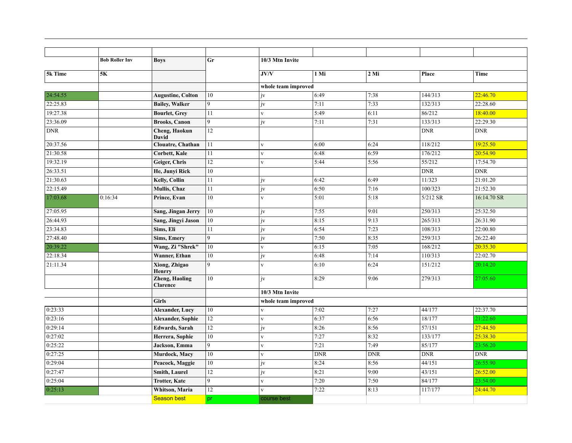|            | <b>Bob Roller Inv</b> | <b>Boys</b>                    | Gr              | 10/3 Mtn Invite     |            |            |            |             |
|------------|-----------------------|--------------------------------|-----------------|---------------------|------------|------------|------------|-------------|
|            |                       |                                |                 |                     |            |            |            |             |
| 5k Time    | 5K                    |                                |                 | JV/V                | 1 Mi       | 2 Mi       | Place      | Time        |
|            |                       |                                |                 | whole team improved |            |            |            |             |
| 24:54.55   |                       | <b>Augustine, Colton</b>       | 10              |                     | 6:49       | 7:38       | 144/313    | 22:46.70    |
| 22:25.83   |                       | <b>Bailey, Walker</b>          | $\Omega$        | iv                  | 7:11       | 7:33       | 132/313    | 22:28.60    |
| 19:27.38   |                       | <b>Bourlet, Grey</b>           | 11              |                     | 5:49       | 6:11       | 86/212     | 18:40.00    |
| 23:36.09   |                       | <b>Brooks, Canon</b>           | 9               | iv                  | 7:11       | 7:31       | 133/313    | 22:29.30    |
| <b>DNR</b> |                       | Cheng, Haokun<br>David         | 12              |                     |            |            | <b>DNR</b> | <b>DNR</b>  |
| 20:37.56   |                       | <b>Clouatre, Chathan</b>       | 11              |                     | 6:00       | 6:24       | 118/212    | 19:25.50    |
| 21:30.58   |                       | Corbett, Kale                  | 11              |                     | 6:48       | 6:59       | 176/212    | 20:54.90    |
| 19:32.19   |                       | Geiger, Chris                  | 12              |                     | 5:44       | 5:56       | 55/212     | 17:54.70    |
| 26:33.51   |                       | He, Junyi Rick                 | 10              |                     |            |            | <b>DNR</b> | <b>DNR</b>  |
| 21:30.63   |                       | <b>Kelly, Collin</b>           | 11              | iv                  | 6:42       | 6:49       | 11/323     | 21:01.20    |
| 22:15.49   |                       | Mullis, Chaz                   | 11              | iv                  | 6:50       | 7:16       | 100/323    | 21:52.30    |
| 17:03.68   | 0:16:34               | Prince, Evan                   | 10              |                     | 5:01       | 5:18       | 5/212 SR   | 16:14.70 SR |
| 27:05.95   |                       | Sang, Jingan Jerry             | 10              | iv                  | 7:55       | 9:01       | 250/313    | 25:32.50    |
| 26:44.93   |                       | Sang, Jingyi Jason             | 10              | iv                  | 8:15       | 9:13       | 265/313    | 26:31.90    |
| 23:34.83   |                       | Sims, Eli                      | 11              | iv                  | 6:54       | 7:23       | 108/313    | 22:00.80    |
| 27:48.40   |                       | Sims, Emery                    | $\mathbf Q$     | iv                  | 7:50       | 8:35       | 259/313    | 26:22.40    |
| 20:39.22   |                       | Wang, Zi "Shrek"               | 10              |                     | 6:15       | 7:05       | 168/212    | 20:35.30    |
| 22:18.34   |                       | Wanner, Ethan                  | 10              | iv                  | 6:48       | 7:14       | 110/313    | 22:02.70    |
| 21:11.34   |                       | Xiong, Zhigao<br><b>Henrry</b> | 9               |                     | 6:10       | 6:24       | 151/212    | 20:14.20    |
|            |                       | Zheng, Haoling<br>Clarence     | 10              | iv                  | 8:29       | 9:06       | 279/313    | 27:05.60    |
|            |                       |                                |                 | 10/3 Mtn Invite     |            |            |            |             |
|            |                       | <b>Girls</b>                   |                 | whole team improved |            |            |            |             |
| 0:23:33    |                       | <b>Alexander, Lucy</b>         | 10              |                     | 7:02       | 7:27       | 44/177     | 22:37.70    |
| 0:23:16    |                       | <b>Alexander, Sophie</b>       | 12              |                     | 6:37       | 6:56       | 18/177     | 21:22.60    |
| 0:29:14    |                       | <b>Edwards</b> , Sarah         | $\overline{12}$ | iv                  | 8:26       | 8:56       | 57/151     | 27:44.50    |
| 0:27:02    |                       | Herrera, Sophie                | 10              |                     | 7:27       | 8:32       | 133/177    | 25:38.30    |
| 0:25:22    |                       | Jackson, Emma                  | $\Omega$        |                     | 7:21       | 7:49       | 85/177     | 23:56.20    |
| 0:27:25    |                       | Murdock, Macy                  | 10              |                     | <b>DNR</b> | <b>DNR</b> | <b>DNR</b> | <b>DNR</b>  |
| 0:29:04    |                       | Peacock, Maggie                | 10              | iv                  | 8:24       | 8:56       | 44/151     | 26:55.90    |
| 0:27:47    |                       | <b>Smith, Laurel</b>           | 12              | iv                  | 8:21       | 9:00       | 43/151     | 26:52.00    |
| 0:25:04    |                       | <b>Trotter, Kate</b>           | 9               |                     | 7:20       | 7:50       | 84/177     | 23:54.00    |
| 0:25:13    |                       | Whitson, Maria                 | 12              |                     | 7:22       | 8:13       | 117/177    | 24:44.70    |
|            |                       | <b>Season best</b>             | pr              | course best         |            |            |            |             |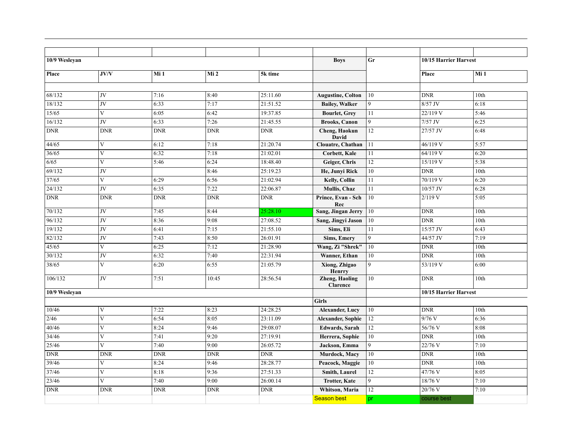| 10/9 Weslevan |                         |            |                 |            | <b>Boys</b>                               | Gr              | 10/15 Harrier Harvest |                  |
|---------------|-------------------------|------------|-----------------|------------|-------------------------------------------|-----------------|-----------------------|------------------|
|               |                         |            |                 |            |                                           |                 |                       |                  |
| Place         | JV/V                    | Mi 1       | Mi <sub>2</sub> | 5k time    |                                           |                 | Place                 | Mi 1             |
|               |                         |            |                 |            |                                           |                 |                       |                  |
| 68/132        | JV                      | 7:16       | 8:40            | 25:11.60   | <b>Augustine, Colton</b>                  | 10              | <b>DNR</b>            | 10th             |
| 18/132        | JV                      | 6:33       | 7:17            | 21:51.52   | <b>Bailey, Walker</b>                     | 9               | $8/57$ JV             | 6:18             |
| 15/65         | V                       | 6:05       | 6:42            | 19:37.85   | <b>Bourlet, Grey</b>                      | 11              | 22/119 V              | 5:46             |
| 16/132        | JV                      | 6:33       | 7:26            | 21:45.55   | <b>Brooks, Canon</b>                      | 9               | $7/57$ JV             | 6:25             |
| <b>DNR</b>    | <b>DNR</b>              | <b>DNR</b> | <b>DNR</b>      | <b>DNR</b> | Cheng, Haokun<br>David                    | 12              | 27/57 JV              | 6:48             |
| 44/65         | V                       | 6:12       | 7:18            | 21:20.74   | Clouatre, Chathan                         | 11              | 46/119 V              | 5:57             |
| 36/65         | V                       | 6:32       | 7:18            | 21:02.01   | Corbett, Kale                             | 11              | 64/119 V              | 6:20             |
| 6/65          | V                       | 5:46       | 6:24            | 18:48.40   | Geiger, Chris                             | $\overline{12}$ | 15/119 V              | 5:38             |
| 69/132        | JV                      |            | 8:46            | 25:19.23   | He, Junyi Rick                            | 10              | <b>DNR</b>            | 10th             |
| 37/65         | V                       | 6:29       | 6:56            | 21:02.94   | <b>Kelly, Collin</b>                      | 11              | $70/119$ V            | 6:20             |
| 24/132        | JV                      | 6:35       | 7:22            | 22:06.87   | <b>Mullis</b> , Chaz                      | 11              | $10/57$ JV            | 6:28             |
| <b>DNR</b>    | <b>DNR</b>              | <b>DNR</b> | <b>DNR</b>      | <b>DNR</b> | Prince, Evan - Sch<br>Rec                 | 10              | 2/119V                | 5:05             |
| 70/132        | JV                      | 7:45       | 8:44            | 25:28.10   | <b>Sang, Jingan Jerry</b>                 | 10              | <b>DNR</b>            | 10th             |
| 96/132        | JV                      | 8:36       | 9:08            | 27:08.52   | Sang, Jingyi Jason                        | 10              | <b>DNR</b>            | 10th             |
| 19/132        | JV                      | 6:41       | 7:15            | 21:55.10   | Sims, Eli                                 | 11              | $15/57$ JV            | 6:43             |
| 82/132        | JV                      | 7:43       | 8:50            | 26:01.91   | Sims, Emery                               | 9               | 44/57 JV              | 7:19             |
| 45/65         | V                       | 6:25       | 7:12            | 21:28.90   | Wang, Zi "Shrek"                          | 10              | <b>DNR</b>            | 10th             |
| 30/132        | JV                      | 6:32       | 7:40            | 22:31.94   | <b>Wanner</b> , Ethan                     | 10              | <b>DNR</b>            | 10th             |
| 38/65         | V                       | 6:20       | 6:55            | 21:05.79   | Xiong, Zhigao<br>Henrry                   | 9               | 53/119 V              | 6:00             |
| 106/132       | <b>IV</b>               | 7:51       | 10:45           | 28:56.54   | <b>Zheng</b> , Haoling<br><b>Clarence</b> | 10              | <b>DNR</b>            | 10 <sub>th</sub> |
| 10/9 Wesleyan |                         |            |                 |            |                                           |                 | 10/15 Harrier Harvest |                  |
|               |                         |            |                 |            | <b>Girls</b>                              |                 |                       |                  |
| 10/46         | $\overline{\mathsf{V}}$ | 7:22       | 8:23            | 24:28.25   | <b>Alexander, Lucy</b>                    | 10              | <b>DNR</b>            | 10th             |
| 2/46          | V                       | 6:54       | 8:05            | 23:11.09   | <b>Alexander, Sophie</b>                  | 12              | $9/76$ V              | 6:36             |
| 40/46         | V                       | 8:24       | 9:46            | 29:08.07   | <b>Edwards</b> , Sarah                    | 12              | 56/76 V               | 8:08             |
| 34/46         | $\overline{V}$          | 7:41       | 9:20            | 27:19.91   | Herrera, Sophie                           | 10              | <b>DNR</b>            | 10th             |
| 25/46         | V                       | 7:40       | 9:00            | 26:05.72   | Jackson, Emma                             | 9               | 22/76 V               | 7:10             |
| <b>DNR</b>    | <b>DNR</b>              | <b>DNR</b> | <b>DNR</b>      | <b>DNR</b> | Murdock, Macy                             | 10              | <b>DNR</b>            | 10 <sub>th</sub> |
| 39/46         | $\overline{\mathbf{V}}$ | 8:24       | 9:46            | 28:28.77   | Peacock, Maggie                           | 10              | <b>DNR</b>            | 10th             |
| 37/46         | $\overline{\mathsf{V}}$ | 8:18       | 9:36            | 27:51.33   | Smith, Laurel                             | 12              | 47/76 V               | 8:05             |
| 23/46         | V                       | 7:40       | 9:00            | 26:00.14   | <b>Trotter, Kate</b>                      | 9               | $18/76$ V             | 7:10             |
| <b>DNR</b>    | <b>DNR</b>              | <b>DNR</b> | <b>DNR</b>      | <b>DNR</b> | Whitson, Maria                            | 12              | 20/76 V               | 7:10             |
|               |                         |            |                 |            | <b>Season best</b>                        | pr              | course best           |                  |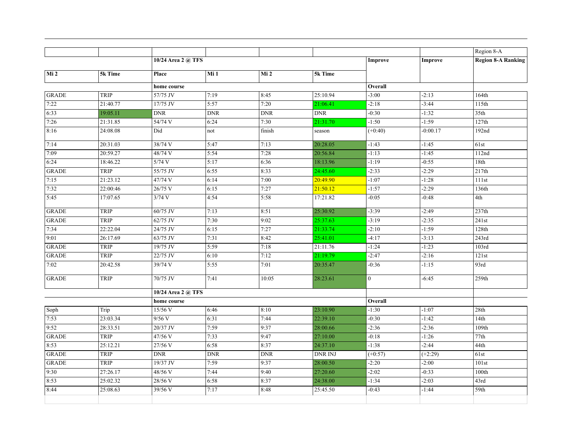|                 |             |                    |            |            |                |                |            | Region 8-A                |
|-----------------|-------------|--------------------|------------|------------|----------------|----------------|------------|---------------------------|
|                 |             | 10/24 Area 2 @ TFS |            |            |                | Improve        | Improve    | <b>Region 8-A Ranking</b> |
| Mi <sub>2</sub> | 5k Time     | Place              | Mi 1       | Mi 2       | 5k Time        |                |            |                           |
|                 |             | home course        |            |            |                | Overall        |            |                           |
| <b>GRADE</b>    | <b>TRIP</b> | 57/75 JV           | 7:19       | 8:45       | 25:10.94       | $-3:00$        | $-2:13$    | 164th                     |
| 7:22            | 21:40.77    | 17/75 JV           | 5:57       | 7:20       | 21:06.41       | $-2:18$        | $-3:44$    | 115th                     |
| 6:33            | 19:05.11    | <b>DNR</b>         | <b>DNR</b> | <b>DNR</b> | <b>DNR</b>     | $-0:30$        | $-1:32$    | 35th                      |
| 7:26            | 21:31.85    | 54/74 V            | 6:24       | 7:30       | 21:31.70       | $-1:50$        | $-1:59$    | 127th                     |
| 8:16            | 24:08.08    | Did                | not        | finish     | season         | $(+0:40)$      | $-0:00.17$ | 192 <sub>nd</sub>         |
| 7:14            | 20:31.03    | 38/74 V            | 5:47       | 7:13       | 20:28.05       | $-1:43$        | $-1:45$    | 61st                      |
| 7:09            | 20:59.27    | 48/74 V            | 5:54       | 7:28       | 20:56.84       | $-1:13$        | $-1:45$    | 112nd                     |
| 6:24            | 18:46.22    | $5/74$ V           | 5:17       | 6:36       | 18:13.96       | $-1:19$        | $-0:55$    | 18th                      |
| <b>GRADE</b>    | <b>TRIP</b> | 55/75 JV           | 6:55       | 8:33       | 24:45.60       | $-2:33$        | $-2:29$    | 217th                     |
| 7:15            | 21:23.12    | 47/74V             | 6:14       | 7:00       | 20:49.90       | $-1:07$        | $-1:28$    | 111st                     |
| 7:32            | 22:00:46    | $26/75$ V          | 6:15       | 7:27       | 21:50.12       | $-1:57$        | $-2:29$    | 136th                     |
| 5:45            | 17:07.65    | $3/74$ V           | 4:54       | 5:58       | 17:21.82       | $-0:05$        | $-0:48$    | 4th                       |
| <b>GRADE</b>    | <b>TRIP</b> | 60/75 JV           | 7:13       | 8:51       | 25:30.92       | $-3:39$        | $-2:49$    | 237th                     |
| <b>GRADE</b>    | <b>TRIP</b> | 62/75 JV           | 7:30       | 9:02       | 25:37.63       | $-3:19$        | $-2:35$    | 241st                     |
| 7:34            | 22:22.04    | 24/75 JV           | 6:15       | 7:27       | 21:33.74       | $-2:10$        | $-1:59$    | 128th                     |
| 9:01            | 26:17.69    | $63/75$ JV         | 7:31       | 8:42       | 25:41.01       | $-4:17$        | $-3:13$    | 243rd                     |
| <b>GRADE</b>    | TRIP        | 19/75 JV           | 5:59       | 7:18       | 21:11.76       | $-1:24$        | $-1:23$    | 103rd                     |
| <b>GRADE</b>    | <b>TRIP</b> | 22/75 JV           | 6:10       | 7:12       | 21:19.79       | $-2:47$        | $-2:16$    | 121st                     |
| 7:02            | 20:42.58    | $39/74$ V          | 5:55       | 7:01       | 20:35.47       | $-0:36$        | $-1:15$    | 93rd                      |
| <b>GRADE</b>    | <b>TRIP</b> | 70/75 JV           | 7:41       | 10:05      | 28:23.61       | $\overline{0}$ | $-6:45$    | 259th                     |
|                 |             | 10/24 Area 2 @ TFS |            |            |                |                |            |                           |
|                 |             | home course        |            |            |                | Overall        |            |                           |
| Soph            | Trip        | $15/56$ V          | 6:46       | 8:10       | 23:10.90       | $-1:30$        | $-1:07$    | 28th                      |
| 7:53            | 23:03.34    | $9/56$ V           | 6:31       | 7:44       | 22:39.10       | $-0:30$        | $-1:42$    | 14th                      |
| 9:52            | 28:33.51    | $20/37$ JV         | 7:59       | 9:37       | 28:00.66       | $-2:36$        | $-2:36$    | 109th                     |
| <b>GRADE</b>    | <b>TRIP</b> | 47/56 V            | 7:33       | 9:47       | 27:10.00       | $-0:18$        | $-1:26$    | 77th                      |
| 8:53            | 25:12.21    | 27/56V             | 6:58       | 8:37       | 24:37.10       | $-1:38$        | $-2:44$    | 44th                      |
| <b>GRADE</b>    | TRIP        | <b>DNR</b>         | <b>DNR</b> | <b>DNR</b> | <b>DNR INJ</b> | $(+0:57)$      | $(+2:29)$  | 61st                      |
| <b>GRADE</b>    | <b>TRIP</b> | 19/37 JV           | 7:59       | 9:37       | 28:00.50       | $-2:20$        | $-2:00$    | 101st                     |
| 9:30            | 27:26.17    | 48/56 V            | 7:44       | 9:40       | 27:20.60       | $-2:02$        | $-0:33$    | 100th                     |
| 8:53            | 25:02.32    | $28/56$ V          | 6:58       | 8:37       | 24:38.00       | $-1:34$        | $-2:03$    | 43rd                      |
| 8:44            | 25:08.63    | 39/56 V            | 7:17       | 8:48       | 25:45.50       | $-0:43$        | $-1:44$    | 59th                      |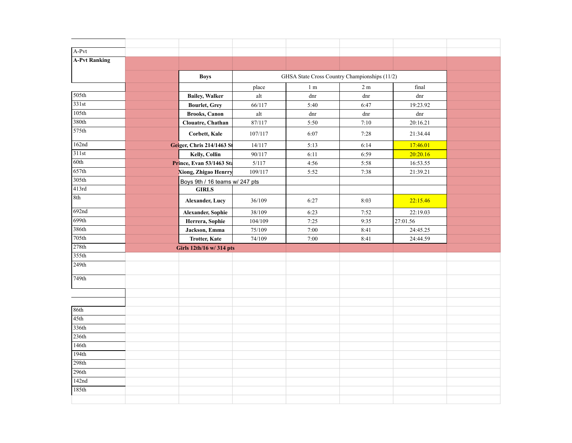| A-Pvt                |                                  |                      |                                               |                |          |
|----------------------|----------------------------------|----------------------|-----------------------------------------------|----------------|----------|
| <b>A-Pvt Ranking</b> |                                  |                      |                                               |                |          |
|                      | <b>Boys</b>                      |                      | GHSA State Cross Country Championships (11/2) |                |          |
|                      |                                  | place                | 1 <sub>m</sub>                                | 2 <sub>m</sub> | final    |
| 505th                | <b>Bailey, Walker</b>            | alt                  | dnr                                           | dnr            | dnr      |
| 331st                | <b>Bourlet, Grey</b>             | 66/117               | 5:40                                          | 6:47           | 19:23.92 |
| 105th                | <b>Brooks, Canon</b>             | $\operatorname{alt}$ | dnr                                           | dnr            | dnr      |
| 380th                | Clouatre, Chathan                | 87/117               | 5:50                                          | 7:10           | 20:16.21 |
| 575th                | Corbett, Kale                    | 107/117              | 6:07                                          | 7:28           | 21:34.44 |
| 162nd                | <b>Geiger, Chris 214/1463 St</b> | 14/117               | 5:13                                          | 6:14           | 17:46.01 |
| 311st                | Kelly, Collin                    | 90/117               | 6:11                                          | 6:59           | 20:20.16 |
| 60th                 | Prince, Evan 53/1463 Sta         | 5/117                | 4:56                                          | 5:58           | 16:53.55 |
| 657th                | Xiong, Zhigao Henrry             | 109/117              | 5:52                                          | 7:38           | 21:39.21 |
| 305th                | Boys 9th / 16 teams w/ 247 pts   |                      |                                               |                |          |
| 413rd                | <b>GIRLS</b>                     |                      |                                               |                |          |
| 8th                  | Alexander, Lucy                  | 36/109               | 6:27                                          | 8:03           | 22:15.46 |
| 692nd                | Alexander, Sophie                | 38/109               | 6:23                                          | 7:52           | 22:19.03 |
| 699th                | Herrera, Sophie                  | 104/109              | 7:25                                          | 9:35           | 27:01.56 |
| 386th                | Jackson, Emma                    | 75/109               | 7:00                                          | 8:41           | 24:45.25 |
| 705th                | <b>Trotter, Kate</b>             | 74/109               | 7:00                                          | 8:41           | 24:44.59 |
| 278th                | Girls 12th/16 w/ 314 pts         |                      |                                               |                |          |
| 355th                |                                  |                      |                                               |                |          |
| 249th                |                                  |                      |                                               |                |          |
| 749th                |                                  |                      |                                               |                |          |
|                      |                                  |                      |                                               |                |          |
| 86th                 |                                  |                      |                                               |                |          |
| 45th                 |                                  |                      |                                               |                |          |
| 336th                |                                  |                      |                                               |                |          |
| 236th                |                                  |                      |                                               |                |          |
| 146th                |                                  |                      |                                               |                |          |
| 194th                |                                  |                      |                                               |                |          |
| 298th                |                                  |                      |                                               |                |          |
| 296th                |                                  |                      |                                               |                |          |
| 142nd                |                                  |                      |                                               |                |          |
| 185th                |                                  |                      |                                               |                |          |
|                      |                                  |                      |                                               |                |          |
|                      |                                  |                      |                                               |                |          |